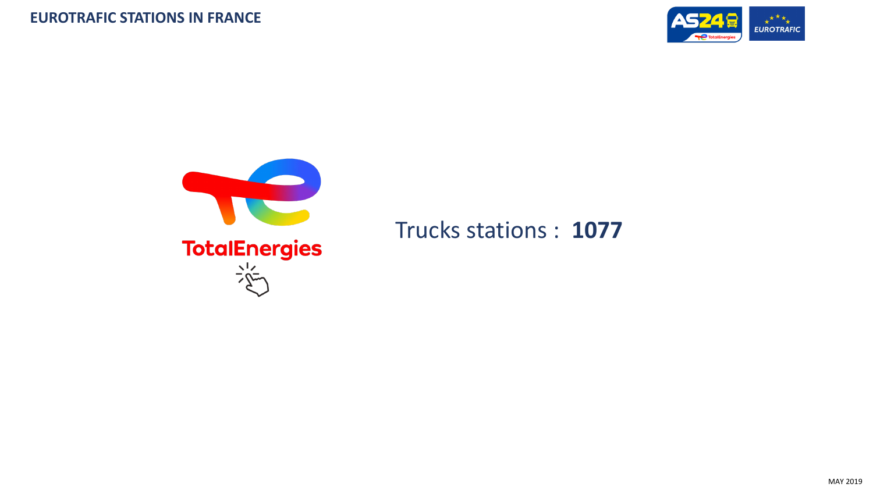



Trucks stations : **1077**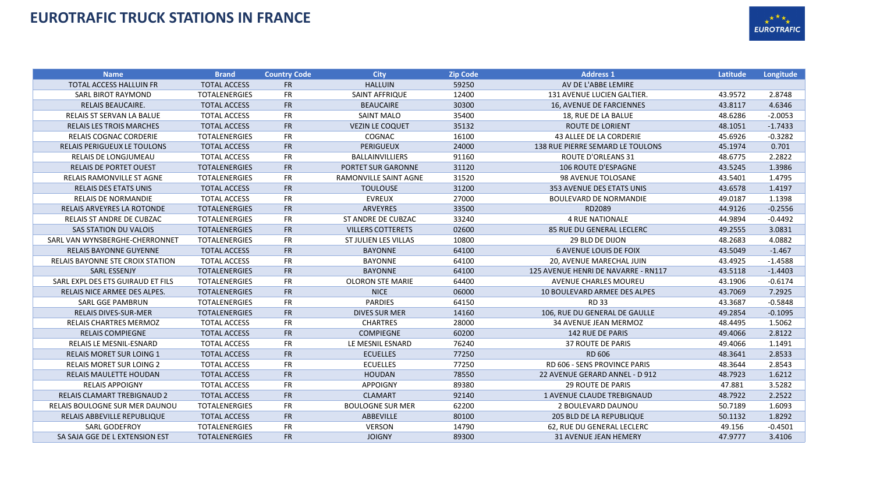## **EUROTRAFIC TRUCK STATIONS IN FRANCE**



| <b>Name</b>                             | <b>Brand</b>         | <b>Country Code</b> | <b>City</b>                  | <b>Zip Code</b> | <b>Address 1</b>                    | Latitude | Longitude |
|-----------------------------------------|----------------------|---------------------|------------------------------|-----------------|-------------------------------------|----------|-----------|
| <b>TOTAL ACCESS HALLUIN FR</b>          | <b>TOTAL ACCESS</b>  | <b>FR</b>           | <b>HALLUIN</b>               | 59250           | AV DE L'ABBE LEMIRE                 |          |           |
| <b>SARL BIROT RAYMOND</b>               | <b>TOTALENERGIES</b> | <b>FR</b>           | SAINT AFFRIQUE               | 12400           | 131 AVENUE LUCIEN GALTIER.          | 43.9572  | 2.8748    |
| <b>RELAIS BEAUCAIRE.</b>                | <b>TOTAL ACCESS</b>  | <b>FR</b>           | <b>BEAUCAIRE</b>             | 30300           | 16, AVENUE DE FARCIENNES            | 43.8117  | 4.6346    |
| RELAIS ST SERVAN LA BALUE               | <b>TOTAL ACCESS</b>  | <b>FR</b>           | <b>SAINT MALO</b>            | 35400           | 18, RUE DE LA BALUE                 | 48.6286  | $-2.0053$ |
| <b>RELAIS LES TROIS MARCHES</b>         | <b>TOTAL ACCESS</b>  | <b>FR</b>           | <b>VEZIN LE COQUET</b>       | 35132           | <b>ROUTE DE LORIENT</b>             | 48.1051  | $-1.7433$ |
| <b>RELAIS COGNAC CORDERIE</b>           | <b>TOTALENERGIES</b> | <b>FR</b>           | COGNAC                       | 16100           | <b>43 ALLEE DE LA CORDERIE</b>      | 45.6926  | $-0.3282$ |
| <b>RELAIS PERIGUEUX LE TOULONS</b>      | <b>TOTAL ACCESS</b>  | <b>FR</b>           | <b>PERIGUEUX</b>             | 24000           | 138 RUE PIERRE SEMARD LE TOULONS    | 45.1974  | 0.701     |
| <b>RELAIS DE LONGJUMEAU</b>             | <b>TOTAL ACCESS</b>  | <b>FR</b>           | <b>BALLAINVILLIERS</b>       | 91160           | <b>ROUTE D'ORLEANS 31</b>           | 48.6775  | 2.2822    |
| <b>RELAIS DE PORTET OUEST</b>           | <b>TOTALENERGIES</b> | <b>FR</b>           | PORTET SUR GARONNE           | 31120           | <b>106 ROUTE D'ESPAGNE</b>          | 43.5245  | 1.3986    |
| <b>RELAIS RAMONVILLE ST AGNE</b>        | <b>TOTALENERGIES</b> | <b>FR</b>           | <b>RAMONVILLE SAINT AGNE</b> | 31520           | 98 AVENUE TOLOSANE                  | 43.5401  | 1.4795    |
| <b>RELAIS DES ETATS UNIS</b>            | <b>TOTAL ACCESS</b>  | <b>FR</b>           | <b>TOULOUSE</b>              | 31200           | 353 AVENUE DES ETATS UNIS           | 43.6578  | 1.4197    |
| <b>RELAIS DE NORMANDIE</b>              | <b>TOTAL ACCESS</b>  | <b>FR</b>           | <b>EVREUX</b>                | 27000           | <b>BOULEVARD DE NORMANDIE</b>       | 49.0187  | 1.1398    |
| <b>RELAIS ARVEYRES LA ROTONDE</b>       | <b>TOTALENERGIES</b> | <b>FR</b>           | <b>ARVEYRES</b>              | 33500           | RD2089                              | 44.9126  | $-0.2556$ |
| RELAIS ST ANDRE DE CUBZAC               | <b>TOTALENERGIES</b> | <b>FR</b>           | ST ANDRE DE CUBZAC           | 33240           | <b>4 RUE NATIONALE</b>              | 44.9894  | $-0.4492$ |
| <b>SAS STATION DU VALOIS</b>            | <b>TOTALENERGIES</b> | <b>FR</b>           | <b>VILLERS COTTERETS</b>     | 02600           | 85 RUE DU GENERAL LECLERC           | 49.2555  | 3.0831    |
| SARL VAN WYNSBERGHE-CHERRONNET          | <b>TOTALENERGIES</b> | <b>FR</b>           | ST JULIEN LES VILLAS         | 10800           | 29 BLD DE DIJON                     | 48.2683  | 4.0882    |
| <b>RELAIS BAYONNE GUYENNE</b>           | <b>TOTAL ACCESS</b>  | <b>FR</b>           | <b>BAYONNE</b>               | 64100           | <b>6 AVENUE LOUIS DE FOIX</b>       | 43.5049  | $-1.467$  |
| <b>RELAIS BAYONNE STE CROIX STATION</b> | <b>TOTAL ACCESS</b>  | <b>FR</b>           | <b>BAYONNE</b>               | 64100           | 20, AVENUE MARECHAL JUIN            | 43.4925  | $-1.4588$ |
| <b>SARL ESSENJY</b>                     | <b>TOTALENERGIES</b> | <b>FR</b>           | <b>BAYONNE</b>               | 64100           | 125 AVENUE HENRI DE NAVARRE - RN117 | 43.5118  | $-1.4403$ |
| SARL EXPL DES ETS GUIRAUD ET FILS       | <b>TOTALENERGIES</b> | <b>FR</b>           | <b>OLORON STE MARIE</b>      | 64400           | AVENUE CHARLES MOUREU               | 43.1906  | $-0.6174$ |
| RELAIS NICE ARMEE DES ALPES.            | <b>TOTALENERGIES</b> | <b>FR</b>           | <b>NICE</b>                  | 06000           | 10 BOULEVARD ARMEE DES ALPES        | 43.7069  | 7.2925    |
| <b>SARL GGE PAMBRUN</b>                 | <b>TOTALENERGIES</b> | <b>FR</b>           | <b>PARDIES</b>               | 64150           | <b>RD33</b>                         | 43.3687  | $-0.5848$ |
| <b>RELAIS DIVES-SUR-MER</b>             | <b>TOTALENERGIES</b> | <b>FR</b>           | <b>DIVES SUR MER</b>         | 14160           | 106, RUE DU GENERAL DE GAULLE       | 49.2854  | $-0.1095$ |
| <b>RELAIS CHARTRES MERMOZ</b>           | <b>TOTAL ACCESS</b>  | <b>FR</b>           | <b>CHARTRES</b>              | 28000           | 34 AVENUE JEAN MERMOZ               | 48.4495  | 1.5062    |
| <b>RELAIS COMPIEGNE</b>                 | <b>TOTAL ACCESS</b>  | <b>FR</b>           | <b>COMPIEGNE</b>             | 60200           | <b>142 RUE DE PARIS</b>             | 49.4066  | 2.8122    |
| RELAIS LE MESNIL-ESNARD                 | <b>TOTAL ACCESS</b>  | <b>FR</b>           | LE MESNIL ESNARD             | 76240           | <b>37 ROUTE DE PARIS</b>            | 49.4066  | 1.1491    |
| <b>RELAIS MORET SUR LOING 1</b>         | <b>TOTAL ACCESS</b>  | <b>FR</b>           | <b>ECUELLES</b>              | 77250           | <b>RD 606</b>                       | 48.3641  | 2.8533    |
| <b>RELAIS MORET SUR LOING 2</b>         | <b>TOTAL ACCESS</b>  | <b>FR</b>           | <b>ECUELLES</b>              | 77250           | RD 606 - SENS PROVINCE PARIS        | 48.3644  | 2.8543    |
| <b>RELAIS MAULETTE HOUDAN</b>           | <b>TOTAL ACCESS</b>  | <b>FR</b>           | <b>HOUDAN</b>                | 78550           | 22 AVENUE GERARD ANNEL - D 912      | 48.7923  | 1.6212    |
| <b>RELAIS APPOIGNY</b>                  | <b>TOTAL ACCESS</b>  | <b>FR</b>           | <b>APPOIGNY</b>              | 89380           | <b>29 ROUTE DE PARIS</b>            | 47.881   | 3.5282    |
| <b>RELAIS CLAMART TREBIGNAUD 2</b>      | <b>TOTAL ACCESS</b>  | <b>FR</b>           | <b>CLAMART</b>               | 92140           | <b>1 AVENUE CLAUDE TREBIGNAUD</b>   | 48.7922  | 2.2522    |
| <b>RELAIS BOULOGNE SUR MER DAUNOU</b>   | <b>TOTALENERGIES</b> | <b>FR</b>           | <b>BOULOGNE SUR MER</b>      | 62200           | 2 BOULEVARD DAUNOU                  | 50.7189  | 1.6093    |
| RELAIS ABBEVILLE REPUBLIQUE             | <b>TOTAL ACCESS</b>  | <b>FR</b>           | ABBEVILLE                    | 80100           | 205 BLD DE LA REPUBLIQUE            | 50.1132  | 1.8292    |
| SARL GODEFROY                           | <b>TOTALENERGIES</b> | <b>FR</b>           | <b>VERSON</b>                | 14790           | 62, RUE DU GENERAL LECLERC          | 49.156   | $-0.4501$ |
| SA SAJA GGE DE L EXTENSION EST          | <b>TOTALENERGIES</b> | <b>FR</b>           | <b>JOIGNY</b>                | 89300           | <b>31 AVENUE JEAN HEMERY</b>        | 47.9777  | 3.4106    |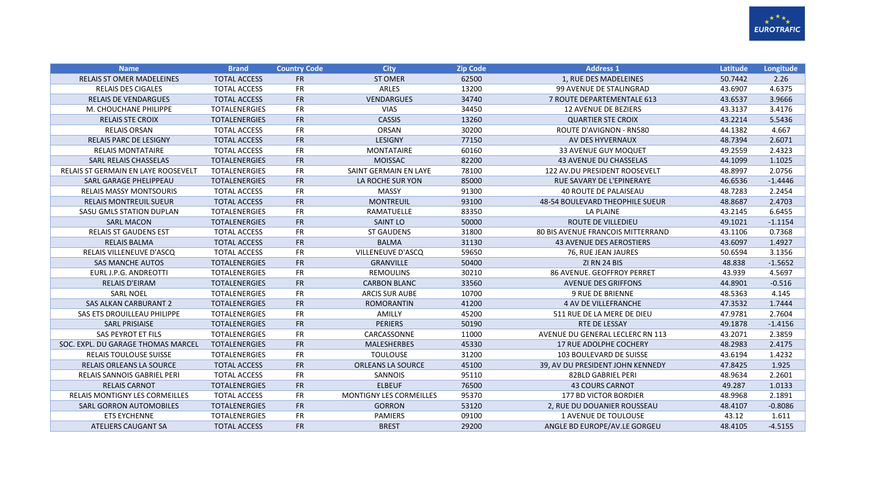

| <b>Name</b>                         | <b>Brand</b>         | <b>Country Code</b> | <b>City</b>              | <b>Zip Code</b> | <b>Address 1</b>                         | Latitude | Longitude |
|-------------------------------------|----------------------|---------------------|--------------------------|-----------------|------------------------------------------|----------|-----------|
| <b>RELAIS ST OMER MADELEINES</b>    | <b>TOTAL ACCESS</b>  | <b>FR</b>           | <b>ST OMER</b>           | 62500           | 1, RUE DES MADELEINES                    | 50.7442  | 2.26      |
| <b>RELAIS DES CIGALES</b>           | <b>TOTAL ACCESS</b>  | <b>FR</b>           | <b>ARLES</b>             | 13200           | 99 AVENUE DE STALINGRAD                  | 43.6907  | 4.6375    |
| <b>RELAIS DE VENDARGUES</b>         | <b>TOTAL ACCESS</b>  | <b>FR</b>           | <b>VENDARGUES</b>        | 34740           | 7 ROUTE DEPARTEMENTALE 613               | 43.6537  | 3.9666    |
| M. CHOUCHANE PHILIPPE               | <b>TOTALENERGIES</b> | <b>FR</b>           | <b>VIAS</b>              | 34450           | <b>12 AVENUE DE BEZIERS</b>              | 43.3137  | 3.4176    |
| <b>RELAIS STE CROIX</b>             | <b>TOTALENERGIES</b> | <b>FR</b>           | <b>CASSIS</b>            | 13260           | <b>QUARTIER STE CROIX</b>                | 43.2214  | 5.5436    |
| <b>RELAIS ORSAN</b>                 | <b>TOTAL ACCESS</b>  | <b>FR</b>           | <b>ORSAN</b>             | 30200           | <b>ROUTE D'AVIGNON - RN580</b>           | 44.1382  | 4.667     |
| <b>RELAIS PARC DE LESIGNY</b>       | <b>TOTAL ACCESS</b>  | <b>FR</b>           | <b>LESIGNY</b>           | 77150           | AV DES HYVERNAUX                         | 48.7394  | 2.6071    |
| <b>RELAIS MONTATAIRE</b>            | <b>TOTAL ACCESS</b>  | <b>FR</b>           | <b>MONTATAIRE</b>        | 60160           | <b>33 AVENUE GUY MOQUET</b>              | 49.2559  | 2.4323    |
| SARL RELAIS CHASSELAS               | <b>TOTALENERGIES</b> | <b>FR</b>           | <b>MOISSAC</b>           | 82200           | <b>43 AVENUE DU CHASSELAS</b>            | 44.1099  | 1.1025    |
| RELAIS ST GERMAIN EN LAYE ROOSEVELT | <b>TOTALENERGIES</b> | <b>FR</b>           | SAINT GERMAIN EN LAYE    | 78100           | 122 AV.DU PRESIDENT ROOSEVELT            | 48.8997  | 2.0756    |
| SARL GARAGE PHELIPPEAU              | <b>TOTALENERGIES</b> | <b>FR</b>           | LA ROCHE SUR YON         | 85000           | RUE SAVARY DE L'EPINERAYE                | 46.6536  | $-1.4446$ |
| <b>RELAIS MASSY MONTSOURIS</b>      | <b>TOTAL ACCESS</b>  | <b>FR</b>           | <b>MASSY</b>             | 91300           | <b>40 ROUTE DE PALAISEAU</b>             | 48.7283  | 2.2454    |
| <b>RELAIS MONTREUIL SUEUR</b>       | <b>TOTAL ACCESS</b>  | <b>FR</b>           | <b>MONTREUIL</b>         | 93100           | <b>48-54 BOULEVARD THEOPHILE SUEUR</b>   | 48.8687  | 2.4703    |
| SASU GMLS STATION DUPLAN            | <b>TOTALENERGIES</b> | <b>FR</b>           | RAMATUELLE               | 83350           | <b>LA PLAINE</b>                         | 43.2145  | 6.6455    |
| <b>SARL MACON</b>                   | <b>TOTALENERGIES</b> | <b>FR</b>           | <b>SAINT LO</b>          | 50000           | <b>ROUTE DE VILLEDIEU</b>                | 49.1021  | $-1.1154$ |
| <b>RELAIS ST GAUDENS EST</b>        | <b>TOTAL ACCESS</b>  | <b>FR</b>           | <b>ST GAUDENS</b>        | 31800           | <b>80 BIS AVENUE FRANCOIS MITTERRAND</b> | 43.1106  | 0.7368    |
| <b>RELAIS BALMA</b>                 | <b>TOTAL ACCESS</b>  | <b>FR</b>           | <b>BALMA</b>             | 31130           | <b>43 AVENUE DES AEROSTIERS</b>          | 43.6097  | 1.4927    |
| RELAIS VILLENEUVE D'ASCQ            | <b>TOTAL ACCESS</b>  | <b>FR</b>           | VILLENEUVE D'ASCQ        | 59650           | 76, RUE JEAN JAURES                      | 50.6594  | 3.1356    |
| <b>SAS MANCHE AUTOS</b>             | <b>TOTALENERGIES</b> | <b>FR</b>           | <b>GRANVILLE</b>         | 50400           | ZI RN 24 BIS                             | 48.838   | $-1.5652$ |
| EURL J.P.G. ANDREOTTI               | <b>TOTALENERGIES</b> | <b>FR</b>           | <b>REMOULINS</b>         | 30210           | <b>86 AVENUE, GEOFFROY PERRET</b>        | 43.939   | 4.5697    |
| <b>RELAIS D'EIRAM</b>               | <b>TOTALENERGIES</b> | <b>FR</b>           | <b>CARBON BLANC</b>      | 33560           | <b>AVENUE DES GRIFFONS</b>               | 44.8901  | $-0.516$  |
| <b>SARL NOEL</b>                    | <b>TOTALENERGIES</b> | <b>FR</b>           | ARCIS SUR AUBE           | 10700           | <b>9 RUE DE BRIENNE</b>                  | 48.5363  | 4.145     |
| <b>SAS ALKAN CARBURANT 2</b>        | <b>TOTALENERGIES</b> | <b>FR</b>           | <b>ROMORANTIN</b>        | 41200           | 4 AV DE VILLEFRANCHE                     | 47.3532  | 1.7444    |
| SAS ETS DROUILLEAU PHILIPPE         | <b>TOTALENERGIES</b> | <b>FR</b>           | AMILLY                   | 45200           | 511 RUE DE LA MERE DE DIEU               | 47.9781  | 2.7604    |
| <b>SARL PRISIAISE</b>               | <b>TOTALENERGIES</b> | <b>FR</b>           | <b>PERIERS</b>           | 50190           | RTE DE LESSAY                            | 49.1878  | $-1.4156$ |
| SAS PEYROT ET FILS                  | <b>TOTALENERGIES</b> | <b>FR</b>           | CARCASSONNE              | 11000           | AVENUE DU GENERAL LECLERC RN 113         | 43.2071  | 2.3859    |
| SOC. EXPL. DU GARAGE THOMAS MARCEL  | <b>TOTALENERGIES</b> | <b>FR</b>           | <b>MALESHERBES</b>       | 45330           | <b>17 RUE ADOLPHE COCHERY</b>            | 48.2983  | 2.4175    |
| <b>RELAIS TOULOUSE SUISSE</b>       | <b>TOTALENERGIES</b> | <b>FR</b>           | <b>TOULOUSE</b>          | 31200           | <b>103 BOULEVARD DE SUISSE</b>           | 43.6194  | 1.4232    |
| <b>RELAIS ORLEANS LA SOURCE</b>     | <b>TOTAL ACCESS</b>  | <b>FR</b>           | <b>ORLEANS LA SOURCE</b> | 45100           | 39, AV DU PRESIDENT JOHN KENNEDY         | 47.8425  | 1.925     |
| <b>RELAIS SANNOIS GABRIEL PERI</b>  | <b>TOTAL ACCESS</b>  | <b>FR</b>           | SANNOIS                  | 95110           | 82BLD GABRIEL PERI                       | 48.9634  | 2.2601    |
| <b>RELAIS CARNOT</b>                | <b>TOTALENERGIES</b> | <b>FR</b>           | <b>ELBEUF</b>            | 76500           | <b>43 COURS CARNOT</b>                   | 49.287   | 1.0133    |
| RELAIS MONTIGNY LES CORMEILLES      | TOTAL ACCESS         | <b>FR</b>           | MONTIGNY LES CORMEILLES  | 95370           | <b>177 BD VICTOR BORDIER</b>             | 48.9968  | 2.1891    |
| SARL GORRON AUTOMOBILES             | <b>TOTALENERGIES</b> | <b>FR</b>           | <b>GORRON</b>            | 53120           | 2. RUE DU DOUANIER ROUSSEAU              | 48.4107  | $-0.8086$ |
| <b>ETS EYCHENNE</b>                 | <b>TOTALENERGIES</b> | <b>FR</b>           | <b>PAMIERS</b>           | 09100           | <b>1 AVENUE DE TOULOUSE</b>              | 43.12    | 1.611     |
| ATELIERS CAUGANT SA                 | <b>TOTAL ACCESS</b>  | <b>FR</b>           | <b>BREST</b>             | 29200           | ANGLE BD EUROPE/AV.LE GORGEU             | 48.4105  | $-4.5155$ |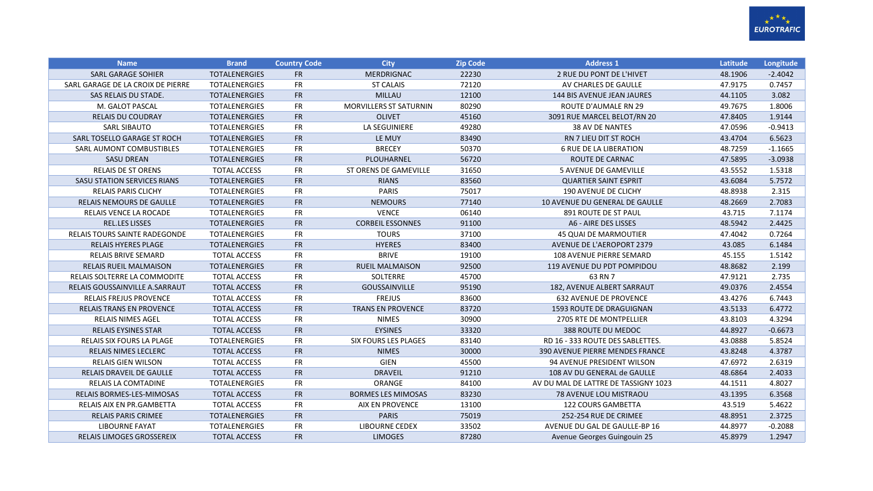

| <b>Name</b>                          | <b>Brand</b>         | <b>Country Code</b> | <b>City</b>                   | <b>Zip Code</b> | <b>Address 1</b>                       | Latitude | Longitude |
|--------------------------------------|----------------------|---------------------|-------------------------------|-----------------|----------------------------------------|----------|-----------|
| <b>SARL GARAGE SOHIER</b>            | <b>TOTALENERGIES</b> | <b>FR</b>           | <b>MERDRIGNAC</b>             | 22230           | 2 RUE DU PONT DE L'HIVET               | 48.1906  | $-2.4042$ |
| SARL GARAGE DE LA CROIX DE PIERRE    | <b>TOTALENERGIES</b> | <b>FR</b>           | <b>ST CALAIS</b>              | 72120           | AV CHARLES DE GAULLE                   | 47.9175  | 0.7457    |
| SAS RELAIS DU STADE.                 | <b>TOTALENERGIES</b> | <b>FR</b>           | <b>MILLAU</b>                 | 12100           | <b>144 BIS AVENUE JEAN JAURES</b>      | 44.1105  | 3.082     |
| M. GALOT PASCAL                      | <b>TOTALENERGIES</b> | <b>FR</b>           | <b>MORVILLERS ST SATURNIN</b> | 80290           | <b>ROUTE D'AUMALE RN 29</b>            | 49.7675  | 1.8006    |
| <b>RELAIS DU COUDRAY</b>             | <b>TOTALENERGIES</b> | <b>FR</b>           | <b>OLIVET</b>                 | 45160           | 3091 RUE MARCEL BELOT/RN 20            | 47.8405  | 1.9144    |
| SARL SIBAUTO                         | <b>TOTALENERGIES</b> | <b>FR</b>           | LA SEGUINIERE                 | 49280           | 38 AV DE NANTES                        | 47.0596  | $-0.9413$ |
| SARL TOSELLO GARAGE ST ROCH          | <b>TOTALENERGIES</b> | <b>FR</b>           | LE MUY                        | 83490           | <b>RN 7 LIEU DIT ST ROCH</b>           | 43.4704  | 6.5623    |
| SARL AUMONT COMBUSTIBLES             | <b>TOTALENERGIES</b> | <b>FR</b>           | <b>BRECEY</b>                 | 50370           | <b>6 RUE DE LA LIBERATION</b>          | 48.7259  | $-1.1665$ |
| <b>SASU DREAN</b>                    | <b>TOTALENERGIES</b> | <b>FR</b>           | PLOUHARNEL                    | 56720           | ROUTE DE CARNAC                        | 47.5895  | $-3.0938$ |
| <b>RELAIS DE ST ORENS</b>            | <b>TOTAL ACCESS</b>  | ${\sf FR}$          | ST ORENS DE GAMEVILLE         | 31650           | <b>5 AVENUE DE GAMEVILLE</b>           | 43.5552  | 1.5318    |
| <b>SASU STATION SERVICES RIANS</b>   | <b>TOTALENERGIES</b> | <b>FR</b>           | <b>RIANS</b>                  | 83560           | <b>QUARTIER SAINT ESPRIT</b>           | 43.6084  | 5.7572    |
| <b>RELAIS PARIS CLICHY</b>           | <b>TOTALENERGIES</b> | <b>FR</b>           | <b>PARIS</b>                  | 75017           | 190 AVENUE DE CLICHY                   | 48.8938  | 2.315     |
| RELAIS NEMOURS DE GAULLE             | <b>TOTALENERGIES</b> | <b>FR</b>           | <b>NEMOURS</b>                | 77140           | 10 AVENUE DU GENERAL DE GAULLE         | 48.2669  | 2.7083    |
| RELAIS VENCE LA ROCADE               | <b>TOTALENERGIES</b> | <b>FR</b>           | <b>VENCE</b>                  | 06140           | 891 ROUTE DE ST PAUL                   | 43.715   | 7.1174    |
| <b>REL.LES LISSES</b>                | <b>TOTALENERGIES</b> | <b>FR</b>           | <b>CORBEIL ESSONNES</b>       | 91100           | A6 - AIRE DES LISSES                   | 48.5942  | 2.4425    |
| <b>RELAIS TOURS SAINTE RADEGONDE</b> | <b>TOTALENERGIES</b> | <b>FR</b>           | <b>TOURS</b>                  | 37100           | <b>45 QUAI DE MARMOUTIER</b>           | 47.4042  | 0.7264    |
| <b>RELAIS HYERES PLAGE</b>           | <b>TOTALENERGIES</b> | <b>FR</b>           | <b>HYERES</b>                 | 83400           | <b>AVENUE DE L'AEROPORT 2379</b>       | 43.085   | 6.1484    |
| <b>RELAIS BRIVE SEMARD</b>           | <b>TOTAL ACCESS</b>  | <b>FR</b>           | <b>BRIVE</b>                  | 19100           | 108 AVENUE PIERRE SEMARD               | 45.155   | 1.5142    |
| <b>RELAIS RUEIL MALMAISON</b>        | <b>TOTALENERGIES</b> | <b>FR</b>           | <b>RUEIL MALMAISON</b>        | 92500           | 119 AVENUE DU PDT POMPIDOU             | 48.8682  | 2.199     |
| RELAIS SOLTERRE LA COMMODITE         | <b>TOTAL ACCESS</b>  | <b>FR</b>           | <b>SOLTERRE</b>               | 45700           | 63 RN 7                                | 47.9121  | 2.735     |
| RELAIS GOUSSAINVILLE A.SARRAUT       | <b>TOTAL ACCESS</b>  | <b>FR</b>           | GOUSSAINVILLE                 | 95190           | 182, AVENUE ALBERT SARRAUT             | 49.0376  | 2.4554    |
| <b>RELAIS FREJUS PROVENCE</b>        | <b>TOTAL ACCESS</b>  | <b>FR</b>           | <b>FREJUS</b>                 | 83600           | <b>632 AVENUE DE PROVENCE</b>          | 43.4276  | 6.7443    |
| <b>RELAIS TRANS EN PROVENCE</b>      | <b>TOTAL ACCESS</b>  | <b>FR</b>           | <b>TRANS EN PROVENCE</b>      | 83720           | <b>1593 ROUTE DE DRAGUIGNAN</b>        | 43.5133  | 6.4772    |
| <b>RELAIS NIMES AGEL</b>             | <b>TOTAL ACCESS</b>  | <b>FR</b>           | <b>NIMES</b>                  | 30900           | 2705 RTE DE MONTPELLIER                | 43.8103  | 4.3294    |
| <b>RELAIS EYSINES STAR</b>           | <b>TOTAL ACCESS</b>  | <b>FR</b>           | <b>EYSINES</b>                | 33320           | 388 ROUTE DU MEDOC                     | 44.8927  | $-0.6673$ |
| RELAIS SIX FOURS LA PLAGE            | <b>TOTALENERGIES</b> | FR                  | <b>SIX FOURS LES PLAGES</b>   | 83140           | RD 16 - 333 ROUTE DES SABLETTES.       | 43.0888  | 5.8524    |
| RELAIS NIMES LECLERC                 | <b>TOTAL ACCESS</b>  | ${\sf FR}$          | <b>NIMES</b>                  | 30000           | <b>390 AVENUE PIERRE MENDES FRANCE</b> | 43.8248  | 4.3787    |
| <b>RELAIS GIEN WILSON</b>            | <b>TOTAL ACCESS</b>  | <b>FR</b>           | GIEN                          | 45500           | 94 AVENUE PRESIDENT WILSON             | 47.6972  | 2.6319    |
| RELAIS DRAVEIL DE GAULLE             | <b>TOTAL ACCESS</b>  | <b>FR</b>           | <b>DRAVEIL</b>                | 91210           | 108 AV DU GENERAL de GAULLE            | 48.6864  | 2.4033    |
| <b>RELAIS LA COMTADINE</b>           | <b>TOTALENERGIES</b> | <b>FR</b>           | ORANGE                        | 84100           | AV DU MAL DE LATTRE DE TASSIGNY 1023   | 44.1511  | 4.8027    |
| RELAIS BORMES-LES-MIMOSAS            | <b>TOTAL ACCESS</b>  | <b>FR</b>           | <b>BORMES LES MIMOSAS</b>     | 83230           | 78 AVENUE LOU MISTRAOU                 | 43.1395  | 6.3568    |
| RELAIS AIX EN PR.GAMBETTA            | <b>TOTAL ACCESS</b>  | <b>FR</b>           | <b>AIX EN PROVENCE</b>        | 13100           | 122 COURS GAMBETTA                     | 43.519   | 5.4622    |
| <b>RELAIS PARIS CRIMEE</b>           | <b>TOTALENERGIES</b> | <b>FR</b>           | <b>PARIS</b>                  | 75019           | 252-254 RUE DE CRIMEE                  | 48.8951  | 2.3725    |
| <b>LIBOURNE FAYAT</b>                | TOTALENERGIES        | <b>FR</b>           | <b>LIBOURNE CEDEX</b>         | 33502           | AVENUE DU GAL DE GAULLE-BP 16          | 44.8977  | $-0.2088$ |
| <b>RELAIS LIMOGES GROSSEREIX</b>     | <b>TOTAL ACCESS</b>  | <b>FR</b>           | <b>LIMOGES</b>                | 87280           | Avenue Georges Guingouin 25            | 45.8979  | 1.2947    |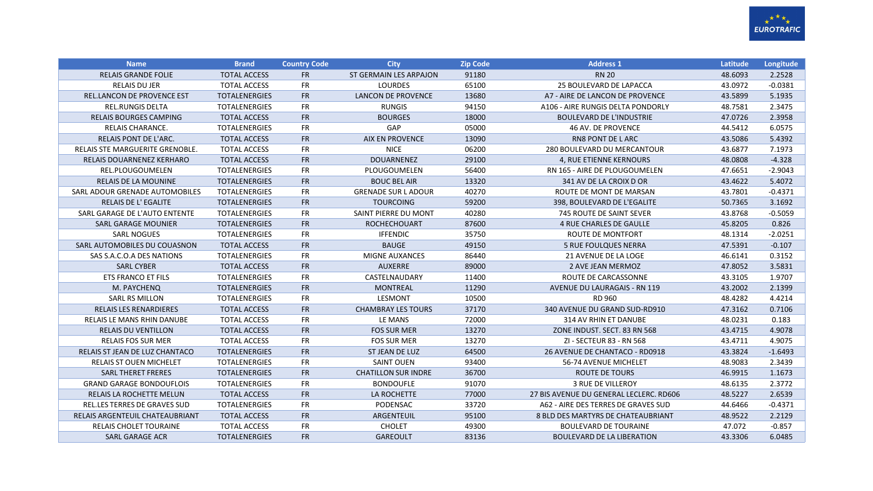

| <b>Name</b>                         | <b>Brand</b>         | <b>Country Code</b> | <b>City</b>                | <b>Zip Code</b> | <b>Address 1</b>                        | Latitude | Longitude |
|-------------------------------------|----------------------|---------------------|----------------------------|-----------------|-----------------------------------------|----------|-----------|
| <b>RELAIS GRANDE FOLIE</b>          | <b>TOTAL ACCESS</b>  | <b>FR</b>           | ST GERMAIN LES ARPAJON     | 91180           | <b>RN 20</b>                            | 48.6093  | 2.2528    |
| <b>RELAIS DU JER</b>                | <b>TOTAL ACCESS</b>  | <b>FR</b>           | <b>LOURDES</b>             | 65100           | 25 BOULEVARD DE LAPACCA                 | 43.0972  | $-0.0381$ |
| <b>REL.LANCON DE PROVENCE EST</b>   | <b>TOTALENERGIES</b> | <b>FR</b>           | <b>LANCON DE PROVENCE</b>  | 13680           | A7 - AIRE DE LANCON DE PROVENCE         | 43.5899  | 5.1935    |
| <b>REL.RUNGIS DELTA</b>             | <b>TOTALENERGIES</b> | <b>FR</b>           | <b>RUNGIS</b>              | 94150           | A106 - AIRE RUNGIS DELTA PONDORLY       | 48.7581  | 2.3475    |
| <b>RELAIS BOURGES CAMPING</b>       | <b>TOTAL ACCESS</b>  | <b>FR</b>           | <b>BOURGES</b>             | 18000           | <b>BOULEVARD DE L'INDUSTRIE</b>         | 47.0726  | 2.3958    |
| RELAIS CHARANCE.                    | <b>TOTALENERGIES</b> | <b>FR</b>           | GAP                        | 05000           | 46 AV. DE PROVENCE                      | 44.5412  | 6.0575    |
| RELAIS PONT DE L'ARC.               | <b>TOTAL ACCESS</b>  | <b>FR</b>           | <b>AIX EN PROVENCE</b>     | 13090           | <b>RN8 PONT DE LARC</b>                 | 43.5086  | 5.4392    |
| RELAIS STE MARGUERITE GRENOBLE.     | <b>TOTAL ACCESS</b>  | <b>FR</b>           | <b>NICE</b>                | 06200           | <b>280 BOULEVARD DU MERCANTOUR</b>      | 43.6877  | 7.1973    |
| RELAIS DOUARNENEZ KERHARO           | <b>TOTAL ACCESS</b>  | ${\sf FR}$          | <b>DOUARNENEZ</b>          | 29100           | 4, RUE ETIENNE KERNOURS                 | 48.0808  | $-4.328$  |
| REL.PLOUGOUMELEN                    | <b>TOTALENERGIES</b> | <b>FR</b>           | PLOUGOUMELEN               | 56400           | RN 165 - AIRE DE PLOUGOUMELEN           | 47.6651  | $-2.9043$ |
| <b>RELAIS DE LA MOUNINE</b>         | <b>TOTALENERGIES</b> | ${\sf FR}$          | <b>BOUC BEL AIR</b>        | 13320           | 341 AV DE LA CROIX D OR                 | 43.4622  | 5.4072    |
| SARL ADOUR GRENADE AUTOMOBILES      | <b>TOTALENERGIES</b> | <b>FR</b>           | <b>GRENADE SUR L ADOUR</b> | 40270           | ROUTE DE MONT DE MARSAN                 | 43.7801  | $-0.4371$ |
| <b>RELAIS DE L'EGALITE</b>          | <b>TOTALENERGIES</b> | <b>FR</b>           | <b>TOURCOING</b>           | 59200           | 398, BOULEVARD DE L'EGALITE             | 50.7365  | 3.1692    |
| SARL GARAGE DE L'AUTO ENTENTE       | <b>TOTALENERGIES</b> | <b>FR</b>           | SAINT PIERRE DU MONT       | 40280           | 745 ROUTE DE SAINT SEVER                | 43.8768  | $-0.5059$ |
| <b>SARL GARAGE MOUNIER</b>          | <b>TOTALENERGIES</b> | <b>FR</b>           | <b>ROCHECHOUART</b>        | 87600           | <b>4 RUE CHARLES DE GAULLE</b>          | 45.8205  | 0.826     |
| <b>SARL NOGUES</b>                  | <b>TOTALENERGIES</b> | <b>FR</b>           | <b>IFFENDIC</b>            | 35750           | <b>ROUTE DE MONTFORT</b>                | 48.1314  | $-2.0251$ |
| SARL AUTOMOBILES DU COUASNON        | <b>TOTAL ACCESS</b>  | <b>FR</b>           | <b>BAUGE</b>               | 49150           | <b>5 RUE FOULQUES NERRA</b>             | 47.5391  | $-0.107$  |
| SAS S.A.C.O.A DES NATIONS           | <b>TOTALENERGIES</b> | <b>FR</b>           | MIGNE AUXANCES             | 86440           | <b>21 AVENUE DE LA LOGE</b>             | 46.6141  | 0.3152    |
| <b>SARL CYBER</b>                   | <b>TOTAL ACCESS</b>  | <b>FR</b>           | <b>AUXERRE</b>             | 89000           | 2 AVE JEAN MERMOZ                       | 47.8052  | 3.5831    |
| <b>ETS FRANCO ET FILS</b>           | <b>TOTALENERGIES</b> | <b>FR</b>           | CASTELNAUDARY              | 11400           | ROUTE DE CARCASSONNE                    | 43.3105  | 1.9707    |
| M. PAYCHENQ                         | <b>TOTALENERGIES</b> | <b>FR</b>           | <b>MONTREAL</b>            | 11290           | <b>AVENUE DU LAURAGAIS - RN 119</b>     | 43.2002  | 2.1399    |
| <b>SARL RS MILLON</b>               | <b>TOTALENERGIES</b> | <b>FR</b>           | <b>LESMONT</b>             | 10500           | RD 960                                  | 48.4282  | 4.4214    |
| <b>RELAIS LES RENARDIERES</b>       | <b>TOTAL ACCESS</b>  | <b>FR</b>           | <b>CHAMBRAY LES TOURS</b>  | 37170           | 340 AVENUE DU GRAND SUD-RD910           | 47.3162  | 0.7106    |
| RELAIS LE MANS RHIN DANUBE          | <b>TOTAL ACCESS</b>  | <b>FR</b>           | LE MANS                    | 72000           | 314 AV RHIN ET DANUBE                   | 48.0231  | 0.183     |
| <b>RELAIS DU VENTILLON</b>          | <b>TOTAL ACCESS</b>  | FR                  | <b>FOS SUR MER</b>         | 13270           | ZONE INDUST, SECT, 83 RN 568            | 43.4715  | 4.9078    |
| <b>RELAIS FOS SUR MER</b>           | <b>TOTAL ACCESS</b>  | <b>FR</b>           | <b>FOS SUR MER</b>         | 13270           | ZI - SECTEUR 83 - RN 568                | 43.4711  | 4.9075    |
| RELAIS ST JEAN DE LUZ CHANTACO      | <b>TOTALENERGIES</b> | <b>FR</b>           | ST JEAN DE LUZ             | 64500           | 26 AVENUE DE CHANTACO - RD0918          | 43.3824  | $-1.6493$ |
| <b>RELAIS ST OUEN MICHELET</b>      | <b>TOTALENERGIES</b> | <b>FR</b>           | <b>SAINT OUEN</b>          | 93400           | 56-74 AVENUE MICHELET                   | 48.9083  | 2.3439    |
| <b>SARL THERET FRERES</b>           | <b>TOTALENERGIES</b> | <b>FR</b>           | <b>CHATILLON SUR INDRE</b> | 36700           | ROUTE DE TOURS                          | 46.9915  | 1.1673    |
| <b>GRAND GARAGE BONDOUFLOIS</b>     | <b>TOTALENERGIES</b> | <b>FR</b>           | <b>BONDOUFLE</b>           | 91070           | 3 RUE DE VILLEROY                       | 48.6135  | 2.3772    |
| <b>RELAIS LA ROCHETTE MELUN</b>     | <b>TOTAL ACCESS</b>  | <b>FR</b>           | LA ROCHETTE                | 77000           | 27 BIS AVENUE DU GENERAL LECLERC. RD606 | 48.5227  | 2.6539    |
| <b>REL.LES TERRES DE GRAVES SUD</b> | <b>TOTALENERGIES</b> | <b>FR</b>           | PODENSAC                   | 33720           | A62 - AIRE DES TERRES DE GRAVES SUD     | 44.6466  | $-0.4371$ |
| RELAIS ARGENTEUIL CHATEAUBRIANT     | <b>TOTAL ACCESS</b>  | <b>FR</b>           | ARGENTEUIL                 | 95100           | 8 BLD DES MARTYRS DE CHATEAUBRIANT      | 48.9522  | 2.2129    |
| <b>RELAIS CHOLET TOURAINE</b>       | <b>TOTAL ACCESS</b>  | <b>FR</b>           | <b>CHOLET</b>              | 49300           | <b>BOULEVARD DE TOURAINE</b>            | 47.072   | $-0.857$  |
| SARL GARAGE ACR                     | <b>TOTALENERGIES</b> | <b>FR</b>           | <b>GAREOULT</b>            | 83136           | <b>BOULEVARD DE LA LIBERATION</b>       | 43.3306  | 6.0485    |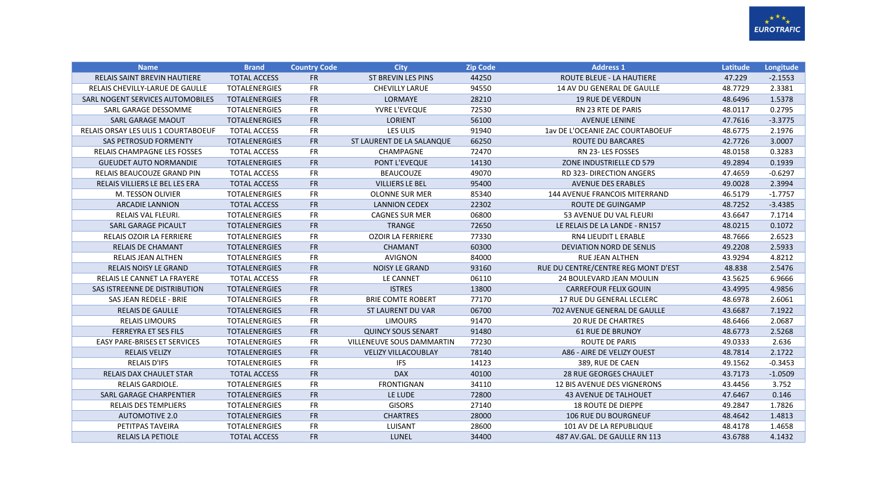

| <b>Name</b>                         | <b>Brand</b>         | <b>Country Code</b> | <b>City</b>                      | <b>Zip Code</b> | <b>Address 1</b>                     | Latitude | Longitude |
|-------------------------------------|----------------------|---------------------|----------------------------------|-----------------|--------------------------------------|----------|-----------|
| <b>RELAIS SAINT BREVIN HAUTIERE</b> | <b>TOTAL ACCESS</b>  | <b>FR</b>           | <b>ST BREVIN LES PINS</b>        | 44250           | <b>ROUTE BLEUE - LA HAUTIERE</b>     | 47.229   | $-2.1553$ |
| RELAIS CHEVILLY-LARUE DE GAULLE     | <b>TOTALENERGIES</b> | <b>FR</b>           | <b>CHEVILLY LARUE</b>            | 94550           | 14 AV DU GENERAL DE GAULLE           | 48.7729  | 2.3381    |
| SARL NOGENT SERVICES AUTOMOBILES    | <b>TOTALENERGIES</b> | <b>FR</b>           | LORMAYE                          | 28210           | <b>19 RUE DE VERDUN</b>              | 48.6496  | 1.5378    |
| SARL GARAGE DESSOMME                | <b>TOTALENERGIES</b> | <b>FR</b>           | YVRE L'EVEQUE                    | 72530           | <b>RN 23 RTE DE PARIS</b>            | 48.0117  | 0.2795    |
| <b>SARL GARAGE MAOUT</b>            | <b>TOTALENERGIES</b> | <b>FR</b>           | <b>LORIENT</b>                   | 56100           | <b>AVENUE LENINE</b>                 | 47.7616  | $-3.3775$ |
| RELAIS ORSAY LES ULIS 1 COURTABOEUF | <b>TOTAL ACCESS</b>  | <b>FR</b>           | LES ULIS                         | 91940           | 1av DE L'OCEANIE ZAC COURTABOEUF     | 48.6775  | 2.1976    |
| SAS PETROSUD FORMENTY               | <b>TOTALENERGIES</b> | <b>FR</b>           | ST LAURENT DE LA SALANQUE        | 66250           | <b>ROUTE DU BARCARES</b>             | 42.7726  | 3.0007    |
| RELAIS CHAMPAGNE LES FOSSES         | <b>TOTAL ACCESS</b>  | <b>FR</b>           | CHAMPAGNE                        | 72470           | RN 23-LES FOSSES                     | 48.0158  | 0.3283    |
| <b>GUEUDET AUTO NORMANDIE</b>       | <b>TOTALENERGIES</b> | <b>FR</b>           | PONT L'EVEQUE                    | 14130           | ZONE INDUSTRIELLE CD 579             | 49.2894  | 0.1939    |
| RELAIS BEAUCOUZE GRAND PIN          | <b>TOTAL ACCESS</b>  | <b>FR</b>           | <b>BEAUCOUZE</b>                 | 49070           | <b>RD 323- DIRECTION ANGERS</b>      | 47.4659  | $-0.6297$ |
| RELAIS VILLIERS LE BEL LES ERA      | <b>TOTAL ACCESS</b>  | <b>FR</b>           | <b>VILLIERS LE BEL</b>           | 95400           | <b>AVENUE DES ERABLES</b>            | 49.0028  | 2.3994    |
| M. TESSON OLIVIER                   | <b>TOTALENERGIES</b> | <b>FR</b>           | <b>OLONNE SUR MER</b>            | 85340           | <b>144 AVENUE FRANCOIS MITERRAND</b> | 46.5179  | $-1.7757$ |
| <b>ARCADIE LANNION</b>              | <b>TOTAL ACCESS</b>  | <b>FR</b>           | <b>LANNION CEDEX</b>             | 22302           | <b>ROUTE DE GUINGAMP</b>             | 48.7252  | $-3.4385$ |
| RELAIS VAL FLEURI.                  | <b>TOTALENERGIES</b> | <b>FR</b>           | <b>CAGNES SUR MER</b>            | 06800           | 53 AVENUE DU VAL FLEURI              | 43.6647  | 7.1714    |
| <b>SARL GARAGE PICAULT</b>          | <b>TOTALENERGIES</b> | <b>FR</b>           | <b>TRANGE</b>                    | 72650           | LE RELAIS DE LA LANDE - RN157        | 48.0215  | 0.1072    |
| <b>RELAIS OZOIR LA FERRIERE</b>     | <b>TOTALENERGIES</b> | <b>FR</b>           | <b>OZOIR LA FERRIERE</b>         | 77330           | <b>RN4 LIEUDIT L ERABLE</b>          | 48.7666  | 2.6523    |
| <b>RELAIS DE CHAMANT</b>            | <b>TOTALENERGIES</b> | <b>FR</b>           | <b>CHAMANT</b>                   | 60300           | <b>DEVIATION NORD DE SENLIS</b>      | 49.2208  | 2.5933    |
| <b>RELAIS JEAN ALTHEN</b>           | <b>TOTALENERGIES</b> | <b>FR</b>           | <b>AVIGNON</b>                   | 84000           | <b>RUE JEAN ALTHEN</b>               | 43.9294  | 4.8212    |
| <b>RELAIS NOISY LE GRAND</b>        | <b>TOTALENERGIES</b> | <b>FR</b>           | <b>NOISY LE GRAND</b>            | 93160           | RUE DU CENTRE/CENTRE REG MONT D'EST  | 48.838   | 2.5476    |
| RELAIS LE CANNET LA FRAYERE         | <b>TOTAL ACCESS</b>  | <b>FR</b>           | LE CANNET                        | 06110           | 24 BOULEVARD JEAN MOULIN             | 43.5625  | 6.9666    |
| SAS ISTREENNE DE DISTRIBUTION       | <b>TOTALENERGIES</b> | <b>FR</b>           | <b>ISTRES</b>                    | 13800           | <b>CARREFOUR FELIX GOUIN</b>         | 43.4995  | 4.9856    |
| SAS JEAN REDELE - BRIE              | <b>TOTALENERGIES</b> | <b>FR</b>           | <b>BRIE COMTE ROBERT</b>         | 77170           | 17 RUE DU GENERAL LECLERC            | 48.6978  | 2.6061    |
| <b>RELAIS DE GAULLE</b>             | <b>TOTALENERGIES</b> | <b>FR</b>           | ST LAURENT DU VAR                | 06700           | 702 AVENUE GENERAL DE GAULLE         | 43.6687  | 7.1922    |
| <b>RELAIS LIMOURS</b>               | <b>TOTALENERGIES</b> | <b>FR</b>           | <b>LIMOURS</b>                   | 91470           | <b>20 RUE DE CHARTRES</b>            | 48.6466  | 2.0687    |
| <b>FERREYRA ET SES FILS</b>         | <b>TOTALENERGIES</b> | <b>FR</b>           | <b>QUINCY SOUS SENART</b>        | 91480           | <b>61 RUE DE BRUNOY</b>              | 48.6773  | 2.5268    |
| <b>EASY PARE-BRISES ET SERVICES</b> | <b>TOTALENERGIES</b> | <b>FR</b>           | <b>VILLENEUVE SOUS DAMMARTIN</b> | 77230           | <b>ROUTE DE PARIS</b>                | 49.0333  | 2.636     |
| <b>RELAIS VELIZY</b>                | <b>TOTALENERGIES</b> | <b>FR</b>           | <b>VELIZY VILLACOUBLAY</b>       | 78140           | A86 - AIRE DE VELIZY OUEST           | 48.7814  | 2.1722    |
| <b>RELAIS D'IFS</b>                 | <b>TOTALENERGIES</b> | <b>FR</b>           | <b>IFS</b>                       | 14123           | 389, RUE DE CAEN                     | 49.1562  | $-0.3453$ |
| <b>RELAIS DAX CHAULET STAR</b>      | <b>TOTAL ACCESS</b>  | <b>FR</b>           | <b>DAX</b>                       | 40100           | <b>28 RUE GEORGES CHAULET</b>        | 43.7173  | $-1.0509$ |
| <b>RELAIS GARDIOLE.</b>             | <b>TOTALENERGIES</b> | FR                  | <b>FRONTIGNAN</b>                | 34110           | <b>12 BIS AVENUE DES VIGNERONS</b>   | 43.4456  | 3.752     |
| <b>SARL GARAGE CHARPENTIER</b>      | <b>TOTALENERGIES</b> | <b>FR</b>           | LE LUDE                          | 72800           | <b>43 AVENUE DE TALHOUET</b>         | 47.6467  | 0.146     |
| <b>RELAIS DES TEMPLIERS</b>         | <b>TOTALENERGIES</b> | <b>FR</b>           | <b>GISORS</b>                    | 27140           | <b>18 ROUTE DE DIEPPE</b>            | 49.2847  | 1.7826    |
| <b>AUTOMOTIVE 2.0</b>               | <b>TOTALENERGIES</b> | <b>FR</b>           | <b>CHARTRES</b>                  | 28000           | <b>106 RUE DU BOURGNEUF</b>          | 48.4642  | 1.4813    |
| PETITPAS TAVEIRA                    | <b>TOTALENERGIES</b> | <b>FR</b>           | LUISANT                          | 28600           | 101 AV DE LA REPUBLIQUE              | 48.4178  | 1.4658    |
| <b>RELAIS LA PETIOLE</b>            | <b>TOTAL ACCESS</b>  | <b>FR</b>           | LUNEL                            | 34400           | 487 AV.GAL. DE GAULLE RN 113         | 43.6788  | 4.1432    |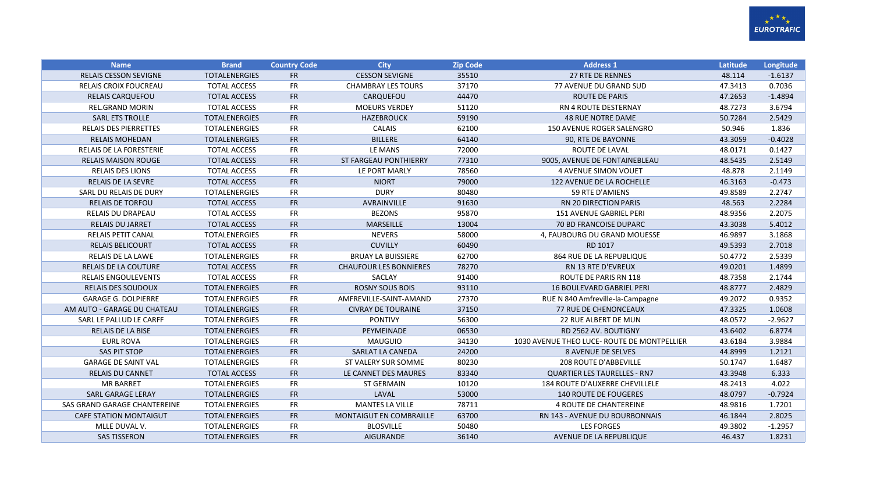

| <b>Name</b>                    | <b>Brand</b>         | <b>Country Code</b> | <b>City</b>                   | <b>Zip Code</b> | <b>Address 1</b>                            | Latitude | Longitude |
|--------------------------------|----------------------|---------------------|-------------------------------|-----------------|---------------------------------------------|----------|-----------|
| <b>RELAIS CESSON SEVIGNE</b>   | <b>TOTALENERGIES</b> | <b>FR</b>           | <b>CESSON SEVIGNE</b>         | 35510           | <b>27 RTE DE RENNES</b>                     | 48.114   | $-1.6137$ |
| <b>RELAIS CROIX FOUCREAU</b>   | <b>TOTAL ACCESS</b>  | <b>FR</b>           | <b>CHAMBRAY LES TOURS</b>     | 37170           | 77 AVENUE DU GRAND SUD                      | 47.3413  | 0.7036    |
| <b>RELAIS CARQUEFOU</b>        | <b>TOTAL ACCESS</b>  | <b>FR</b>           | CARQUEFOU                     | 44470           | <b>ROUTE DE PARIS</b>                       | 47.2653  | $-1.4894$ |
| <b>REL.GRAND MORIN</b>         | <b>TOTAL ACCESS</b>  | <b>FR</b>           | <b>MOEURS VERDEY</b>          | 51120           | <b>RN 4 ROUTE DESTERNAY</b>                 | 48.7273  | 3.6794    |
| <b>SARL ETS TROLLE</b>         | <b>TOTALENERGIES</b> | <b>FR</b>           | <b>HAZEBROUCK</b>             | 59190           | <b>48 RUE NOTRE DAME</b>                    | 50.7284  | 2.5429    |
| <b>RELAIS DES PIERRETTES</b>   | <b>TOTALENERGIES</b> | FR                  | <b>CALAIS</b>                 | 62100           | 150 AVENUE ROGER SALENGRO                   | 50.946   | 1.836     |
| <b>RELAIS MOHEDAN</b>          | <b>TOTALENERGIES</b> | <b>FR</b>           | <b>BILLERE</b>                | 64140           | 90, RTE DE BAYONNE                          | 43.3059  | $-0.4028$ |
| <b>RELAIS DE LA FORESTERIE</b> | <b>TOTAL ACCESS</b>  | FR                  | LE MANS                       | 72000           | ROUTE DE LAVAL                              | 48.0171  | 0.1427    |
| <b>RELAIS MAISON ROUGE</b>     | <b>TOTAL ACCESS</b>  | <b>FR</b>           | ST FARGEAU PONTHIERRY         | 77310           | 9005, AVENUE DE FONTAINEBLEAU               | 48.5435  | 2.5149    |
| <b>RELAIS DES LIONS</b>        | <b>TOTAL ACCESS</b>  | <b>FR</b>           | LE PORT MARLY                 | 78560           | <b>4 AVENUE SIMON VOUET</b>                 | 48.878   | 2.1149    |
| <b>RELAIS DE LA SEVRE</b>      | <b>TOTAL ACCESS</b>  | <b>FR</b>           | <b>NIORT</b>                  | 79000           | 122 AVENUE DE LA ROCHELLE                   | 46.3163  | $-0.473$  |
| SARL DU RELAIS DE DURY         | <b>TOTALENERGIES</b> | <b>FR</b>           | <b>DURY</b>                   | 80480           | 59 RTE D'AMIENS                             | 49.8589  | 2.2747    |
| <b>RELAIS DE TORFOU</b>        | <b>TOTAL ACCESS</b>  | <b>FR</b>           | AVRAINVILLE                   | 91630           | <b>RN 20 DIRECTION PARIS</b>                | 48.563   | 2.2284    |
| RELAIS DU DRAPEAU              | <b>TOTAL ACCESS</b>  | <b>FR</b>           | <b>BEZONS</b>                 | 95870           | 151 AVENUE GABRIEL PERI                     | 48.9356  | 2.2075    |
| <b>RELAIS DU JARRET</b>        | <b>TOTAL ACCESS</b>  | <b>FR</b>           | <b>MARSEILLE</b>              | 13004           | <b>70 BD FRANCOISE DUPARC</b>               | 43.3038  | 5.4012    |
| <b>RELAIS PETIT CANAL</b>      | <b>TOTALENERGIES</b> | <b>FR</b>           | <b>NEVERS</b>                 | 58000           | 4, FAUBOURG DU GRAND MOUESSE                | 46.9897  | 3.1868    |
| <b>RELAIS BELICOURT</b>        | <b>TOTAL ACCESS</b>  | <b>FR</b>           | <b>CUVILLY</b>                | 60490           | RD 1017                                     | 49.5393  | 2.7018    |
| <b>RELAIS DE LA LAWE</b>       | <b>TOTALENERGIES</b> | <b>FR</b>           | <b>BRUAY LA BUISSIERE</b>     | 62700           | <b>864 RUE DE LA REPUBLIQUE</b>             | 50.4772  | 2.5339    |
| <b>RELAIS DE LA COUTURE</b>    | <b>TOTAL ACCESS</b>  | <b>FR</b>           | <b>CHAUFOUR LES BONNIERES</b> | 78270           | RN 13 RTE D'EVREUX                          | 49.0201  | 1.4899    |
| <b>RELAIS ENGOULEVENTS</b>     | <b>TOTAL ACCESS</b>  | <b>FR</b>           | <b>SACLAY</b>                 | 91400           | ROUTE DE PARIS RN 118                       | 48.7358  | 2.1744    |
| <b>RELAIS DES SOUDOUX</b>      | <b>TOTALENERGIES</b> | <b>FR</b>           | <b>ROSNY SOUS BOIS</b>        | 93110           | <b>16 BOULEVARD GABRIEL PERI</b>            | 48.8777  | 2.4829    |
| <b>GARAGE G. DOLPIERRE</b>     | <b>TOTALENERGIES</b> | <b>FR</b>           | AMFREVILLE-SAINT-AMAND        | 27370           | RUE N 840 Amfreville-la-Campagne            | 49.2072  | 0.9352    |
| AM AUTO - GARAGE DU CHATEAU    | <b>TOTALENERGIES</b> | <b>FR</b>           | <b>CIVRAY DE TOURAINE</b>     | 37150           | <b>77 RUE DE CHENONCEAUX</b>                | 47.3325  | 1.0608    |
| SARL LE PALLUD LE CARFF        | <b>TOTALENERGIES</b> | <b>FR</b>           | <b>PONTIVY</b>                | 56300           | 22 RUE ALBERT DE MUN                        | 48.0572  | $-2.9627$ |
| <b>RELAIS DE LA BISE</b>       | <b>TOTALENERGIES</b> | <b>FR</b>           | PEYMEINADE                    | 06530           | RD 2562 AV. BOUTIGNY                        | 43.6402  | 6.8774    |
| <b>EURL ROVA</b>               | <b>TOTALENERGIES</b> | <b>FR</b>           | <b>MAUGUIO</b>                | 34130           | 1030 AVENUE THEO LUCE- ROUTE DE MONTPELLIER | 43.6184  | 3.9884    |
| <b>SAS PIT STOP</b>            | <b>TOTALENERGIES</b> | <b>FR</b>           | SARLAT LA CANEDA              | 24200           | <b>8 AVENUE DE SELVES</b>                   | 44.8999  | 1.2121    |
| <b>GARAGE DE SAINT VAL</b>     | <b>TOTALENERGIES</b> | <b>FR</b>           | ST VALERY SUR SOMME           | 80230           | <b>208 ROUTE D'ABBEVILLE</b>                | 50.1747  | 1.6487    |
| <b>RELAIS DU CANNET</b>        | <b>TOTAL ACCESS</b>  | <b>FR</b>           | LE CANNET DES MAURES          | 83340           | <b>QUARTIER LES TAURELLES - RN7</b>         | 43.3948  | 6.333     |
| <b>MR BARRET</b>               | <b>TOTALENERGIES</b> | <b>FR</b>           | <b>ST GERMAIN</b>             | 10120           | <b>184 ROUTE D'AUXERRE CHEVILLELE</b>       | 48.2413  | 4.022     |
| SARL GARAGE LERAY              | <b>TOTALENERGIES</b> | <b>FR</b>           | LAVAL                         | 53000           | <b>140 ROUTE DE FOUGERES</b>                | 48.0797  | $-0.7924$ |
| SAS GRAND GARAGE CHANTEREINE   | <b>TOTALENERGIES</b> | <b>FR</b>           | <b>MANTES LA VILLE</b>        | 78711           | <b>4 ROUTE DE CHANTEREINE</b>               | 48.9816  | 1.7201    |
| <b>CAFE STATION MONTAIGUT</b>  | <b>TOTALENERGIES</b> | <b>FR</b>           | MONTAIGUT EN COMBRAILLE       | 63700           | RN 143 - AVENUE DU BOURBONNAIS              | 46.1844  | 2.8025    |
| MLLE DUVAL V.                  | <b>TOTALENERGIES</b> | <b>FR</b>           | <b>BLOSVILLE</b>              | 50480           | <b>LES FORGES</b>                           | 49.3802  | $-1.2957$ |
| <b>SAS TISSERON</b>            | <b>TOTALENERGIES</b> | <b>FR</b>           | <b>AIGURANDE</b>              | 36140           | AVENUE DE LA REPUBLIQUE                     | 46.437   | 1.8231    |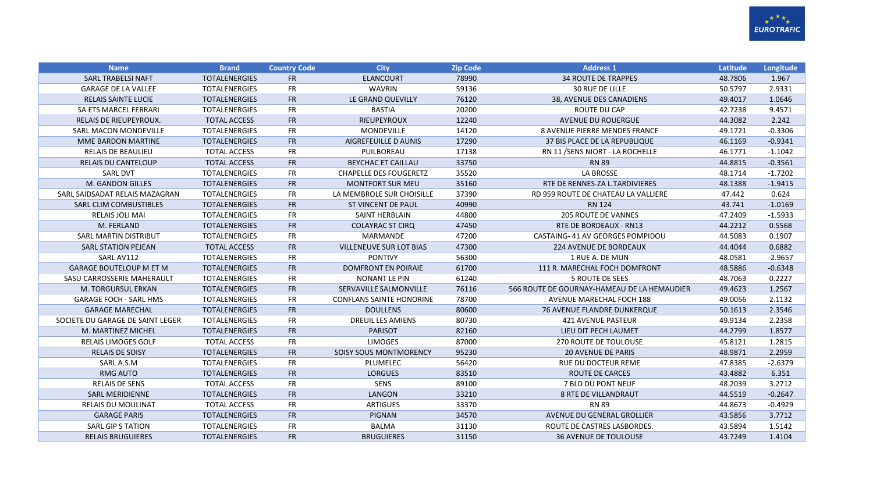

| <b>Name</b>                      | <b>Brand</b>         | <b>Country Code</b> | City                            | <b>Zip Code</b> | <b>Address 1</b>                            | Latitude | Longitude |
|----------------------------------|----------------------|---------------------|---------------------------------|-----------------|---------------------------------------------|----------|-----------|
| <b>SARL TRABELSI NAFT</b>        | <b>TOTALENERGIES</b> | <b>FR</b>           | <b>ELANCOURT</b>                | 78990           | <b>34 ROUTE DE TRAPPES</b>                  | 48.7806  | 1.967     |
| <b>GARAGE DE LA VALLEE</b>       | <b>TOTALENERGIES</b> | <b>FR</b>           | <b>WAVRIN</b>                   | 59136           | <b>30 RUE DE LILLE</b>                      | 50.5797  | 2.9331    |
| <b>RELAIS SAINTE LUCIE</b>       | <b>TOTALENERGIES</b> | <b>FR</b>           | LE GRAND QUEVILLY               | 76120           | 38, AVENUE DES CANADIENS                    | 49.4017  | 1.0646    |
| SA ETS MARCEL FERRARI            | <b>TOTALENERGIES</b> | <b>FR</b>           | <b>BASTIA</b>                   | 20200           | ROUTE DU CAP                                | 42.7238  | 9.4571    |
| RELAIS DE RIEUPEYROUX.           | <b>TOTAL ACCESS</b>  | <b>FR</b>           | RIEUPEYROUX                     | 12240           | <b>AVENUE DU ROUERGUE</b>                   | 44.3082  | 2.242     |
| SARL MACON MONDEVILLE            | <b>TOTALENERGIES</b> | <b>FR</b>           | <b>MONDEVILLE</b>               | 14120           | <b>8 AVENUE PIERRE MENDES FRANCE</b>        | 49.1721  | $-0.3306$ |
| <b>MME BARDON MARTINE</b>        | <b>TOTALENERGIES</b> | <b>FR</b>           | <b>AIGREFEUILLE D AUNIS</b>     | 17290           | 37 BIS PLACE DE LA REPUBLIQUE               | 46.1169  | $-0.9341$ |
| <b>RELAIS DE BEAULIEU</b>        | <b>TOTAL ACCESS</b>  | <b>FR</b>           | PUILBOREAU                      | 17138           | RN 11 / SENS NIORT - LA ROCHELLE            | 46.1771  | $-1.1042$ |
| <b>RELAIS DU CANTELOUP</b>       | <b>TOTAL ACCESS</b>  | ${\sf FR}$          | BEYCHAC ET CAILLAU              | 33750           | <b>RN 89</b>                                | 44.8815  | $-0.3561$ |
| <b>SARL DVT</b>                  | <b>TOTALENERGIES</b> | <b>FR</b>           | <b>CHAPELLE DES FOUGERETZ</b>   | 35520           | <b>LA BROSSE</b>                            | 48.1714  | $-1.7202$ |
| M. GANDON GILLES                 | <b>TOTALENERGIES</b> | <b>FR</b>           | <b>MONTFORT SUR MEU</b>         | 35160           | RTE DE RENNES-ZA L.TARDIVIERES              | 48.1388  | $-1.9415$ |
| SARL SAIDSADAT RELAIS MAZAGRAN   | <b>TOTALENERGIES</b> | <b>FR</b>           | LA MEMBROLE SUR CHOISILLE       | 37390           | RD 959 ROUTE DE CHATEAU LA VALLIERE         | 47.442   | 0.624     |
| SARL CLIM COMBUSTIBLES           | <b>TOTALENERGIES</b> | FR                  | <b>ST VINCENT DE PAUL</b>       | 40990           | <b>RN 124</b>                               | 43.741   | $-1.0169$ |
| <b>RELAIS JOLI MAI</b>           | <b>TOTALENERGIES</b> | <b>FR</b>           | SAINT HERBLAIN                  | 44800           | <b>205 ROUTE DE VANNES</b>                  | 47.2409  | $-1.5933$ |
| M. FERLAND                       | <b>TOTALENERGIES</b> | <b>FR</b>           | <b>COLAYRAC ST CIRQ</b>         | 47450           | RTE DE BORDEAUX - RN13                      | 44.2212  | 0.5568    |
| SARL MARTIN DISTRIBUT            | <b>TOTALENERGIES</b> | FR                  | MARMANDE                        | 47200           | CASTAING-41 AV GEORGES POMPIDOU             | 44.5083  | 0.1907    |
| <b>SARL STATION PEJEAN</b>       | <b>TOTAL ACCESS</b>  | <b>FR</b>           | <b>VILLENEUVE SUR LOT BIAS</b>  | 47300           | <b>224 AVENUE DE BORDEAUX</b>               | 44.4044  | 0.6882    |
| SARL AV112                       | <b>TOTALENERGIES</b> | <b>FR</b>           | <b>PONTIVY</b>                  | 56300           | 1 RUE A. DE MUN                             | 48.0581  | $-2.9657$ |
| <b>GARAGE BOUTELOUP M ET M</b>   | <b>TOTALENERGIES</b> | <b>FR</b>           | <b>DOMFRONT EN POIRAIE</b>      | 61700           | 111 R. MARECHAL FOCH DOMFRONT               | 48.5886  | $-0.6348$ |
| SASU CARROSSERIE MAHERAULT       | <b>TOTALENERGIES</b> | <b>FR</b>           | <b>NONANT LE PIN</b>            | 61240           | 5 ROUTE DE SEES                             | 48.7063  | 0.2227    |
| M. TORGURSUL ERKAN               | <b>TOTALENERGIES</b> | <b>FR</b>           | SERVAVILLE SALMONVILLE          | 76116           | 566 ROUTE DE GOURNAY-HAMEAU DE LA HEMAUDIER | 49.4623  | 1.2567    |
| <b>GARAGE FOCH - SARL HMS</b>    | <b>TOTALENERGIES</b> | <b>FR</b>           | <b>CONFLANS SAINTE HONORINE</b> | 78700           | AVENUE MARECHAL FOCH 188                    | 49.0056  | 2.1132    |
| <b>GARAGE MARECHAL</b>           | <b>TOTALENERGIES</b> | <b>FR</b>           | <b>DOULLENS</b>                 | 80600           | <b>76 AVENUE FLANDRE DUNKERQUE</b>          | 50.1613  | 2.3546    |
| SOCIETE DU GARAGE DE SAINT LEGER | <b>TOTALENERGIES</b> | <b>FR</b>           | <b>DREUIL LES AMIENS</b>        | 80730           | 421 AVENUE PASTEUR                          | 49.9134  | 2.2358    |
| M. MARTINEZ MICHEL               | <b>TOTALENERGIES</b> | FR                  | <b>PARISOT</b>                  | 82160           | LIEU DIT PECH LAUMET                        | 44.2799  | 1.8577    |
| <b>RELAIS LIMOGES GOLF</b>       | <b>TOTAL ACCESS</b>  | <b>FR</b>           | <b>LIMOGES</b>                  | 87000           | <b>270 ROUTE DE TOULOUSE</b>                | 45.8121  | 1.2815    |
| <b>RELAIS DE SOISY</b>           | <b>TOTALENERGIES</b> | <b>FR</b>           | SOISY SOUS MONTMORENCY          | 95230           | <b>20 AVENUE DE PARIS</b>                   | 48.9871  | 2.2959    |
| SARL A.S.M                       | <b>TOTALENERGIES</b> | <b>FR</b>           | PLUMELEC                        | 56420           | RUE DU DOCTEUR REME                         | 47.8385  | $-2.6379$ |
| <b>RMG AUTO</b>                  | <b>TOTALENERGIES</b> | <b>FR</b>           | <b>LORGUES</b>                  | 83510           | <b>ROUTE DE CARCES</b>                      | 43.4882  | 6.351     |
| <b>RELAIS DE SENS</b>            | <b>TOTAL ACCESS</b>  | <b>FR</b>           | SENS                            | 89100           | 7 BLD DU PONT NEUF                          | 48.2039  | 3.2712    |
| <b>SARL MERIDIENNE</b>           | <b>TOTALENERGIES</b> | <b>FR</b>           | LANGON                          | 33210           | <b>8 RTE DE VILLANDRAUT</b>                 | 44.5519  | $-0.2647$ |
| <b>RELAIS DU MOULINAT</b>        | <b>TOTAL ACCESS</b>  | <b>FR</b>           | <b>ARTIGUES</b>                 | 33370           | <b>RN 89</b>                                | 44.8673  | $-0.4929$ |
| <b>GARAGE PARIS</b>              | <b>TOTALENERGIES</b> | <b>FR</b>           | <b>PIGNAN</b>                   | 34570           | AVENUE DU GENERAL GROLLIER                  | 43.5856  | 3.7712    |
| <b>SARL GIP S TATION</b>         | <b>TOTALENERGIES</b> | <b>FR</b>           | <b>BALMA</b>                    | 31130           | ROUTE DE CASTRES LASBORDES.                 | 43.5894  | 1.5142    |
| <b>RELAIS BRUGUIERES</b>         | <b>TOTALENERGIES</b> | <b>FR</b>           | <b>BRUGUIERES</b>               | 31150           | <b>36 AVENUE DE TOULOUSE</b>                | 43.7249  | 1.4104    |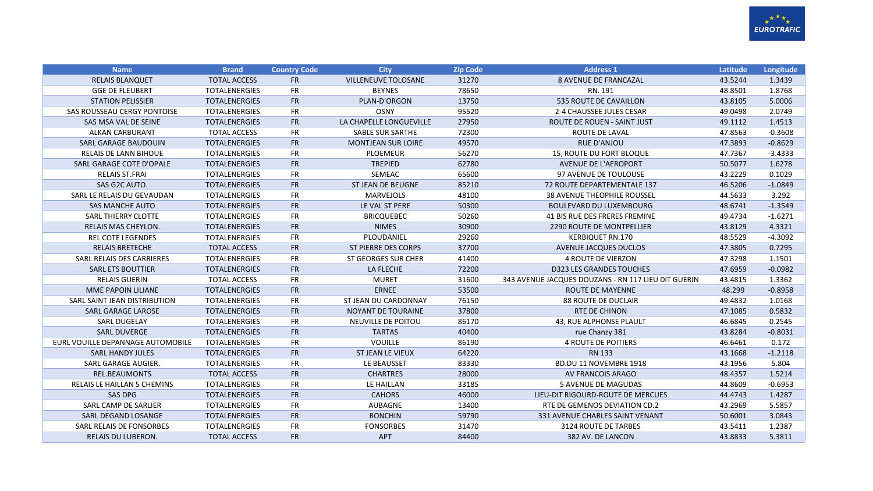

| <b>Name</b>                        | <b>Brand</b>         | <b>Country Code</b> | <b>City</b>                | <b>Zip Code</b> | <b>Address 1</b>                                    | <b>Latitude</b> | Longitude |
|------------------------------------|----------------------|---------------------|----------------------------|-----------------|-----------------------------------------------------|-----------------|-----------|
| <b>RELAIS BLANQUET</b>             | <b>TOTAL ACCESS</b>  | <b>FR</b>           | <b>VILLENEUVE TOLOSANE</b> | 31270           | 8 AVENUE DE FRANCAZAL                               | 43.5244         | 1.3439    |
| <b>GGE DE FLEUBERT</b>             | <b>TOTALENERGIES</b> | <b>FR</b>           | <b>BEYNES</b>              | 78650           | RN. 191                                             | 48.8501         | 1.8768    |
| <b>STATION PELISSIER</b>           | <b>TOTALENERGIES</b> | <b>FR</b>           | PLAN-D'ORGON               | 13750           | 535 ROUTE DE CAVAILLON                              | 43.8105         | 5.0006    |
| SAS ROUSSEAU CERGY PONTOISE        | <b>TOTALENERGIES</b> | <b>FR</b>           | <b>OSNY</b>                | 95520           | 2-4 CHAUSSEE JULES CESAR                            | 49.0498         | 2.0749    |
| SAS MSA VAL DE SEINE               | <b>TOTALENERGIES</b> | <b>FR</b>           | LA CHAPELLE LONGUEVILLE    | 27950           | ROUTE DE ROUEN - SAINT JUST                         | 49.1112         | 1.4513    |
| <b>ALKAN CARBURANT</b>             | <b>TOTAL ACCESS</b>  | FR                  | <b>SABLE SUR SARTHE</b>    | 72300           | ROUTE DE LAVAL                                      | 47.8563         | $-0.3608$ |
| SARL GARAGE BAUDOUIN               | <b>TOTALENERGIES</b> | <b>FR</b>           | <b>MONTJEAN SUR LOIRE</b>  | 49570           | <b>RUE D'ANJOU</b>                                  | 47.3893         | $-0.8629$ |
| RELAIS DE LANN BIHOUE              | <b>TOTALENERGIES</b> | <b>FR</b>           | <b>PLOEMEUR</b>            | 56270           | 15, ROUTE DU FORT BLOQUE                            | 47.7367         | $-3.4333$ |
| SARL GARAGE COTE D'OPALE           | <b>TOTALENERGIES</b> | <b>FR</b>           | <b>TREPIED</b>             | 62780           | AVENUE DE L'AEROPORT                                | 50.5077         | 1.6278    |
| <b>RELAIS ST.FRAI</b>              | <b>TOTALENERGIES</b> | FR                  | SEMEAC                     | 65600           | 97 AVENUE DE TOULOUSE                               | 43.2229         | 0.1029    |
| SAS G2C AUTO.                      | <b>TOTALENERGIES</b> | <b>FR</b>           | <b>ST JEAN DE BEUGNE</b>   | 85210           | 72 ROUTE DEPARTEMENTALE 137                         | 46.5206         | $-1.0849$ |
| SARL LE RELAIS DU GEVAUDAN         | <b>TOTALENERGIES</b> | FR                  | <b>MARVEJOLS</b>           | 48100           | <b>38 AVENUE THEOPHILE ROUSSEL</b>                  | 44.5633         | 3.292     |
| <b>SAS MANCHE AUTO</b>             | <b>TOTALENERGIES</b> | <b>FR</b>           | LE VAL ST PERE             | 50300           | <b>BOULEVARD DU LUXEMBOURG</b>                      | 48.6741         | $-1.3549$ |
| SARL THIERRY CLOTTE                | <b>TOTALENERGIES</b> | <b>FR</b>           | <b>BRICQUEBEC</b>          | 50260           | 41 BIS RUE DES FRERES FREMINE                       | 49.4734         | $-1.6271$ |
| RELAIS MAS CHEYLON.                | <b>TOTALENERGIES</b> | <b>FR</b>           | <b>NIMES</b>               | 30900           | 2290 ROUTE DE MONTPELLIER                           | 43.8129         | 4.3321    |
| <b>REL COTE LEGENDES</b>           | <b>TOTALENERGIES</b> | <b>FR</b>           | PLOUDANIEL                 | 29260           | <b>KERBIQUET RN.170</b>                             | 48.5529         | $-4.3092$ |
| <b>RELAIS BRETECHE</b>             | <b>TOTAL ACCESS</b>  | <b>FR</b>           | <b>ST PIERRE DES CORPS</b> | 37700           | AVENUE JACQUES DUCLOS                               | 47.3805         | 0.7295    |
| SARL RELAIS DES CARRIERES          | <b>TOTALENERGIES</b> | <b>FR</b>           | <b>ST GEORGES SUR CHER</b> | 41400           | <b>4 ROUTE DE VIERZON</b>                           | 47.3298         | 1.1501    |
| <b>SARL ETS BOUTTIER</b>           | <b>TOTALENERGIES</b> | <b>FR</b>           | LA FLECHE                  | 72200           | <b>D323 LES GRANDES TOUCHES</b>                     | 47.6959         | $-0.0982$ |
| <b>RELAIS GUERIN</b>               | <b>TOTAL ACCESS</b>  | <b>FR</b>           | <b>MURET</b>               | 31600           | 343 AVENUE JACQUES DOUZANS - RN 117 LIEU DIT GUERIN | 43.4815         | 1.3362    |
| MME PAPOIN LILIANE                 | <b>TOTALENERGIES</b> | <b>FR</b>           | <b>ERNEE</b>               | 53500           | <b>ROUTE DE MAYENNE</b>                             | 48.299          | $-0.8958$ |
| SARL SAINT JEAN DISTRIBUTION       | <b>TOTALENERGIES</b> | <b>FR</b>           | ST JEAN DU CARDONNAY       | 76150           | <b>88 ROUTE DE DUCLAIR</b>                          | 49.4832         | 1.0168    |
| <b>SARL GARAGE LAROSE</b>          | <b>TOTALENERGIES</b> | <b>FR</b>           | <b>NOYANT DE TOURAINE</b>  | 37800           | <b>RTE DE CHINON</b>                                | 47.1085         | 0.5832    |
| <b>SARL DUGELAY</b>                | <b>TOTALENERGIES</b> | <b>FR</b>           | NEUVILLE DE POITOU         | 86170           | 43, RUE ALPHONSE PLAULT                             | 46.6845         | 0.2545    |
| <b>SARL DUVERGE</b>                | <b>TOTALENERGIES</b> | <b>FR</b>           | <b>TARTAS</b>              | 40400           | rue Chanzy 381                                      | 43.8284         | $-0.8031$ |
| EURL VOUILLE DEPANNAGE AUTOMOBILE  | <b>TOTALENERGIES</b> | <b>FR</b>           | <b>VOUILLE</b>             | 86190           | <b>4 ROUTE DE POITIERS</b>                          | 46.6461         | 0.172     |
| <b>SARL HANDY JULES</b>            | <b>TOTALENERGIES</b> | <b>FR</b>           | ST JEAN LE VIEUX           | 64220           | <b>RN 133</b>                                       | 43.1668         | $-1.2118$ |
| SARL GARAGE AUGIER.                | <b>TOTALENERGIES</b> | <b>FR</b>           | LE BEAUSSET                | 83330           | BD.DU 11 NOVEMBRE 1918                              | 43.1956         | 5.804     |
| REL.BEAUMONTS                      | <b>TOTAL ACCESS</b>  | <b>FR</b>           | <b>CHARTRES</b>            | 28000           | AV FRANCOIS ARAGO                                   | 48.4357         | 1.5214    |
| <b>RELAIS LE HAILLAN 5 CHEMINS</b> | <b>TOTALENERGIES</b> | <b>FR</b>           | LE HAILLAN                 | 33185           | <b>5 AVENUE DE MAGUDAS</b>                          | 44.8609         | $-0.6953$ |
| <b>SAS DPG</b>                     | <b>TOTALENERGIES</b> | <b>FR</b>           | <b>CAHORS</b>              | 46000           | LIEU-DIT RIGOURD-ROUTE DE MERCUES                   | 44.4743         | 1.4287    |
| SARL CAMP DE SARLIER               | TOTALENERGIES        | <b>FR</b>           | AUBAGNE                    | 13400           | RTE DE GEMENOS DEVIATION CD.2                       | 43.2969         | 5.5857    |
| SARL DEGAND LOSANGE                | <b>TOTALENERGIES</b> | <b>FR</b>           | <b>RONCHIN</b>             | 59790           | 331 AVENUE CHARLES SAINT VENANT                     | 50.6001         | 3.0843    |
| SARL RELAIS DE FONSORBES           | <b>TOTALENERGIES</b> | <b>FR</b>           | <b>FONSORBES</b>           | 31470           | 3124 ROUTE DE TARBES                                | 43.5411         | 1.2387    |
| <b>RELAIS DU LUBERON.</b>          | <b>TOTAL ACCESS</b>  | <b>FR</b>           | APT                        | 84400           | 382 AV. DE LANCON                                   | 43.8833         | 5.3811    |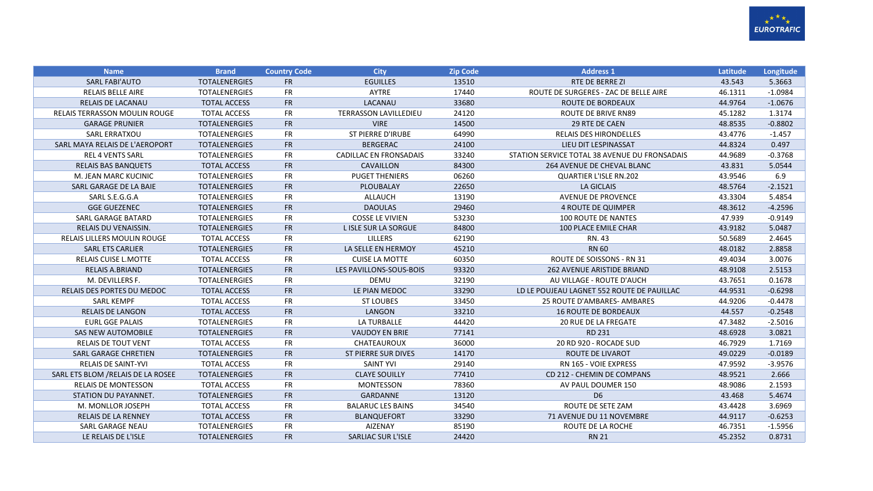

| <b>Name</b>                          | <b>Brand</b>         | <b>Country Code</b> | <b>City</b>                   | <b>Zip Code</b> | <b>Address 1</b>                              | Latitude | Longitude |
|--------------------------------------|----------------------|---------------------|-------------------------------|-----------------|-----------------------------------------------|----------|-----------|
| <b>SARL FABI'AUTO</b>                | <b>TOTALENERGIES</b> | <b>FR</b>           | <b>EGUILLES</b>               | 13510           | RTE DE BERRE ZI                               | 43.543   | 5.3663    |
| <b>RELAIS BELLE AIRE</b>             | <b>TOTALENERGIES</b> | <b>FR</b>           | AYTRE                         | 17440           | ROUTE DE SURGERES - ZAC DE BELLE AIRE         | 46.1311  | $-1.0984$ |
| <b>RELAIS DE LACANAU</b>             | <b>TOTAL ACCESS</b>  | <b>FR</b>           | LACANAU                       | 33680           | ROUTE DE BORDEAUX                             | 44.9764  | $-1.0676$ |
| <b>RELAIS TERRASSON MOULIN ROUGE</b> | <b>TOTAL ACCESS</b>  | <b>FR</b>           | <b>TERRASSON LAVILLEDIEU</b>  | 24120           | <b>ROUTE DE BRIVE RN89</b>                    | 45.1282  | 1.3174    |
| <b>GARAGE PRUNIER</b>                | <b>TOTALENERGIES</b> | <b>FR</b>           | <b>VIRE</b>                   | 14500           | 29 RTE DE CAEN                                | 48.8535  | $-0.8802$ |
| <b>SARL ERRATXOU</b>                 | <b>TOTALENERGIES</b> | <b>FR</b>           | <b>ST PIERRE D'IRUBE</b>      | 64990           | <b>RELAIS DES HIRONDELLES</b>                 | 43.4776  | $-1.457$  |
| SARL MAYA RELAIS DE L'AEROPORT       | <b>TOTALENERGIES</b> | <b>FR</b>           | <b>BERGERAC</b>               | 24100           | LIEU DIT LESPINASSAT                          | 44.8324  | 0.497     |
| <b>REL 4 VENTS SARL</b>              | <b>TOTALENERGIES</b> | <b>FR</b>           | <b>CADILLAC EN FRONSADAIS</b> | 33240           | STATION SERVICE TOTAL 38 AVENUE DU FRONSADAIS | 44.9689  | $-0.3768$ |
| <b>RELAIS BAS BANQUETS</b>           | <b>TOTAL ACCESS</b>  | <b>FR</b>           | <b>CAVAILLON</b>              | 84300           | 264 AVENUE DE CHEVAL BLANC                    | 43.831   | 5.0544    |
| M. JEAN MARC KUCINIC                 | <b>TOTALENERGIES</b> | <b>FR</b>           | <b>PUGET THENIERS</b>         | 06260           | <b>QUARTIER L'ISLE RN.202</b>                 | 43.9546  | 6.9       |
| SARL GARAGE DE LA BAIE               | <b>TOTALENERGIES</b> | <b>FR</b>           | PLOUBALAY                     | 22650           | <b>LA GICLAIS</b>                             | 48.5764  | $-2.1521$ |
| SARL S.E.G.G.A                       | <b>TOTALENERGIES</b> | <b>FR</b>           | ALLAUCH                       | 13190           | <b>AVENUE DE PROVENCE</b>                     | 43.3304  | 5.4854    |
| <b>GGE GUEZENEC</b>                  | <b>TOTALENERGIES</b> | <b>FR</b>           | <b>DAOULAS</b>                | 29460           | <b>4 ROUTE DE QUIMPER</b>                     | 48.3612  | $-4.2596$ |
| SARL GARAGE BATARD                   | <b>TOTALENERGIES</b> | FR                  | <b>COSSE LE VIVIEN</b>        | 53230           | <b>100 ROUTE DE NANTES</b>                    | 47.939   | $-0.9149$ |
| <b>RELAIS DU VENAISSIN.</b>          | <b>TOTALENERGIES</b> | <b>FR</b>           | L ISLE SUR LA SORGUE          | 84800           | 100 PLACE EMILE CHAR                          | 43.9182  | 5.0487    |
| <b>RELAIS LILLERS MOULIN ROUGE</b>   | <b>TOTAL ACCESS</b>  | <b>FR</b>           | <b>LILLERS</b>                | 62190           | RN. 43                                        | 50.5689  | 2.4645    |
| <b>SARL ETS CARLIER</b>              | <b>TOTALENERGIES</b> | <b>FR</b>           | LA SELLE EN HERMOY            | 45210           | <b>RN 60</b>                                  | 48.0182  | 2.8858    |
| <b>RELAIS CUISE L.MOTTE</b>          | <b>TOTAL ACCESS</b>  | <b>FR</b>           | <b>CUISE LA MOTTE</b>         | 60350           | ROUTE DE SOISSONS - RN 31                     | 49.4034  | 3.0076    |
| <b>RELAIS A.BRIAND</b>               | <b>TOTALENERGIES</b> | <b>FR</b>           | LES PAVILLONS-SOUS-BOIS       | 93320           | 262 AVENUE ARISTIDE BRIAND                    | 48.9108  | 2.5153    |
| M. DEVILLERS F.                      | <b>TOTALENERGIES</b> | <b>FR</b>           | <b>DEMU</b>                   | 32190           | AU VILLAGE - ROUTE D'AUCH                     | 43.7651  | 0.1678    |
| RELAIS DES PORTES DU MEDOC           | <b>TOTAL ACCESS</b>  | <b>FR</b>           | LE PIAN MEDOC                 | 33290           | LD LE POUJEAU LAGNET 552 ROUTE DE PAUILLAC    | 44.9531  | $-0.6298$ |
| <b>SARL KEMPF</b>                    | <b>TOTAL ACCESS</b>  | <b>FR</b>           | <b>ST LOUBES</b>              | 33450           | 25 ROUTE D'AMBARES- AMBARES                   | 44.9206  | $-0.4478$ |
| <b>RELAIS DE LANGON</b>              | <b>TOTAL ACCESS</b>  | <b>FR</b>           | LANGON                        | 33210           | <b>16 ROUTE DE BORDEAUX</b>                   | 44.557   | $-0.2548$ |
| <b>EURL GGE PALAIS</b>               | <b>TOTALENERGIES</b> | <b>FR</b>           | LA TURBALLE                   | 44420           | <b>20 RUE DE LA FREGATE</b>                   | 47.3482  | $-2.5016$ |
| <b>SAS NEW AUTOMOBILE</b>            | <b>TOTALENERGIES</b> | <b>FR</b>           | <b>VAUDOY EN BRIE</b>         | 77141           | RD 231                                        | 48.6928  | 3.0821    |
| <b>RELAIS DE TOUT VENT</b>           | <b>TOTAL ACCESS</b>  | <b>FR</b>           | CHATEAUROUX                   | 36000           | 20 RD 920 - ROCADE SUD                        | 46.7929  | 1.7169    |
| <b>SARL GARAGE CHRETIEN</b>          | <b>TOTALENERGIES</b> | <b>FR</b>           | <b>ST PIERRE SUR DIVES</b>    | 14170           | <b>ROUTE DE LIVAROT</b>                       | 49.0229  | $-0.0189$ |
| <b>RELAIS DE SAINT-YVI</b>           | <b>TOTAL ACCESS</b>  | <b>FR</b>           | <b>SAINT YVI</b>              | 29140           | RN 165 - VOIE EXPRESS                         | 47.9592  | $-3.9576$ |
| SARL ETS BLOM / RELAIS DE LA ROSEE   | <b>TOTALENERGIES</b> | <b>FR</b>           | <b>CLAYE SOUILLY</b>          | 77410           | CD 212 - CHEMIN DE COMPANS                    | 48.9521  | 2.666     |
| <b>RELAIS DE MONTESSON</b>           | <b>TOTAL ACCESS</b>  | <b>FR</b>           | MONTESSON                     | 78360           | AV PAUL DOUMER 150                            | 48.9086  | 2.1593    |
| STATION DU PAYANNET.                 | <b>TOTALENERGIES</b> | <b>FR</b>           | GARDANNE                      | 13120           | D <sub>6</sub>                                | 43.468   | 5.4674    |
| M. MONLLOR JOSEPH                    | <b>TOTAL ACCESS</b>  | <b>FR</b>           | <b>BALARUC LES BAINS</b>      | 34540           | ROUTE DE SETE ZAM                             | 43.4428  | 3.6969    |
| <b>RELAIS DE LA RENNEY</b>           | <b>TOTAL ACCESS</b>  | <b>FR</b>           | <b>BLANQUEFORT</b>            | 33290           | 71 AVENUE DU 11 NOVEMBRE                      | 44.9117  | $-0.6253$ |
| <b>SARL GARAGE NEAU</b>              | <b>TOTALENERGIES</b> | <b>FR</b>           | <b>AIZENAY</b>                | 85190           | ROUTE DE LA ROCHE                             | 46.7351  | $-1.5956$ |
| LE RELAIS DE L'ISLE                  | <b>TOTALENERGIES</b> | <b>FR</b>           | <b>SARLIAC SUR L'ISLE</b>     | 24420           | <b>RN 21</b>                                  | 45.2352  | 0.8731    |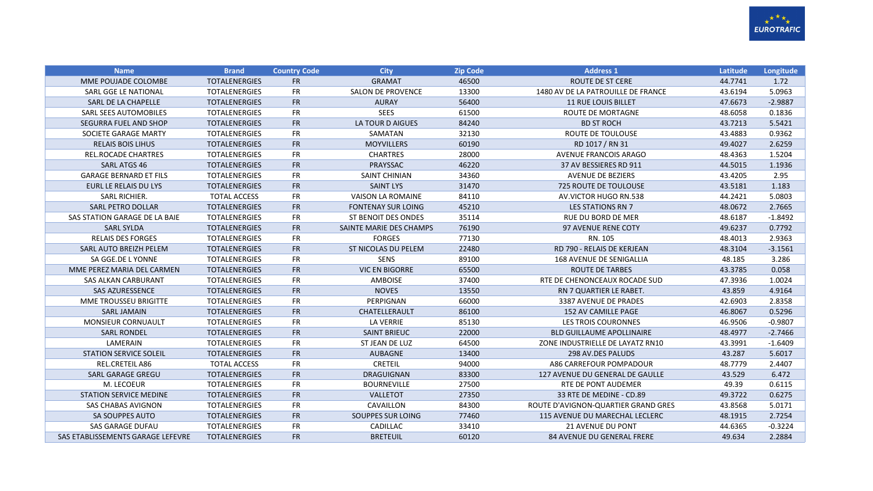

| <b>Name</b>                       | <b>Brand</b>         | <b>Country Code</b> | <b>City</b>               | <b>Zip Code</b> | <b>Address 1</b>                    | Latitude | Longitude |
|-----------------------------------|----------------------|---------------------|---------------------------|-----------------|-------------------------------------|----------|-----------|
| MME POUJADE COLOMBE               | <b>TOTALENERGIES</b> | <b>FR</b>           | <b>GRAMAT</b>             | 46500           | <b>ROUTE DE ST CERE</b>             | 44.7741  | 1.72      |
| SARL GGE LE NATIONAL              | <b>TOTALENERGIES</b> | <b>FR</b>           | <b>SALON DE PROVENCE</b>  | 13300           | 1480 AV DE LA PATROUILLE DE FRANCE  | 43.6194  | 5.0963    |
| SARL DE LA CHAPELLE               | <b>TOTALENERGIES</b> | <b>FR</b>           | <b>AURAY</b>              | 56400           | <b>11 RUE LOUIS BILLET</b>          | 47.6673  | $-2.9887$ |
| SARL SEES AUTOMOBILES             | <b>TOTALENERGIES</b> | FR                  | <b>SEES</b>               | 61500           | ROUTE DE MORTAGNE                   | 48.6058  | 0.1836    |
| SEGURRA FUEL AND SHOP             | <b>TOTALENERGIES</b> | <b>FR</b>           | LA TOUR D AIGUES          | 84240           | <b>BD ST ROCH</b>                   | 43.7213  | 5.5421    |
| SOCIETE GARAGE MARTY              | <b>TOTALENERGIES</b> | FR                  | SAMATAN                   | 32130           | ROUTE DE TOULOUSE                   | 43.4883  | 0.9362    |
| <b>RELAIS BOIS LIHUS</b>          | <b>TOTALENERGIES</b> | <b>FR</b>           | <b>MOYVILLERS</b>         | 60190           | RD 1017 / RN 31                     | 49.4027  | 2.6259    |
| <b>REL.ROCADE CHARTRES</b>        | <b>TOTALENERGIES</b> | FR                  | <b>CHARTRES</b>           | 28000           | <b>AVENUE FRANCOIS ARAGO</b>        | 48.4363  | 1.5204    |
| <b>SARL ATGS 46</b>               | <b>TOTALENERGIES</b> | <b>FR</b>           | PRAYSSAC                  | 46220           | 37 AV BESSIERES RD 911              | 44.5015  | 1.1936    |
| <b>GARAGE BERNARD ET FILS</b>     | <b>TOTALENERGIES</b> | FR                  | <b>SAINT CHINIAN</b>      | 34360           | <b>AVENUE DE BEZIERS</b>            | 43.4205  | 2.95      |
| EURL LE RELAIS DU LYS             | <b>TOTALENERGIES</b> | <b>FR</b>           | <b>SAINT LYS</b>          | 31470           | <b>725 ROUTE DE TOULOUSE</b>        | 43.5181  | 1.183     |
| SARL RICHIER.                     | <b>TOTAL ACCESS</b>  | FR                  | <b>VAISON LA ROMAINE</b>  | 84110           | AV.VICTOR HUGO RN.538               | 44.2421  | 5.0803    |
| <b>SARL PETRO DOLLAR</b>          | <b>TOTALENERGIES</b> | <b>FR</b>           | <b>FONTENAY SUR LOING</b> | 45210           | <b>LES STATIONS RN 7</b>            | 48.0672  | 2.7665    |
| SAS STATION GARAGE DE LA BAIE     | <b>TOTALENERGIES</b> | FR                  | ST BENOIT DES ONDES       | 35114           | <b>RUE DU BORD DE MER</b>           | 48.6187  | $-1.8492$ |
| <b>SARL SYLDA</b>                 | <b>TOTALENERGIES</b> | <b>FR</b>           | SAINTE MARIE DES CHAMPS   | 76190           | 97 AVENUE RENE COTY                 | 49.6237  | 0.7792    |
| <b>RELAIS DES FORGES</b>          | <b>TOTALENERGIES</b> | FR                  | <b>FORGES</b>             | 77130           | RN. 105                             | 48.4013  | 2.9363    |
| SARL AUTO BREIZH PELEM            | <b>TOTALENERGIES</b> | <b>FR</b>           | ST NICOLAS DU PELEM       | 22480           | RD 790 - RELAIS DE KERJEAN          | 48.3104  | $-3.1561$ |
| SA GGE.DE L YONNE                 | <b>TOTALENERGIES</b> | <b>FR</b>           | <b>SENS</b>               | 89100           | <b>168 AVENUE DE SENIGALLIA</b>     | 48.185   | 3.286     |
| MME PEREZ MARIA DEL CARMEN        | <b>TOTALENERGIES</b> | <b>FR</b>           | <b>VIC EN BIGORRE</b>     | 65500           | <b>ROUTE DE TARBES</b>              | 43.3785  | 0.058     |
| <b>SAS ALKAN CARBURANT</b>        | <b>TOTALENERGIES</b> | FR                  | <b>AMBOISE</b>            | 37400           | RTE DE CHENONCEAUX ROCADE SUD       | 47.3936  | 1.0024    |
| <b>SAS AZURESSENCE</b>            | <b>TOTALENERGIES</b> | <b>FR</b>           | <b>NOVES</b>              | 13550           | RN 7 QUARTIER LE RABET.             | 43.859   | 4.9164    |
| MME TROUSSEU BRIGITTE             | <b>TOTALENERGIES</b> | FR                  | PERPIGNAN                 | 66000           | 3387 AVENUE DE PRADES               | 42.6903  | 2.8358    |
| <b>SARL JAMAIN</b>                | <b>TOTALENERGIES</b> | <b>FR</b>           | CHATELLERAULT             | 86100           | 152 AV CAMILLE PAGE                 | 46.8067  | 0.5296    |
| <b>MONSIEUR CORNUAULT</b>         | <b>TOTALENERGIES</b> | <b>FR</b>           | <b>LA VERRIE</b>          | 85130           | <b>LES TROIS COURONNES</b>          | 46.9506  | $-0.9807$ |
| <b>SARL RONDEL</b>                | <b>TOTALENERGIES</b> | <b>FR</b>           | <b>SAINT BRIEUC</b>       | 22000           | <b>BLD GUILLAUME APOLLINAIRE</b>    | 48.4977  | $-2.7466$ |
| LAMERAIN                          | <b>TOTALENERGIES</b> | <b>FR</b>           | ST JEAN DE LUZ            | 64500           | ZONE INDUSTRIELLE DE LAYATZ RN10    | 43.3991  | $-1.6409$ |
| <b>STATION SERVICE SOLEIL</b>     | <b>TOTALENERGIES</b> | <b>FR</b>           | <b>AUBAGNE</b>            | 13400           | 298 AV.DES PALUDS                   | 43.287   | 5.6017    |
| <b>REL.CRETEIL A86</b>            | <b>TOTAL ACCESS</b>  | <b>FR</b>           | <b>CRETEIL</b>            | 94000           | A86 CARREFOUR POMPADOUR             | 48.7779  | 2.4407    |
| <b>SARL GARAGE GREGU</b>          | <b>TOTALENERGIES</b> | <b>FR</b>           | <b>DRAGUIGNAN</b>         | 83300           | 127 AVENUE DU GENERAL DE GAULLE     | 43.529   | 6.472     |
| M. LECOEUR                        | <b>TOTALENERGIES</b> | <b>FR</b>           | <b>BOURNEVILLE</b>        | 27500           | <b>RTE DE PONT AUDEMER</b>          | 49.39    | 0.6115    |
| <b>STATION SERVICE MEDINE</b>     | <b>TOTALENERGIES</b> | <b>FR</b>           | VALLETOT                  | 27350           | 33 RTE DE MEDINE - CD.89            | 49.3722  | 0.6275    |
| <b>SAS CHABAS AVIGNON</b>         | <b>TOTALENERGIES</b> | <b>FR</b>           | CAVAILLON                 | 84300           | ROUTE D'AVIGNON-QUARTIER GRAND GRES | 43.8568  | 5.0171    |
| SA SOUPPES AUTO                   | <b>TOTALENERGIES</b> | <b>FR</b>           | SOUPPES SUR LOING         | 77460           | 115 AVENUE DU MARECHAL LECLERC      | 48.1915  | 2.7254    |
| <b>SAS GARAGE DUFAU</b>           | <b>TOTALENERGIES</b> | FR                  | CADILLAC                  | 33410           | 21 AVENUE DU PONT                   | 44.6365  | $-0.3224$ |
| SAS ETABLISSEMENTS GARAGE LEFEVRE | <b>TOTALENERGIES</b> | <b>FR</b>           | <b>BRETEUIL</b>           | 60120           | <b>84 AVENUE DU GENERAL FRERE</b>   | 49.634   | 2.2884    |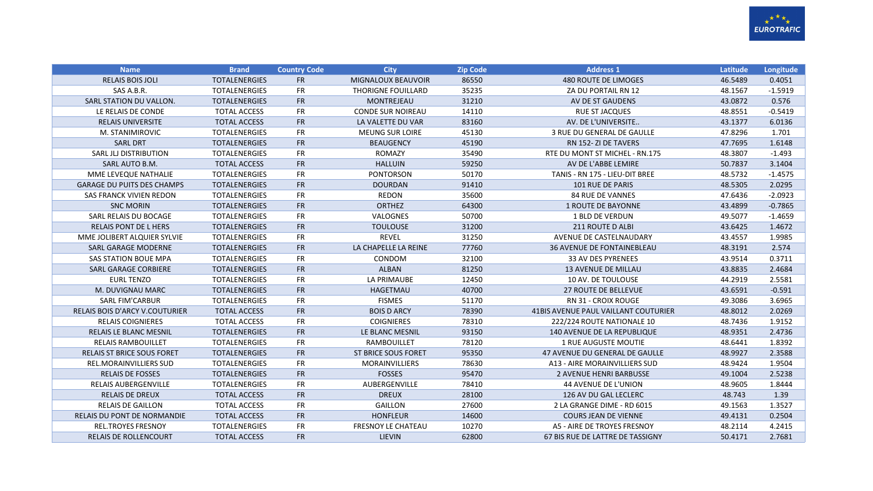

| <b>Name</b>                           | <b>Brand</b>         | <b>Country Code</b> | <b>City</b>                | <b>Zip Code</b> | <b>Address 1</b>                     | <b>Latitude</b> | Longitude |
|---------------------------------------|----------------------|---------------------|----------------------------|-----------------|--------------------------------------|-----------------|-----------|
| <b>RELAIS BOIS JOLI</b>               | <b>TOTALENERGIES</b> | <b>FR</b>           | MIGNALOUX BEAUVOIR         | 86550           | 480 ROUTE DE LIMOGES                 | 46.5489         | 0.4051    |
| SAS A.B.R.                            | <b>TOTALENERGIES</b> | <b>FR</b>           | THORIGNE FOUILLARD         | 35235           | ZA DU PORTAIL RN 12                  | 48.1567         | $-1.5919$ |
| SARL STATION DU VALLON.               | <b>TOTALENERGIES</b> | <b>FR</b>           | <b>MONTREJEAU</b>          | 31210           | AV DE ST GAUDENS                     | 43.0872         | 0.576     |
| LE RELAIS DE CONDE                    | <b>TOTAL ACCESS</b>  | <b>FR</b>           | <b>CONDE SUR NOIREAU</b>   | 14110           | RUE ST JACQUES                       | 48.8551         | $-0.5419$ |
| <b>RELAIS UNIVERSITE</b>              | <b>TOTAL ACCESS</b>  | <b>FR</b>           | LA VALETTE DU VAR          | 83160           | AV. DE L'UNIVERSITE                  | 43.1377         | 6.0136    |
| M. STANIMIROVIC                       | <b>TOTALENERGIES</b> | <b>FR</b>           | <b>MEUNG SUR LOIRE</b>     | 45130           | 3 RUE DU GENERAL DE GAULLE           | 47.8296         | 1.701     |
| <b>SARL DRT</b>                       | <b>TOTALENERGIES</b> | <b>FR</b>           | <b>BEAUGENCY</b>           | 45190           | RN 152-ZI DE TAVERS                  | 47.7695         | 1.6148    |
| SARL JLJ DISTRIBUTION                 | <b>TOTALENERGIES</b> | <b>FR</b>           | ROMAZY                     | 35490           | RTE DU MONT ST MICHEL - RN.175       | 48.3807         | $-1.493$  |
| SARL AUTO B.M.                        | <b>TOTAL ACCESS</b>  | <b>FR</b>           | <b>HALLUIN</b>             | 59250           | AV DE L'ABBE LEMIRE                  | 50.7837         | 3.1404    |
| MME LEVEQUE NATHALIE                  | <b>TOTALENERGIES</b> | <b>FR</b>           | <b>PONTORSON</b>           | 50170           | TANIS - RN 175 - LIEU-DIT BREE       | 48.5732         | $-1.4575$ |
| <b>GARAGE DU PUITS DES CHAMPS</b>     | <b>TOTALENERGIES</b> | <b>FR</b>           | <b>DOURDAN</b>             | 91410           | <b>101 RUE DE PARIS</b>              | 48.5305         | 2.0295    |
| SAS FRANCK VIVIEN REDON               | <b>TOTALENERGIES</b> | <b>FR</b>           | REDON                      | 35600           | <b>84 RUE DE VANNES</b>              | 47.6436         | $-2.0923$ |
| <b>SNC MORIN</b>                      | <b>TOTALENERGIES</b> | <b>FR</b>           | <b>ORTHEZ</b>              | 64300           | 1 ROUTE DE BAYONNE                   | 43.4899         | $-0.7865$ |
| SARL RELAIS DU BOCAGE                 | <b>TOTALENERGIES</b> | <b>FR</b>           | VALOGNES                   | 50700           | <b>1 BLD DE VERDUN</b>               | 49.5077         | $-1.4659$ |
| <b>RELAIS PONT DE L HERS</b>          | <b>TOTALENERGIES</b> | <b>FR</b>           | <b>TOULOUSE</b>            | 31200           | 211 ROUTE D ALBI                     | 43.6425         | 1.4672    |
| MME JOLIBERT ALQUIER SYLVIE           | <b>TOTALENERGIES</b> | <b>FR</b>           | <b>REVEL</b>               | 31250           | AVENUE DE CASTELNAUDARY              | 43.4557         | 1.9985    |
| <b>SARL GARAGE MODERNE</b>            | <b>TOTALENERGIES</b> | <b>FR</b>           | LA CHAPELLE LA REINE       | 77760           | <b>36 AVENUE DE FONTAINEBLEAU</b>    | 48.3191         | 2.574     |
| SAS STATION BOUE MPA                  | <b>TOTALENERGIES</b> | <b>FR</b>           | CONDOM                     | 32100           | 33 AV DES PYRENEES                   | 43.9514         | 0.3711    |
| <b>SARL GARAGE CORBIERE</b>           | <b>TOTALENERGIES</b> | <b>FR</b>           | <b>ALBAN</b>               | 81250           | <b>13 AVENUE DE MILLAU</b>           | 43.8835         | 2.4684    |
| <b>EURL TENZO</b>                     | <b>TOTALENERGIES</b> | <b>FR</b>           | LA PRIMAUBE                | 12450           | 10 AV. DE TOULOUSE                   | 44.2919         | 2.5581    |
| M. DUVIGNAU MARC                      | <b>TOTALENERGIES</b> | FR                  | HAGETMAU                   | 40700           | <b>27 ROUTE DE BELLEVUE</b>          | 43.6591         | $-0.591$  |
| <b>SARL FIM'CARBUR</b>                | <b>TOTALENERGIES</b> | <b>FR</b>           | <b>FISMES</b>              | 51170           | <b>RN 31 - CROIX ROUGE</b>           | 49.3086         | 3.6965    |
| <b>RELAIS BOIS D'ARCY V.COUTURIER</b> | <b>TOTAL ACCESS</b>  | <b>FR</b>           | <b>BOIS D ARCY</b>         | 78390           | 41BIS AVENUE PAUL VAILLANT COUTURIER | 48.8012         | 2.0269    |
| <b>RELAIS COIGNIERES</b>              | <b>TOTAL ACCESS</b>  | <b>FR</b>           | <b>COIGNIERES</b>          | 78310           | 222/224 ROUTE NATIONALE 10           | 48.7436         | 1.9152    |
| <b>RELAIS LE BLANC MESNIL</b>         | <b>TOTALENERGIES</b> | FR                  | LE BLANC MESNIL            | 93150           | 140 AVENUE DE LA REPUBLIQUE          | 48.9351         | 2.4736    |
| <b>RELAIS RAMBOUILLET</b>             | <b>TOTALENERGIES</b> | <b>FR</b>           | <b>RAMBOUILLET</b>         | 78120           | 1 RUE AUGUSTE MOUTIE                 | 48.6441         | 1.8392    |
| <b>RELAIS ST BRICE SOUS FORET</b>     | <b>TOTALENERGIES</b> | <b>FR</b>           | <b>ST BRICE SOUS FORET</b> | 95350           | 47 AVENUE DU GENERAL DE GAULLE       | 48.9927         | 2.3588    |
| <b>REL.MORAINVILLIERS SUD</b>         | <b>TOTALENERGIES</b> | <b>FR</b>           | <b>MORAINVILLIERS</b>      | 78630           | A13 - AIRE MORAINVILLIERS SUD        | 48.9424         | 1.9504    |
| <b>RELAIS DE FOSSES</b>               | <b>TOTALENERGIES</b> | <b>FR</b>           | <b>FOSSES</b>              | 95470           | <b>2 AVENUE HENRI BARBUSSE</b>       | 49.1004         | 2.5238    |
| <b>RELAIS AUBERGENVILLE</b>           | <b>TOTALENERGIES</b> | <b>FR</b>           | AUBERGENVILLE              | 78410           | 44 AVENUE DE L'UNION                 | 48.9605         | 1.8444    |
| <b>RELAIS DE DREUX</b>                | <b>TOTAL ACCESS</b>  | <b>FR</b>           | <b>DREUX</b>               | 28100           | 126 AV DU GAL LECLERC                | 48.743          | 1.39      |
| <b>RELAIS DE GAILLON</b>              | <b>TOTAL ACCESS</b>  | <b>FR</b>           | <b>GAILLON</b>             | 27600           | 2 LA GRANGE DIME - RD 6015           | 49.1563         | 1.3527    |
| <b>RELAIS DU PONT DE NORMANDIE</b>    | <b>TOTAL ACCESS</b>  | <b>FR</b>           | <b>HONFLEUR</b>            | 14600           | <b>COURS JEAN DE VIENNE</b>          | 49.4131         | 0.2504    |
| <b>REL.TROYES FRESNOY</b>             | <b>TOTALENERGIES</b> | <b>FR</b>           | <b>FRESNOY LE CHATEAU</b>  | 10270           | A5 - AIRE DE TROYES FRESNOY          | 48.2114         | 4.2415    |
| <b>RELAIS DE ROLLENCOURT</b>          | <b>TOTAL ACCESS</b>  | <b>FR</b>           | <b>LIEVIN</b>              | 62800           | 67 BIS RUE DE LATTRE DE TASSIGNY     | 50.4171         | 2.7681    |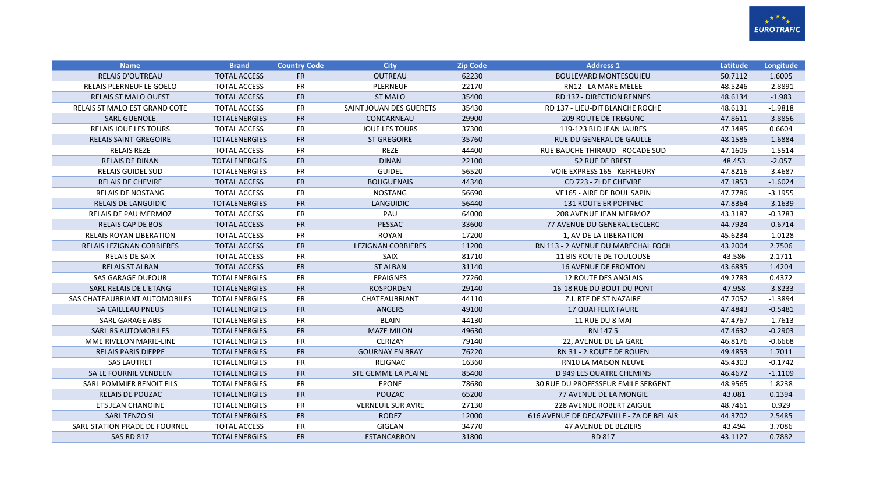

| <b>Name</b>                      | <b>Brand</b>         | <b>Country Code</b> | <b>City</b>                | <b>Zip Code</b> | <b>Address 1</b>                          | Latitude | Longitude |
|----------------------------------|----------------------|---------------------|----------------------------|-----------------|-------------------------------------------|----------|-----------|
| <b>RELAIS D'OUTREAU</b>          | <b>TOTAL ACCESS</b>  | <b>FR</b>           | OUTREAU                    | 62230           | <b>BOULEVARD MONTESQUIEU</b>              | 50.7112  | 1.6005    |
| <b>RELAIS PLERNEUF LE GOELO</b>  | <b>TOTAL ACCESS</b>  | <b>FR</b>           | <b>PLERNEUF</b>            | 22170           | RN12 - LA MARE MELEE                      | 48.5246  | $-2.8891$ |
| <b>RELAIS ST MALO OUEST</b>      | <b>TOTAL ACCESS</b>  | <b>FR</b>           | <b>ST MALO</b>             | 35400           | <b>RD 137 - DIRECTION RENNES</b>          | 48.6134  | $-1.983$  |
| RELAIS ST MALO EST GRAND COTE    | <b>TOTAL ACCESS</b>  | <b>FR</b>           | SAINT JOUAN DES GUERETS    | 35430           | RD 137 - LIEU-DIT BLANCHE ROCHE           | 48.6131  | $-1.9818$ |
| <b>SARL GUENOLE</b>              | <b>TOTALENERGIES</b> | <b>FR</b>           | CONCARNEAU                 | 29900           | <b>209 ROUTE DE TREGUNC</b>               | 47.8611  | $-3.8856$ |
| <b>RELAIS JOUE LES TOURS</b>     | <b>TOTAL ACCESS</b>  | <b>FR</b>           | <b>JOUE LES TOURS</b>      | 37300           | 119-123 BLD JEAN JAURES                   | 47.3485  | 0.6604    |
| <b>RELAIS SAINT-GREGOIRE</b>     | <b>TOTALENERGIES</b> | <b>FR</b>           | <b>ST GREGOIRE</b>         | 35760           | RUE DU GENERAL DE GAULLE                  | 48.1586  | $-1.6884$ |
| <b>RELAIS REZE</b>               | <b>TOTAL ACCESS</b>  | <b>FR</b>           | <b>REZE</b>                | 44400           | RUE BAUCHE THIRAUD - ROCADE SUD           | 47.1605  | $-1.5514$ |
| <b>RELAIS DE DINAN</b>           | <b>TOTALENERGIES</b> | <b>FR</b>           | <b>DINAN</b>               | 22100           | <b>52 RUE DE BREST</b>                    | 48.453   | $-2.057$  |
| <b>RELAIS GUIDEL SUD</b>         | <b>TOTALENERGIES</b> | <b>FR</b>           | <b>GUIDEL</b>              | 56520           | <b>VOIE EXPRESS 165 - KERFLEURY</b>       | 47.8216  | $-3.4687$ |
| <b>RELAIS DE CHEVIRE</b>         | <b>TOTAL ACCESS</b>  | FR                  | <b>BOUGUENAIS</b>          | 44340           | CD 723 - ZI DE CHEVIRE                    | 47.1853  | $-1.6024$ |
| <b>RELAIS DE NOSTANG</b>         | <b>TOTAL ACCESS</b>  | <b>FR</b>           | <b>NOSTANG</b>             | 56690           | <b>VE165 - AIRE DE BOUL SAPIN</b>         | 47.7786  | $-3.1955$ |
| <b>RELAIS DE LANGUIDIC</b>       | <b>TOTALENERGIES</b> | <b>FR</b>           | <b>LANGUIDIC</b>           | 56440           | <b>131 ROUTE ER POPINEC</b>               | 47.8364  | $-3.1639$ |
| RELAIS DE PAU MERMOZ             | <b>TOTAL ACCESS</b>  | <b>FR</b>           | PAU                        | 64000           | 208 AVENUE JEAN MERMOZ                    | 43.3187  | $-0.3783$ |
| <b>RELAIS CAP DE BOS</b>         | <b>TOTAL ACCESS</b>  | <b>FR</b>           | <b>PESSAC</b>              | 33600           | 77 AVENUE DU GENERAL LECLERC              | 44.7924  | $-0.6714$ |
| <b>RELAIS ROYAN LIBERATION</b>   | <b>TOTAL ACCESS</b>  | <b>FR</b>           | <b>ROYAN</b>               | 17200           | 1, AV DE LA LIBERATION                    | 45.6234  | $-1.0128$ |
| <b>RELAIS LEZIGNAN CORBIERES</b> | <b>TOTAL ACCESS</b>  | <b>FR</b>           | <b>LEZIGNAN CORBIERES</b>  | 11200           | RN 113 - 2 AVENUE DU MARECHAL FOCH        | 43.2004  | 2.7506    |
| <b>RELAIS DE SAIX</b>            | <b>TOTAL ACCESS</b>  | <b>FR</b>           | <b>SAIX</b>                | 81710           | <b>11 BIS ROUTE DE TOULOUSE</b>           | 43.586   | 2.1711    |
| <b>RELAIS ST ALBAN</b>           | <b>TOTAL ACCESS</b>  | <b>FR</b>           | <b>ST ALBAN</b>            | 31140           | <b>16 AVENUE DE FRONTON</b>               | 43.6835  | 1.4204    |
| <b>SAS GARAGE DUFOUR</b>         | <b>TOTALENERGIES</b> | <b>FR</b>           | <b>EPAIGNES</b>            | 27260           | 12 ROUTE DES ANGLAIS                      | 49.2783  | 0.4372    |
| SARL RELAIS DE L'ETANG           | <b>TOTALENERGIES</b> | <b>FR</b>           | <b>ROSPORDEN</b>           | 29140           | 16-18 RUE DU BOUT DU PONT                 | 47.958   | $-3.8233$ |
| SAS CHATEAUBRIANT AUTOMOBILES    | <b>TOTALENERGIES</b> | <b>FR</b>           | CHATEAUBRIANT              | 44110           | Z.I. RTE DE ST NAZAIRE                    | 47.7052  | $-1.3894$ |
| SA CAILLEAU PNEUS                | <b>TOTALENERGIES</b> | <b>FR</b>           | <b>ANGERS</b>              | 49100           | 17 QUAI FELIX FAURE                       | 47.4843  | $-0.5481$ |
| <b>SARL GARAGE ABS</b>           | <b>TOTALENERGIES</b> | <b>FR</b>           | <b>BLAIN</b>               | 44130           | 11 RUE DU 8 MAI                           | 47.4767  | $-1.7613$ |
| <b>SARL RS AUTOMOBILES</b>       | <b>TOTALENERGIES</b> | <b>FR</b>           | <b>MAZE MILON</b>          | 49630           | RN 1475                                   | 47.4632  | $-0.2903$ |
| MME RIVELON MARIE-LINE           | <b>TOTALENERGIES</b> | <b>FR</b>           | CERIZAY                    | 79140           | 22, AVENUE DE LA GARE                     | 46.8176  | $-0.6668$ |
| <b>RELAIS PARIS DIEPPE</b>       | <b>TOTALENERGIES</b> | FR                  | <b>GOURNAY EN BRAY</b>     | 76220           | RN 31 - 2 ROUTE DE ROUEN                  | 49.4853  | 1.7011    |
| <b>SAS LAUTRET</b>               | <b>TOTALENERGIES</b> | <b>FR</b>           | <b>REIGNAC</b>             | 16360           | RN10 LA MAISON NEUVE                      | 45.4303  | $-0.1742$ |
| <b>SA LE FOURNIL VENDEEN</b>     | <b>TOTALENERGIES</b> | <b>FR</b>           | <b>STE GEMME LA PLAINE</b> | 85400           | D 949 LES QUATRE CHEMINS                  | 46.4672  | $-1.1109$ |
| SARL POMMIER BENOIT FILS         | <b>TOTALENERGIES</b> | <b>FR</b>           | <b>EPONE</b>               | 78680           | 30 RUE DU PROFESSEUR EMILE SERGENT        | 48.9565  | 1.8238    |
| <b>RELAIS DE POUZAC</b>          | <b>TOTALENERGIES</b> | <b>FR</b>           | POUZAC                     | 65200           | <b>77 AVENUE DE LA MONGIE</b>             | 43.081   | 0.1394    |
| <b>ETS JEAN CHANOINE</b>         | <b>TOTALENERGIES</b> | <b>FR</b>           | <b>VERNEUIL SUR AVRE</b>   | 27130           | 228 AVENUE ROBERT ZAIGUE                  | 48.7461  | 0.929     |
| <b>SARL TENZO SL</b>             | <b>TOTALENERGIES</b> | <b>FR</b>           | <b>RODEZ</b>               | 12000           | 616 AVENUE DE DECAZEVILLE - ZA DE BEL AIR | 44.3702  | 2.5485    |
| SARL STATION PRADE DE FOURNEL    | <b>TOTAL ACCESS</b>  | <b>FR</b>           | <b>GIGEAN</b>              | 34770           | <b>47 AVENUE DE BEZIERS</b>               | 43.494   | 3.7086    |
| <b>SAS RD 817</b>                | <b>TOTALENERGIES</b> | <b>FR</b>           | <b>ESTANCARBON</b>         | 31800           | RD 817                                    | 43.1127  | 0.7882    |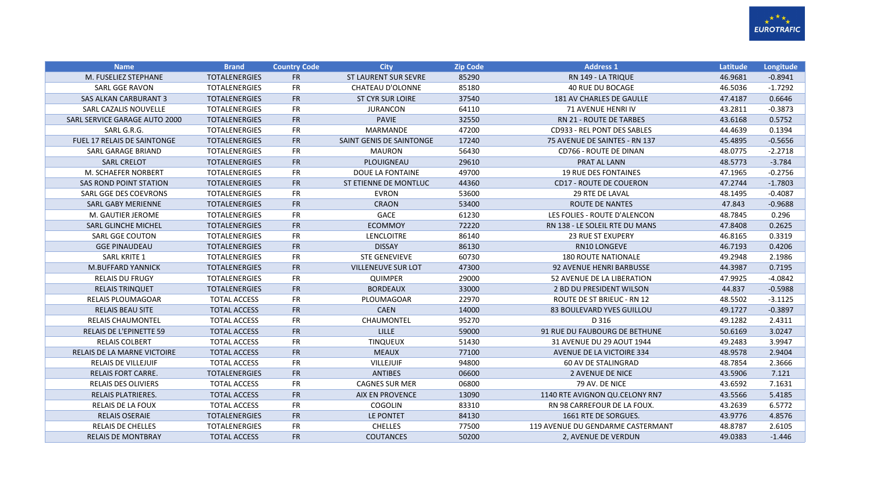

| <b>Name</b>                        | <b>Brand</b>         | <b>Country Code</b> | <b>City</b>                 | <b>Zip Code</b> | <b>Address 1</b>                  | Latitude | Longitude |
|------------------------------------|----------------------|---------------------|-----------------------------|-----------------|-----------------------------------|----------|-----------|
| M. FUSELIEZ STEPHANE               | <b>TOTALENERGIES</b> | <b>FR</b>           | <b>ST LAURENT SUR SEVRE</b> | 85290           | RN 149 - LA TRIQUE                | 46.9681  | $-0.8941$ |
| <b>SARL GGE RAVON</b>              | <b>TOTALENERGIES</b> | <b>FR</b>           | <b>CHATEAU D'OLONNE</b>     | 85180           | <b>40 RUE DU BOCAGE</b>           | 46.5036  | $-1.7292$ |
| SAS ALKAN CARBURANT 3              | <b>TOTALENERGIES</b> | <b>FR</b>           | <b>ST CYR SUR LOIRE</b>     | 37540           | 181 AV CHARLES DE GAULLE          | 47.4187  | 0.6646    |
| SARL CAZALIS NOUVELLE              | <b>TOTALENERGIES</b> | <b>FR</b>           | <b>JURANCON</b>             | 64110           | <b>71 AVENUE HENRI IV</b>         | 43.2811  | $-0.3873$ |
| SARL SERVICE GARAGE AUTO 2000      | <b>TOTALENERGIES</b> | <b>FR</b>           | <b>PAVIE</b>                | 32550           | <b>RN 21 - ROUTE DE TARBES</b>    | 43.6168  | 0.5752    |
| SARL G.R.G.                        | <b>TOTALENERGIES</b> | <b>FR</b>           | MARMANDE                    | 47200           | CD933 - REL PONT DES SABLES       | 44.4639  | 0.1394    |
| <b>FUEL 17 RELAIS DE SAINTONGE</b> | <b>TOTALENERGIES</b> | <b>FR</b>           | SAINT GENIS DE SAINTONGE    | 17240           | 75 AVENUE DE SAINTES - RN 137     | 45.4895  | $-0.5656$ |
| SARL GARAGE BRIAND                 | <b>TOTALENERGIES</b> | <b>FR</b>           | <b>MAURON</b>               | 56430           | CD766 - ROUTE DE DINAN            | 48.0775  | $-2.2718$ |
| <b>SARL CRELOT</b>                 | <b>TOTALENERGIES</b> | <b>FR</b>           | PLOUIGNEAU                  | 29610           | PRAT AL LANN                      | 48.5773  | $-3.784$  |
| M. SCHAEFER NORBERT                | <b>TOTALENERGIES</b> | FR                  | DOUE LA FONTAINE            | 49700           | <b>19 RUE DES FONTAINES</b>       | 47.1965  | $-0.2756$ |
| <b>SAS ROND POINT STATION</b>      | <b>TOTALENERGIES</b> | <b>FR</b>           | ST ETIENNE DE MONTLUC       | 44360           | <b>CD17 - ROUTE DE COUERON</b>    | 47.2744  | $-1.7803$ |
| SARL GGE DES COEVRONS              | <b>TOTALENERGIES</b> | <b>FR</b>           | <b>EVRON</b>                | 53600           | <b>29 RTE DE LAVAL</b>            | 48.1495  | $-0.4087$ |
| <b>SARL GABY MERIENNE</b>          | <b>TOTALENERGIES</b> | <b>FR</b>           | <b>CRAON</b>                | 53400           | <b>ROUTE DE NANTES</b>            | 47.843   | $-0.9688$ |
| M. GAUTIER JEROME                  | <b>TOTALENERGIES</b> | <b>FR</b>           | GACE                        | 61230           | LES FOLIES - ROUTE D'ALENCON      | 48.7845  | 0.296     |
| <b>SARL GLINCHE MICHEL</b>         | <b>TOTALENERGIES</b> | <b>FR</b>           | <b>ECOMMOY</b>              | 72220           | RN 138 - LE SOLEIL RTE DU MANS    | 47.8408  | 0.2625    |
| <b>SARL GGE COUTON</b>             | <b>TOTALENERGIES</b> | <b>FR</b>           | LENCLOITRE                  | 86140           | <b>23 RUE ST EXUPERY</b>          | 46.8165  | 0.3319    |
| <b>GGE PINAUDEAU</b>               | <b>TOTALENERGIES</b> | <b>FR</b>           | <b>DISSAY</b>               | 86130           | RN10 LONGEVE                      | 46.7193  | 0.4206    |
| <b>SARL KRITE 1</b>                | <b>TOTALENERGIES</b> | <b>FR</b>           | <b>STE GENEVIEVE</b>        | 60730           | <b>180 ROUTE NATIONALE</b>        | 49.2948  | 2.1986    |
| <b>M.BUFFARD YANNICK</b>           | <b>TOTALENERGIES</b> | <b>FR</b>           | <b>VILLENEUVE SUR LOT</b>   | 47300           | 92 AVENUE HENRI BARBUSSE          | 44.3987  | 0.7195    |
| <b>RELAIS DU FRUGY</b>             | <b>TOTALENERGIES</b> | <b>FR</b>           | QUIMPER                     | 29000           | 52 AVENUE DE LA LIBERATION        | 47.9925  | $-4.0842$ |
| <b>RELAIS TRINQUET</b>             | <b>TOTALENERGIES</b> | <b>FR</b>           | <b>BORDEAUX</b>             | 33000           | 2 BD DU PRESIDENT WILSON          | 44.837   | $-0.5988$ |
| <b>RELAIS PLOUMAGOAR</b>           | <b>TOTAL ACCESS</b>  | <b>FR</b>           | PLOUMAGOAR                  | 22970           | ROUTE DE ST BRIEUC - RN 12        | 48.5502  | $-3.1125$ |
| <b>RELAIS BEAU SITE</b>            | <b>TOTAL ACCESS</b>  | <b>FR</b>           | <b>CAEN</b>                 | 14000           | 83 BOULEVARD YVES GUILLOU         | 49.1727  | $-0.3897$ |
| <b>RELAIS CHAUMONTEL</b>           | <b>TOTAL ACCESS</b>  | <b>FR</b>           | CHAUMONTEL                  | 95270           | D 316                             | 49.1282  | 2.4311    |
| <b>RELAIS DE L'EPINETTE 59</b>     | <b>TOTAL ACCESS</b>  | <b>FR</b>           | LILLE                       | 59000           | 91 RUE DU FAUBOURG DE BETHUNE     | 50.6169  | 3.0247    |
| <b>RELAIS COLBERT</b>              | <b>TOTAL ACCESS</b>  | FR                  | <b>TINQUEUX</b>             | 51430           | 31 AVENUE DU 29 AOUT 1944         | 49.2483  | 3.9947    |
| RELAIS DE LA MARNE VICTOIRE        | <b>TOTAL ACCESS</b>  | FR                  | <b>MEAUX</b>                | 77100           | AVENUE DE LA VICTOIRE 334         | 48.9578  | 2.9404    |
| <b>RELAIS DE VILLEJUIF</b>         | <b>TOTAL ACCESS</b>  | <b>FR</b>           | <b>VILLEJUIF</b>            | 94800           | <b>60 AV DE STALINGRAD</b>        | 48.7854  | 2.3666    |
| <b>RELAIS FORT CARRE.</b>          | <b>TOTALENERGIES</b> | <b>FR</b>           | <b>ANTIBES</b>              | 06600           | 2 AVENUE DE NICE                  | 43.5906  | 7.121     |
| <b>RELAIS DES OLIVIERS</b>         | <b>TOTAL ACCESS</b>  | <b>FR</b>           | <b>CAGNES SUR MER</b>       | 06800           | 79 AV. DE NICE                    | 43.6592  | 7.1631    |
| <b>RELAIS PLATRIERES.</b>          | <b>TOTAL ACCESS</b>  | FR                  | <b>AIX EN PROVENCE</b>      | 13090           | 1140 RTE AVIGNON QU.CELONY RN7    | 43.5566  | 5.4185    |
| <b>RELAIS DE LA FOUX</b>           | <b>TOTAL ACCESS</b>  | <b>FR</b>           | COGOLIN                     | 83310           | RN 98 CARREFOUR DE LA FOUX.       | 43.2639  | 6.5772    |
| <b>RELAIS OSERAIE</b>              | <b>TOTALENERGIES</b> | <b>FR</b>           | LE PONTET                   | 84130           | 1661 RTE DE SORGUES.              | 43.9776  | 4.8576    |
| <b>RELAIS DE CHELLES</b>           | <b>TOTALENERGIES</b> | <b>FR</b>           | <b>CHELLES</b>              | 77500           | 119 AVENUE DU GENDARME CASTERMANT | 48.8787  | 2.6105    |
| <b>RELAIS DE MONTBRAY</b>          | <b>TOTAL ACCESS</b>  | <b>FR</b>           | <b>COUTANCES</b>            | 50200           | 2, AVENUE DE VERDUN               | 49.0383  | $-1.446$  |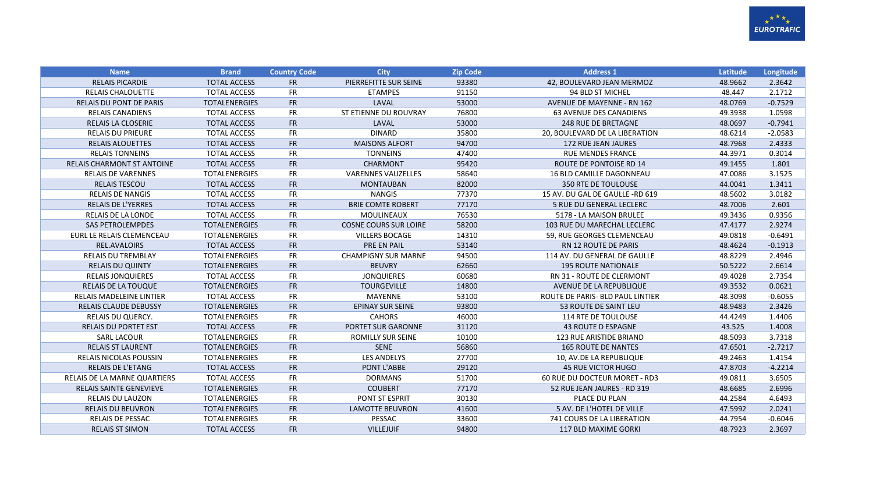

| <b>Name</b>                         | <b>Brand</b>         | <b>Country Code</b> | <b>City</b>                  | <b>Zip Code</b> | <b>Address 1</b>                  | Latitude | Longitude |
|-------------------------------------|----------------------|---------------------|------------------------------|-----------------|-----------------------------------|----------|-----------|
| <b>RELAIS PICARDIE</b>              | <b>TOTAL ACCESS</b>  | <b>FR</b>           | PIERREFITTE SUR SEINE        | 93380           | 42, BOULEVARD JEAN MERMOZ         | 48.9662  | 2.3642    |
| <b>RELAIS CHALOUETTE</b>            | <b>TOTAL ACCESS</b>  | <b>FR</b>           | <b>ETAMPES</b>               | 91150           | 94 BLD ST MICHEL                  | 48.447   | 2.1712    |
| <b>RELAIS DU PONT DE PARIS</b>      | <b>TOTALENERGIES</b> | <b>FR</b>           | LAVAL                        | 53000           | <b>AVENUE DE MAYENNE - RN 162</b> | 48.0769  | $-0.7529$ |
| <b>RELAIS CANADIENS</b>             | <b>TOTAL ACCESS</b>  | <b>FR</b>           | ST ETIENNE DU ROUVRAY        | 76800           | <b>63 AVENUE DES CANADIENS</b>    | 49.3938  | 1.0598    |
| <b>RELAIS LA CLOSERIE</b>           | <b>TOTAL ACCESS</b>  | <b>FR</b>           | LAVAL                        | 53000           | <b>248 RUE DE BRETAGNE</b>        | 48.0697  | $-0.7941$ |
| <b>RELAIS DU PRIEURE</b>            | <b>TOTAL ACCESS</b>  | <b>FR</b>           | <b>DINARD</b>                | 35800           | 20, BOULEVARD DE LA LIBERATION    | 48.6214  | $-2.0583$ |
| <b>RELAIS ALOUETTES</b>             | <b>TOTAL ACCESS</b>  | <b>FR</b>           | <b>MAISONS ALFORT</b>        | 94700           | 172 RUE JEAN JAURES               | 48.7968  | 2.4333    |
| <b>RELAIS TONNEINS</b>              | <b>TOTAL ACCESS</b>  | <b>FR</b>           | <b>TONNEINS</b>              | 47400           | <b>RUE MENDES FRANCE</b>          | 44.3971  | 0.3014    |
| <b>RELAIS CHARMONT ST ANTOINE</b>   | <b>TOTAL ACCESS</b>  | <b>FR</b>           | <b>CHARMONT</b>              | 95420           | <b>ROUTE DE PONTOISE RD 14</b>    | 49.1455  | 1.801     |
| <b>RELAIS DE VARENNES</b>           | <b>TOTALENERGIES</b> | <b>FR</b>           | <b>VARENNES VAUZELLES</b>    | 58640           | 16 BLD CAMILLE DAGONNEAU          | 47.0086  | 3.1525    |
| <b>RELAIS TESCOU</b>                | <b>TOTAL ACCESS</b>  | <b>FR</b>           | <b>MONTAUBAN</b>             | 82000           | <b>350 RTE DE TOULOUSE</b>        | 44.0041  | 1.3411    |
| <b>RELAIS DE NANGIS</b>             | <b>TOTAL ACCESS</b>  | FR                  | <b>NANGIS</b>                | 77370           | 15 AV. DU GAL DE GAULLE -RD 619   | 48.5602  | 3.0182    |
| <b>RELAIS DE L'YERRES</b>           | <b>TOTAL ACCESS</b>  | <b>FR</b>           | <b>BRIE COMTE ROBERT</b>     | 77170           | 5 RUE DU GENERAL LECLERC          | 48.7006  | 2.601     |
| RELAIS DE LA LONDE                  | <b>TOTAL ACCESS</b>  | <b>FR</b>           | MOULINEAUX                   | 76530           | 5178 - LA MAISON BRULEE           | 49.3436  | 0.9356    |
| <b>SAS PETROLEMPDES</b>             | <b>TOTALENERGIES</b> | <b>FR</b>           | <b>COSNE COURS SUR LOIRE</b> | 58200           | 103 RUE DU MARECHAL LECLERC       | 47.4177  | 2.9274    |
| EURL LE RELAIS CLEMENCEAU           | <b>TOTALENERGIES</b> | <b>FR</b>           | <b>VILLERS BOCAGE</b>        | 14310           | 59. RUE GEORGES CLEMENCEAU        | 49.0818  | $-0.6491$ |
| REL.AVALOIRS                        | <b>TOTAL ACCESS</b>  | <b>FR</b>           | <b>PRE EN PAIL</b>           | 53140           | <b>RN 12 ROUTE DE PARIS</b>       | 48.4624  | $-0.1913$ |
| <b>RELAIS DU TREMBLAY</b>           | <b>TOTALENERGIES</b> | <b>FR</b>           | <b>CHAMPIGNY SUR MARNE</b>   | 94500           | 114 AV. DU GENERAL DE GAULLE      | 48.8229  | 2.4946    |
| <b>RELAIS DU QUINTY</b>             | <b>TOTALENERGIES</b> | <b>FR</b>           | <b>BEUVRY</b>                | 62660           | <b>195 ROUTE NATIONALE</b>        | 50.5222  | 2.6614    |
| <b>RELAIS JONQUIERES</b>            | <b>TOTAL ACCESS</b>  | <b>FR</b>           | <b>JONQUIERES</b>            | 60680           | RN 31 - ROUTE DE CLERMONT         | 49.4028  | 2.7354    |
| <b>RELAIS DE LA TOUQUE</b>          | <b>TOTALENERGIES</b> | <b>FR</b>           | <b>TOURGEVILLE</b>           | 14800           | AVENUE DE LA REPUBLIQUE           | 49.3532  | 0.0621    |
| <b>RELAIS MADELEINE LINTIER</b>     | <b>TOTAL ACCESS</b>  | <b>FR</b>           | <b>MAYENNE</b>               | 53100           | ROUTE DE PARIS- BLD PAUL LINTIER  | 48.3098  | $-0.6055$ |
| <b>RELAIS CLAUDE DEBUSSY</b>        | <b>TOTALENERGIES</b> | <b>FR</b>           | <b>EPINAY SUR SEINE</b>      | 93800           | 53 ROUTE DE SAINT LEU             | 48.9483  | 2.3426    |
| RELAIS DU QUERCY.                   | <b>TOTALENERGIES</b> | <b>FR</b>           | <b>CAHORS</b>                | 46000           | 114 RTE DE TOULOUSE               | 44.4249  | 1.4406    |
| <b>RELAIS DU PORTET EST</b>         | <b>TOTAL ACCESS</b>  | <b>FR</b>           | <b>PORTET SUR GARONNE</b>    | 31120           | <b>43 ROUTE D ESPAGNE</b>         | 43.525   | 1.4008    |
| <b>SARL LACOUR</b>                  | <b>TOTALENERGIES</b> | <b>FR</b>           | <b>ROMILLY SUR SEINE</b>     | 10100           | <b>123 RUE ARISTIDE BRIAND</b>    | 48.5093  | 3.7318    |
| <b>RELAIS ST LAURENT</b>            | <b>TOTALENERGIES</b> | <b>FR</b>           | <b>SENE</b>                  | 56860           | <b>165 ROUTE DE NANTES</b>        | 47.6501  | $-2.7217$ |
| <b>RELAIS NICOLAS POUSSIN</b>       | <b>TOTALENERGIES</b> | <b>FR</b>           | <b>LES ANDELYS</b>           | 27700           | 10, AV.DE LA REPUBLIQUE           | 49.2463  | 1.4154    |
| <b>RELAIS DE L'ETANG</b>            | <b>TOTAL ACCESS</b>  | <b>FR</b>           | PONT L'ABBE                  | 29120           | <b>45 RUE VICTOR HUGO</b>         | 47.8703  | $-4.2214$ |
| <b>RELAIS DE LA MARNE QUARTIERS</b> | <b>TOTAL ACCESS</b>  | <b>FR</b>           | <b>DORMANS</b>               | 51700           | 60 RUE DU DOCTEUR MORET - RD3     | 49.0811  | 3.6505    |
| <b>RELAIS SAINTE GENEVIEVE</b>      | <b>TOTALENERGIES</b> | <b>FR</b>           | <b>COUBERT</b>               | 77170           | 52 RUE JEAN JAURES - RD 319       | 48.6685  | 2.6996    |
| <b>RELAIS DU LAUZON</b>             | <b>TOTALENERGIES</b> | <b>FR</b>           | PONT ST ESPRIT               | 30130           | PLACE DU PLAN                     | 44.2584  | 4.6493    |
| <b>RELAIS DU BEUVRON</b>            | <b>TOTALENERGIES</b> | <b>FR</b>           | <b>LAMOTTE BEUVRON</b>       | 41600           | 5 AV. DE L'HOTEL DE VILLE         | 47.5992  | 2.0241    |
| <b>RELAIS DE PESSAC</b>             | <b>TOTALENERGIES</b> | <b>FR</b>           | PESSAC                       | 33600           | 741 COURS DE LA LIBERATION        | 44.7954  | $-0.6046$ |
| <b>RELAIS ST SIMON</b>              | <b>TOTAL ACCESS</b>  | <b>FR</b>           | <b>VILLEJUIF</b>             | 94800           | 117 BLD MAXIME GORKI              | 48.7923  | 2.3697    |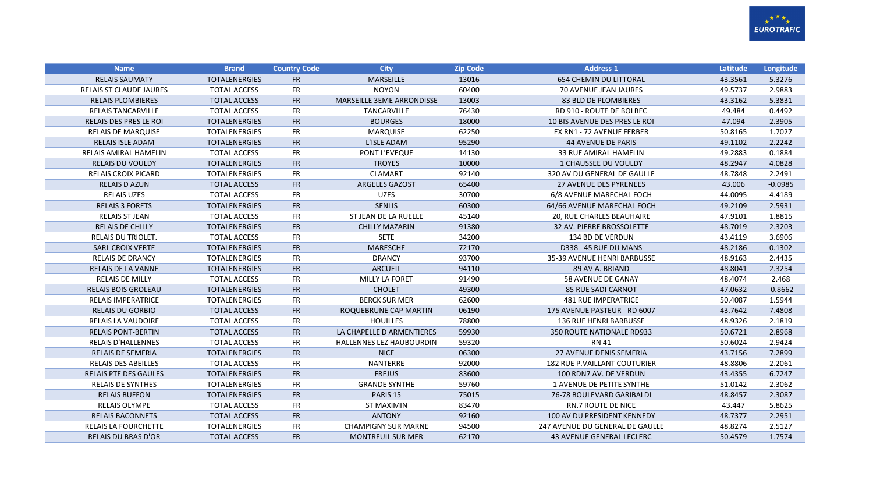

| <b>Name</b>                    | <b>Brand</b>         | <b>Country Code</b> | <b>City</b>                      | <b>Zip Code</b> | <b>Address 1</b>                    | Latitude | Longitude |
|--------------------------------|----------------------|---------------------|----------------------------------|-----------------|-------------------------------------|----------|-----------|
| <b>RELAIS SAUMATY</b>          | <b>TOTALENERGIES</b> | <b>FR</b>           | <b>MARSEILLE</b>                 | 13016           | <b>654 CHEMIN DU LITTORAL</b>       | 43.3561  | 5.3276    |
| <b>RELAIS ST CLAUDE JAURES</b> | <b>TOTAL ACCESS</b>  | <b>FR</b>           | <b>NOYON</b>                     | 60400           | 70 AVENUE JEAN JAURES               | 49.5737  | 2.9883    |
| <b>RELAIS PLOMBIERES</b>       | <b>TOTAL ACCESS</b>  | <b>FR</b>           | <b>MARSEILLE 3EME ARRONDISSE</b> | 13003           | 83 BLD DE PLOMBIERES                | 43.3162  | 5.3831    |
| <b>RELAIS TANCARVILLE</b>      | <b>TOTAL ACCESS</b>  | <b>FR</b>           | <b>TANCARVILLE</b>               | 76430           | <b>RD 910 - ROUTE DE BOLBEC</b>     | 49.484   | 0.4492    |
| <b>RELAIS DES PRES LE ROI</b>  | <b>TOTALENERGIES</b> | <b>FR</b>           | <b>BOURGES</b>                   | 18000           | 10 BIS AVENUE DES PRES LE ROI       | 47.094   | 2.3905    |
| <b>RELAIS DE MARQUISE</b>      | <b>TOTALENERGIES</b> | <b>FR</b>           | <b>MARQUISE</b>                  | 62250           | EX RN1 - 72 AVENUE FERBER           | 50.8165  | 1.7027    |
| <b>RELAIS ISLE ADAM</b>        | <b>TOTALENERGIES</b> | <b>FR</b>           | L'ISLE ADAM                      | 95290           | <b>44 AVENUE DE PARIS</b>           | 49.1102  | 2.2242    |
| RELAIS AMIRAL HAMELIN          | <b>TOTAL ACCESS</b>  | <b>FR</b>           | PONT L'EVEQUE                    | 14130           | <b>33 RUE AMIRAL HAMELIN</b>        | 49.2883  | 0.1884    |
| <b>RELAIS DU VOULDY</b>        | <b>TOTALENERGIES</b> | FR                  | <b>TROYES</b>                    | 10000           | 1 CHAUSSEE DU VOULDY                | 48.2947  | 4.0828    |
| <b>RELAIS CROIX PICARD</b>     | <b>TOTALENERGIES</b> | FR                  | <b>CLAMART</b>                   | 92140           | 320 AV DU GENERAL DE GAULLE         | 48.7848  | 2.2491    |
| <b>RELAIS D AZUN</b>           | <b>TOTAL ACCESS</b>  | FR                  | <b>ARGELES GAZOST</b>            | 65400           | <b>27 AVENUE DES PYRENEES</b>       | 43.006   | $-0.0985$ |
| <b>RELAIS UZES</b>             | <b>TOTAL ACCESS</b>  | <b>FR</b>           | <b>UZES</b>                      | 30700           | 6/8 AVENUE MARECHAL FOCH            | 44.0095  | 4.4189    |
| <b>RELAIS 3 FORETS</b>         | <b>TOTALENERGIES</b> | FR                  | <b>SENLIS</b>                    | 60300           | 64/66 AVENUE MARECHAL FOCH          | 49.2109  | 2.5931    |
| <b>RELAIS ST JEAN</b>          | <b>TOTAL ACCESS</b>  | <b>FR</b>           | ST JEAN DE LA RUELLE             | 45140           | 20, RUE CHARLES BEAUHAIRE           | 47.9101  | 1.8815    |
| <b>RELAIS DE CHILLY</b>        | <b>TOTALENERGIES</b> | <b>FR</b>           | <b>CHILLY MAZARIN</b>            | 91380           | 32 AV. PIERRE BROSSOLETTE           | 48.7019  | 2.3203    |
| RELAIS DU TRIOLET.             | <b>TOTAL ACCESS</b>  | <b>FR</b>           | <b>SETE</b>                      | 34200           | 134 BD DE VERDUN                    | 43.4119  | 3.6906    |
| <b>SARL CROIX VERTE</b>        | <b>TOTALENERGIES</b> | FR                  | <b>MARESCHE</b>                  | 72170           | D338 - 45 RUE DU MANS               | 48.2186  | 0.1302    |
| <b>RELAIS DE DRANCY</b>        | <b>TOTALENERGIES</b> | <b>FR</b>           | <b>DRANCY</b>                    | 93700           | 35-39 AVENUE HENRI BARBUSSE         | 48.9163  | 2.4435    |
| <b>RELAIS DE LA VANNE</b>      | <b>TOTALENERGIES</b> | <b>FR</b>           | <b>ARCUEIL</b>                   | 94110           | 89 AV A. BRIAND                     | 48.8041  | 2.3254    |
| <b>RELAIS DE MILLY</b>         | <b>TOTAL ACCESS</b>  | <b>FR</b>           | <b>MILLY LA FORET</b>            | 91490           | 58 AVENUE DE GANAY                  | 48.4074  | 2.468     |
| <b>RELAIS BOIS GROLEAU</b>     | <b>TOTALENERGIES</b> | FR                  | <b>CHOLET</b>                    | 49300           | <b>85 RUE SADI CARNOT</b>           | 47.0632  | $-0.8662$ |
| <b>RELAIS IMPERATRICE</b>      | <b>TOTALENERGIES</b> | <b>FR</b>           | <b>BERCK SUR MER</b>             | 62600           | <b>481 RUE IMPERATRICE</b>          | 50.4087  | 1.5944    |
| <b>RELAIS DU GORBIO</b>        | <b>TOTAL ACCESS</b>  | <b>FR</b>           | ROQUEBRUNE CAP MARTIN            | 06190           | 175 AVENUE PASTEUR - RD 6007        | 43.7642  | 7.4808    |
| RELAIS LA VAUDOIRE             | <b>TOTAL ACCESS</b>  | <b>FR</b>           | <b>HOUILLES</b>                  | 78800           | <b>136 RUE HENRI BARBUSSE</b>       | 48.9326  | 2.1819    |
| <b>RELAIS PONT-BERTIN</b>      | <b>TOTAL ACCESS</b>  | FR                  | LA CHAPELLE D ARMENTIERES        | 59930           | 350 ROUTE NATIONALE RD933           | 50.6721  | 2.8968    |
| <b>RELAIS D'HALLENNES</b>      | <b>TOTAL ACCESS</b>  | <b>FR</b>           | <b>HALLENNES LEZ HAUBOURDIN</b>  | 59320           | RN 41                               | 50.6024  | 2.9424    |
| <b>RELAIS DE SEMERIA</b>       | <b>TOTALENERGIES</b> | <b>FR</b>           | <b>NICE</b>                      | 06300           | <b>27 AVENUE DENIS SEMERIA</b>      | 43.7156  | 7.2899    |
| <b>RELAIS DES ABEILLES</b>     | <b>TOTAL ACCESS</b>  | <b>FR</b>           | NANTERRE                         | 92000           | <b>182 RUE P.VAILLANT COUTURIER</b> | 48.8806  | 2.2061    |
| <b>RELAIS PTE DES GAULES</b>   | <b>TOTALENERGIES</b> | <b>FR</b>           | <b>FREJUS</b>                    | 83600           | 100 RDN7 AV. DE VERDUN              | 43.4355  | 6.7247    |
| <b>RELAIS DE SYNTHES</b>       | <b>TOTALENERGIES</b> | <b>FR</b>           | <b>GRANDE SYNTHE</b>             | 59760           | 1 AVENUE DE PETITE SYNTHE           | 51.0142  | 2.3062    |
| <b>RELAIS BUFFON</b>           | <b>TOTALENERGIES</b> | <b>FR</b>           | PARIS <sub>15</sub>              | 75015           | 76-78 BOULEVARD GARIBALDI           | 48.8457  | 2.3087    |
| <b>RELAIS OLYMPE</b>           | <b>TOTAL ACCESS</b>  | <b>FR</b>           | <b>ST MAXIMIN</b>                | 83470           | <b>RN.7 ROUTE DE NICE</b>           | 43.447   | 5.8625    |
| <b>RELAIS BACONNETS</b>        | <b>TOTAL ACCESS</b>  | <b>FR</b>           | <b>ANTONY</b>                    | 92160           | 100 AV DU PRESIDENT KENNEDY         | 48.7377  | 2.2951    |
| <b>RELAIS LA FOURCHETTE</b>    | <b>TOTALENERGIES</b> | <b>FR</b>           | <b>CHAMPIGNY SUR MARNE</b>       | 94500           | 247 AVENUE DU GENERAL DE GAULLE     | 48.8274  | 2.5127    |
| <b>RELAIS DU BRAS D'OR</b>     | <b>TOTAL ACCESS</b>  | <b>FR</b>           | <b>MONTREUIL SUR MER</b>         | 62170           | <b>43 AVENUE GENERAL LECLERC</b>    | 50.4579  | 1.7574    |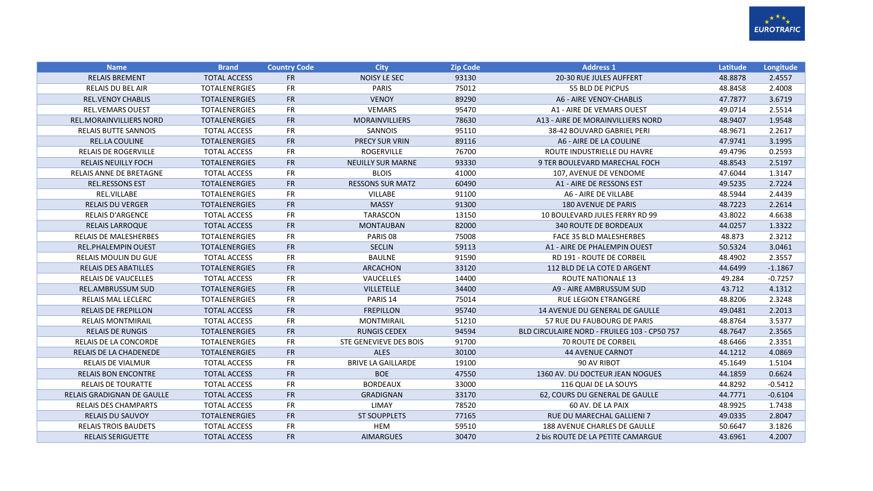

| <b>Name</b>                       | <b>Brand</b>         | <b>Country Code</b> | <b>City</b>               | <b>Zip Code</b> | <b>Address 1</b>                             | <b>Latitude</b> | Longitude |
|-----------------------------------|----------------------|---------------------|---------------------------|-----------------|----------------------------------------------|-----------------|-----------|
| <b>RELAIS BREMENT</b>             | <b>TOTAL ACCESS</b>  | <b>FR</b>           | <b>NOISY LE SEC</b>       | 93130           | 20-30 RUE JULES AUFFERT                      | 48.8878         | 2.4557    |
| <b>RELAIS DU BEL AIR</b>          | <b>TOTALENERGIES</b> | <b>FR</b>           | <b>PARIS</b>              | 75012           | 55 BLD DE PICPUS                             | 48.8458         | 2.4008    |
| <b>REL.VENOY CHABLIS</b>          | <b>TOTALENERGIES</b> | FR                  | <b>VENOY</b>              | 89290           | A6 - AIRE VENOY-CHABLIS                      | 47.7877         | 3.6719    |
| <b>REL.VEMARS OUEST</b>           | <b>TOTALENERGIES</b> | <b>FR</b>           | <b>VEMARS</b>             | 95470           | A1 - AIRE DE VEMARS OUEST                    | 49.0714         | 2.5514    |
| <b>REL.MORAINVILLIERS NORD</b>    | <b>TOTALENERGIES</b> | <b>FR</b>           | MORAINVILLIERS            | 78630           | A13 - AIRE DE MORAINVILLIERS NORD            | 48.9407         | 1.9548    |
| <b>RELAIS BUTTE SANNOIS</b>       | <b>TOTAL ACCESS</b>  | <b>FR</b>           | SANNOIS                   | 95110           | 38-42 BOUVARD GABRIEL PERI                   | 48.9671         | 2.2617    |
| <b>REL.LA COULINE</b>             | <b>TOTALENERGIES</b> | FR                  | <b>PRECY SUR VRIN</b>     | 89116           | A6 - AIRE DE LA COULINE                      | 47.9741         | 3.1995    |
| <b>RELAIS DE ROGERVILLE</b>       | <b>TOTAL ACCESS</b>  | FR                  | <b>ROGERVILLE</b>         | 76700           | ROUTE INDUSTRIELLE DU HAVRE                  | 49.4796         | 0.2593    |
| <b>RELAIS NEUILLY FOCH</b>        | <b>TOTALENERGIES</b> | FR                  | <b>NEUILLY SUR MARNE</b>  | 93330           | 9 TER BOULEVARD MARECHAL FOCH                | 48.8543         | 2.5197    |
| RELAIS ANNE DE BRETAGNE           | <b>TOTAL ACCESS</b>  | FR                  | <b>BLOIS</b>              | 41000           | 107, AVENUE DE VENDOME                       | 47.6044         | 1.3147    |
| <b>REL.RESSONS EST</b>            | <b>TOTALENERGIES</b> | FR                  | <b>RESSONS SUR MATZ</b>   | 60490           | A1 - AIRE DE RESSONS EST                     | 49.5235         | 2.7224    |
| REL.VILLABE                       | <b>TOTALENERGIES</b> | <b>FR</b>           | <b>VILLABE</b>            | 91100           | A6 - AIRE DE VILLABE                         | 48.5944         | 2.4439    |
| <b>RELAIS DU VERGER</b>           | <b>TOTALENERGIES</b> | FR                  | <b>MASSY</b>              | 91300           | <b>180 AVENUE DE PARIS</b>                   | 48.7223         | 2.2614    |
| <b>RELAIS D'ARGENCE</b>           | <b>TOTAL ACCESS</b>  | <b>FR</b>           | <b>TARASCON</b>           | 13150           | 10 BOULEVARD JULES FERRY RD 99               | 43.8022         | 4.6638    |
| <b>RELAIS LARROQUE</b>            | <b>TOTAL ACCESS</b>  | FR                  | <b>MONTAUBAN</b>          | 82000           | <b>340 ROUTE DE BORDEAUX</b>                 | 44.0257         | 1.3322    |
| <b>RELAIS DE MALESHERBES</b>      | <b>TOTALENERGIES</b> | <b>FR</b>           | PARIS 08                  | 75008           | <b>FACE 35 BLD MALESHERBES</b>               | 48.873          | 2.3212    |
| <b>REL.PHALEMPIN OUEST</b>        | <b>TOTALENERGIES</b> | FR                  | <b>SECLIN</b>             | 59113           | A1 - AIRE DE PHALEMPIN OUEST                 | 50.5324         | 3.0461    |
| <b>RELAIS MOULIN DU GUE</b>       | <b>TOTAL ACCESS</b>  | <b>FR</b>           | <b>BAULNE</b>             | 91590           | <b>RD 191 - ROUTE DE CORBEIL</b>             | 48.4902         | 2.3557    |
| <b>RELAIS DES ABATILLES</b>       | <b>TOTALENERGIES</b> | <b>FR</b>           | <b>ARCACHON</b>           | 33120           | 112 BLD DE LA COTE D ARGENT                  | 44.6499         | $-1.1867$ |
| <b>RELAIS DE VAUCELLES</b>        | <b>TOTAL ACCESS</b>  | <b>FR</b>           | VAUCELLES                 | 14400           | <b>ROUTE NATIONALE 13</b>                    | 49.284          | $-0.7257$ |
| <b>REL.AMBRUSSUM SUD</b>          | <b>TOTALENERGIES</b> | <b>FR</b>           | <b>VILLETELLE</b>         | 34400           | A9 - AIRE AMBRUSSUM SUD                      | 43.712          | 4.1312    |
| RELAIS MAL LECLERC                | <b>TOTALENERGIES</b> | <b>FR</b>           | PARIS <sub>14</sub>       | 75014           | RUE LEGION ETRANGERE                         | 48.8206         | 2.3248    |
| <b>RELAIS DE FREPILLON</b>        | <b>TOTAL ACCESS</b>  | FR                  | <b>FREPILLON</b>          | 95740           | <b>14 AVENUE DU GENERAL DE GAULLE</b>        | 49.0481         | 2.2013    |
| <b>RELAIS MONTMIRAIL</b>          | <b>TOTAL ACCESS</b>  | <b>FR</b>           | MONTMIRAIL                | 51210           | 57 RUE DU FAUBOURG DE PARIS                  | 48.8764         | 3.5377    |
| <b>RELAIS DE RUNGIS</b>           | <b>TOTALENERGIES</b> | <b>FR</b>           | <b>RUNGIS CEDEX</b>       | 94594           | BLD CIRCULAIRE NORD - FRUILEG 103 - CP50 757 | 48.7647         | 2.3565    |
| <b>RELAIS DE LA CONCORDE</b>      | <b>TOTALENERGIES</b> | <b>FR</b>           | STE GENEVIEVE DES BOIS    | 91700           | <b>70 ROUTE DE CORBEIL</b>                   | 48.6466         | 2.3351    |
| RELAIS DE LA CHADENEDE            | <b>TOTALENERGIES</b> | <b>FR</b>           | <b>ALES</b>               | 30100           | <b>44 AVENUE CARNOT</b>                      | 44.1212         | 4.0869    |
| <b>RELAIS DE VIALMUR</b>          | <b>TOTAL ACCESS</b>  | <b>FR</b>           | <b>BRIVE LA GAILLARDE</b> | 19100           | 90 AV RIBOT                                  | 45.1649         | 1.5104    |
| <b>RELAIS BON ENCONTRE</b>        | <b>TOTAL ACCESS</b>  | FR                  | <b>BOE</b>                | 47550           | 1360 AV. DU DOCTEUR JEAN NOGUES              | 44.1859         | 0.6624    |
| <b>RELAIS DE TOURATTE</b>         | <b>TOTAL ACCESS</b>  | <b>FR</b>           | <b>BORDEAUX</b>           | 33000           | 116 QUAI DE LA SOUYS                         | 44.8292         | $-0.5412$ |
| <b>RELAIS GRADIGNAN DE GAULLE</b> | <b>TOTAL ACCESS</b>  | <b>FR</b>           | <b>GRADIGNAN</b>          | 33170           | 62, COURS DU GENERAL DE GAULLE               | 44.7771         | $-0.6104$ |
| <b>RELAIS DES CHAMPARTS</b>       | <b>TOTAL ACCESS</b>  | FR                  | LIMAY                     | 78520           | 60 AV. DE LA PAIX                            | 48.9925         | 1.7438    |
| <b>RELAIS DU SAUVOY</b>           | <b>TOTALENERGIES</b> | <b>FR</b>           | <b>ST SOUPPLETS</b>       | 77165           | <b>RUE DU MARECHAL GALLIENI 7</b>            | 49.0335         | 2.8047    |
| <b>RELAIS TROIS BAUDETS</b>       | <b>TOTAL ACCESS</b>  | <b>FR</b>           | <b>HEM</b>                | 59510           | <b>188 AVENUE CHARLES DE GAULLE</b>          | 50.6647         | 3.1826    |
| <b>RELAIS SERIGUETTE</b>          | <b>TOTAL ACCESS</b>  | <b>FR</b>           | <b>AIMARGUES</b>          | 30470           | 2 bis ROUTE DE LA PETITE CAMARGUE            | 43.6961         | 4.2007    |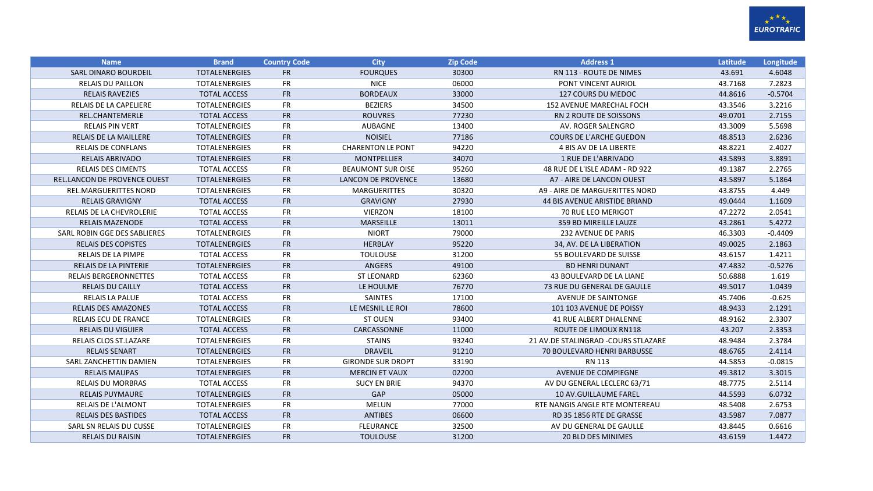

| <b>Name</b>                         | <b>Brand</b>         | <b>Country Code</b> | <b>City</b>               | <b>Zip Code</b> | <b>Address 1</b>                     | Latitude | Longitude |
|-------------------------------------|----------------------|---------------------|---------------------------|-----------------|--------------------------------------|----------|-----------|
| <b>SARL DINARO BOURDEIL</b>         | <b>TOTALENERGIES</b> | <b>FR</b>           | <b>FOURQUES</b>           | 30300           | <b>RN 113 - ROUTE DE NIMES</b>       | 43.691   | 4.6048    |
| <b>RELAIS DU PAILLON</b>            | <b>TOTALENERGIES</b> | <b>FR</b>           | <b>NICE</b>               | 06000           | PONT VINCENT AURIOL                  | 43.7168  | 7.2823    |
| <b>RELAIS RAVEZIES</b>              | <b>TOTAL ACCESS</b>  | <b>FR</b>           | <b>BORDEAUX</b>           | 33000           | 127 COURS DU MEDOC                   | 44.8616  | $-0.5704$ |
| <b>RELAIS DE LA CAPELIERE</b>       | <b>TOTALENERGIES</b> | <b>FR</b>           | <b>BEZIERS</b>            | 34500           | <b>152 AVENUE MARECHAL FOCH</b>      | 43.3546  | 3.2216    |
| <b>REL.CHANTEMERLE</b>              | <b>TOTAL ACCESS</b>  | <b>FR</b>           | <b>ROUVRES</b>            | 77230           | <b>RN 2 ROUTE DE SOISSONS</b>        | 49.0701  | 2.7155    |
| <b>RELAIS PIN VERT</b>              | <b>TOTALENERGIES</b> | <b>FR</b>           | AUBAGNE                   | 13400           | AV. ROGER SALENGRO                   | 43.3009  | 5.5698    |
| <b>RELAIS DE LA MAILLERE</b>        | <b>TOTALENERGIES</b> | <b>FR</b>           | <b>NOISIEL</b>            | 77186           | <b>COURS DE L'ARCHE GUEDON</b>       | 48.8513  | 2.6236    |
| <b>RELAIS DE CONFLANS</b>           | <b>TOTALENERGIES</b> | <b>FR</b>           | <b>CHARENTON LE PONT</b>  | 94220           | 4 BIS AV DE LA LIBERTE               | 48.8221  | 2.4027    |
| RELAIS ABRIVADO                     | <b>TOTALENERGIES</b> | <b>FR</b>           | <b>MONTPELLIER</b>        | 34070           | 1 RUE DE L'ABRIVADO                  | 43.5893  | 3.8891    |
| RELAIS DES CIMENTS                  | <b>TOTAL ACCESS</b>  | <b>FR</b>           | <b>BEAUMONT SUR OISE</b>  | 95260           | 48 RUE DE L'ISLE ADAM - RD 922       | 49.1387  | 2.2765    |
| <b>REL.LANCON DE PROVENCE OUEST</b> | <b>TOTALENERGIES</b> | <b>FR</b>           | <b>LANCON DE PROVENCE</b> | 13680           | A7 - AIRE DE LANCON OUEST            | 43.5897  | 5.1864    |
| <b>REL.MARGUERITTES NORD</b>        | <b>TOTALENERGIES</b> | <b>FR</b>           | <b>MARGUERITTES</b>       | 30320           | A9 - AIRE DE MARGUERITTES NORD       | 43.8755  | 4.449     |
| <b>RELAIS GRAVIGNY</b>              | <b>TOTAL ACCESS</b>  | <b>FR</b>           | <b>GRAVIGNY</b>           | 27930           | <b>44 BIS AVENUE ARISTIDE BRIAND</b> | 49.0444  | 1.1609    |
| RELAIS DE LA CHEVROLERIE            | <b>TOTAL ACCESS</b>  | <b>FR</b>           | <b>VIERZON</b>            | 18100           | <b>70 RUE LEO MERIGOT</b>            | 47.2272  | 2.0541    |
| <b>RELAIS MAZENODE</b>              | <b>TOTAL ACCESS</b>  | <b>FR</b>           | MARSEILLE                 | 13011           | 359 BD MIREILLE LAUZE                | 43.2861  | 5.4272    |
| SARL ROBIN GGE DES SABLIERES        | <b>TOTALENERGIES</b> | <b>FR</b>           | <b>NIORT</b>              | 79000           | 232 AVENUE DE PARIS                  | 46.3303  | $-0.4409$ |
| <b>RELAIS DES COPISTES</b>          | <b>TOTALENERGIES</b> | <b>FR</b>           | HERBLAY                   | 95220           | 34, AV. DE LA LIBERATION             | 49.0025  | 2.1863    |
| <b>RELAIS DE LA PIMPE</b>           | <b>TOTAL ACCESS</b>  | <b>FR</b>           | <b>TOULOUSE</b>           | 31200           | 55 BOULEVARD DE SUISSE               | 43.6157  | 1.4211    |
| <b>RELAIS DE LA PINTERIE</b>        | <b>TOTALENERGIES</b> | <b>FR</b>           | <b>ANGERS</b>             | 49100           | <b>BD HENRI DUNANT</b>               | 47.4832  | $-0.5276$ |
| <b>RELAIS BERGERONNETTES</b>        | <b>TOTAL ACCESS</b>  | <b>FR</b>           | <b>ST LEONARD</b>         | 62360           | 43 BOULEVARD DE LA LIANE             | 50.6888  | 1.619     |
| <b>RELAIS DU CAILLY</b>             | <b>TOTAL ACCESS</b>  | <b>FR</b>           | LE HOULME                 | 76770           | 73 RUE DU GENERAL DE GAULLE          | 49.5017  | 1.0439    |
| <b>RELAIS LA PALUE</b>              | <b>TOTAL ACCESS</b>  | <b>FR</b>           | <b>SAINTES</b>            | 17100           | <b>AVENUE DE SAINTONGE</b>           | 45.7406  | $-0.625$  |
| <b>RELAIS DES AMAZONES</b>          | <b>TOTAL ACCESS</b>  | <b>FR</b>           | LE MESNIL LE ROI          | 78600           | 101 103 AVENUE DE POISSY             | 48.9433  | 2.1291    |
| <b>RELAIS ECU DE FRANCE</b>         | <b>TOTALENERGIES</b> | <b>FR</b>           | <b>ST OUEN</b>            | 93400           | <b>41 RUE ALBERT DHALENNE</b>        | 48.9162  | 2.3307    |
| <b>RELAIS DU VIGUIER</b>            | <b>TOTAL ACCESS</b>  | <b>FR</b>           | CARCASSONNE               | 11000           | ROUTE DE LIMOUX RN118                | 43.207   | 2.3353    |
| RELAIS CLOS ST.LAZARE               | <b>TOTALENERGIES</b> | <b>FR</b>           | <b>STAINS</b>             | 93240           | 21 AV.DE STALINGRAD - COURS STLAZARE | 48.9484  | 2.3784    |
| <b>RELAIS SENART</b>                | <b>TOTALENERGIES</b> | <b>FR</b>           | <b>DRAVEIL</b>            | 91210           | 70 BOULEVARD HENRI BARBUSSE          | 48.6765  | 2.4114    |
| SARL ZANCHETTIN DAMIEN              | <b>TOTALENERGIES</b> | <b>FR</b>           | <b>GIRONDE SUR DROPT</b>  | 33190           | RN 113                               | 44.5853  | $-0.0815$ |
| <b>RELAIS MAUPAS</b>                | <b>TOTALENERGIES</b> | <b>FR</b>           | <b>MERCIN ET VAUX</b>     | 02200           | <b>AVENUE DE COMPIEGNE</b>           | 49.3812  | 3.3015    |
| <b>RELAIS DU MORBRAS</b>            | <b>TOTAL ACCESS</b>  | <b>FR</b>           | <b>SUCY EN BRIE</b>       | 94370           | AV DU GENERAL LECLERC 63/71          | 48.7775  | 2.5114    |
| <b>RELAIS PUYMAURE</b>              | <b>TOTALENERGIES</b> | <b>FR</b>           | GAP                       | 05000           | <b>10 AV.GUILLAUME FAREL</b>         | 44.5593  | 6.0732    |
| <b>RELAIS DE L'ALMONT</b>           | <b>TOTALENERGIES</b> | <b>FR</b>           | <b>MELUN</b>              | 77000           | RTE NANGIS ANGLE RTE MONTEREAU       | 48.5408  | 2.6753    |
| <b>RELAIS DES BASTIDES</b>          | <b>TOTAL ACCESS</b>  | <b>FR</b>           | <b>ANTIBES</b>            | 06600           | RD 35 1856 RTE DE GRASSE             | 43.5987  | 7.0877    |
| SARL SN RELAIS DU CUSSE             | <b>TOTALENERGIES</b> | <b>FR</b>           | <b>FLEURANCE</b>          | 32500           | AV DU GENERAL DE GAULLE              | 43.8445  | 0.6616    |
| <b>RELAIS DU RAISIN</b>             | <b>TOTALENERGIES</b> | <b>FR</b>           | <b>TOULOUSE</b>           | 31200           | <b>20 BLD DES MINIMES</b>            | 43.6159  | 1.4472    |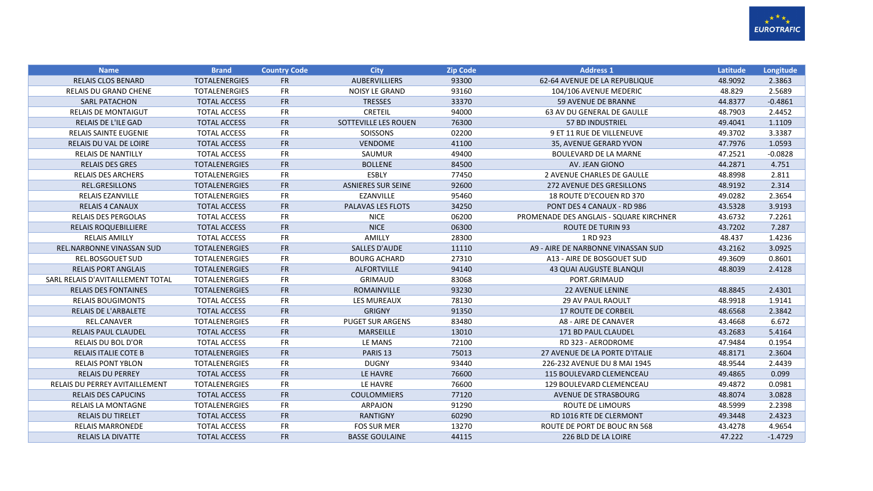

| <b>Name</b>                           | <b>Brand</b>         | <b>Country Code</b> | <b>City</b>               | <b>Zip Code</b> | <b>Address 1</b>                        | Latitude | Longitude |
|---------------------------------------|----------------------|---------------------|---------------------------|-----------------|-----------------------------------------|----------|-----------|
| <b>RELAIS CLOS BENARD</b>             | <b>TOTALENERGIES</b> | <b>FR</b>           | AUBERVILLIERS             | 93300           | 62-64 AVENUE DE LA REPUBLIQUE           | 48.9092  | 2.3863    |
| <b>RELAIS DU GRAND CHENE</b>          | <b>TOTALENERGIES</b> | <b>FR</b>           | <b>NOISY LE GRAND</b>     | 93160           | 104/106 AVENUE MEDERIC                  | 48.829   | 2.5689    |
| <b>SARL PATACHON</b>                  | <b>TOTAL ACCESS</b>  | <b>FR</b>           | <b>TRESSES</b>            | 33370           | 59 AVENUE DE BRANNE                     | 44.8377  | $-0.4861$ |
| <b>RELAIS DE MONTAIGUT</b>            | <b>TOTAL ACCESS</b>  | <b>FR</b>           | <b>CRETEIL</b>            | 94000           | 63 AV DU GENERAL DE GAULLE              | 48.7903  | 2.4452    |
| <b>RELAIS DE L'ILE GAD</b>            | <b>TOTAL ACCESS</b>  | <b>FR</b>           | SOTTEVILLE LES ROUEN      | 76300           | <b>57 BD INDUSTRIEL</b>                 | 49.4041  | 1.1109    |
| <b>RELAIS SAINTE EUGENIE</b>          | <b>TOTAL ACCESS</b>  | <b>FR</b>           | SOISSONS                  | 02200           | 9 ET 11 RUE DE VILLENEUVE               | 49.3702  | 3.3387    |
| <b>RELAIS DU VAL DE LOIRE</b>         | <b>TOTAL ACCESS</b>  | <b>FR</b>           | <b>VENDOME</b>            | 41100           | 35, AVENUE GERARD YVON                  | 47.7976  | 1.0593    |
| <b>RELAIS DE NANTILLY</b>             | <b>TOTAL ACCESS</b>  | <b>FR</b>           | SAUMUR                    | 49400           | <b>BOULEVARD DE LA MARNE</b>            | 47.2521  | $-0.0828$ |
| <b>RELAIS DES GRES</b>                | <b>TOTALENERGIES</b> | <b>FR</b>           | <b>BOLLENE</b>            | 84500           | AV. JEAN GIONO                          | 44.2871  | 4.751     |
| <b>RELAIS DES ARCHERS</b>             | <b>TOTALENERGIES</b> | <b>FR</b>           | ESBLY                     | 77450           | 2 AVENUE CHARLES DE GAULLE              | 48.8998  | 2.811     |
| REL.GRESILLONS                        | <b>TOTALENERGIES</b> | <b>FR</b>           | <b>ASNIERES SUR SEINE</b> | 92600           | 272 AVENUE DES GRESILLONS               | 48.9192  | 2.314     |
| RELAIS EZANVILLE                      | <b>TOTALENERGIES</b> | <b>FR</b>           | EZANVILLE                 | 95460           | 18 ROUTE D'ECOUEN RD 370                | 49.0282  | 2.3654    |
| <b>RELAIS 4 CANAUX</b>                | <b>TOTAL ACCESS</b>  | <b>FR</b>           | PALAVAS LES FLOTS         | 34250           | PONT DES 4 CANAUX - RD 986              | 43.5328  | 3.9193    |
| <b>RELAIS DES PERGOLAS</b>            | <b>TOTAL ACCESS</b>  | <b>FR</b>           | <b>NICE</b>               | 06200           | PROMENADE DES ANGLAIS - SQUARE KIRCHNER | 43.6732  | 7.2261    |
| <b>RELAIS ROQUEBILLIERE</b>           | <b>TOTAL ACCESS</b>  | <b>FR</b>           | <b>NICE</b>               | 06300           | <b>ROUTE DE TURIN 93</b>                | 43.7202  | 7.287     |
| <b>RELAIS AMILLY</b>                  | <b>TOTAL ACCESS</b>  | <b>FR</b>           | AMILLY                    | 28300           | 1 RD 923                                | 48.437   | 1.4236    |
| <b>REL.NARBONNE VINASSAN SUD</b>      | <b>TOTALENERGIES</b> | <b>FR</b>           | SALLES D'AUDE             | 11110           | A9 - AIRE DE NARBONNE VINASSAN SUD      | 43.2162  | 3.0925    |
| <b>REL.BOSGOUET SUD</b>               | <b>TOTALENERGIES</b> | <b>FR</b>           | <b>BOURG ACHARD</b>       | 27310           | A13 - AIRE DE BOSGOUET SUD              | 49.3609  | 0.8601    |
| <b>RELAIS PORT ANGLAIS</b>            | <b>TOTALENERGIES</b> | <b>FR</b>           | <b>ALFORTVILLE</b>        | 94140           | <b>43 QUAI AUGUSTE BLANQUI</b>          | 48.8039  | 2.4128    |
| SARL RELAIS D'AVITAILLEMENT TOTAL     | <b>TOTALENERGIES</b> | <b>FR</b>           | <b>GRIMAUD</b>            | 83068           | PORT.GRIMAUD                            |          |           |
| <b>RELAIS DES FONTAINES</b>           | <b>TOTALENERGIES</b> | FR                  | ROMAINVILLE               | 93230           | <b>22 AVENUE LENINE</b>                 | 48.8845  | 2.4301    |
| <b>RELAIS BOUGIMONTS</b>              | <b>TOTAL ACCESS</b>  | <b>FR</b>           | <b>LES MUREAUX</b>        | 78130           | <b>29 AV PAUL RAOULT</b>                | 48.9918  | 1.9141    |
| RELAIS DE L'ARBALETE                  | <b>TOTAL ACCESS</b>  | <b>FR</b>           | <b>GRIGNY</b>             | 91350           | <b>17 ROUTE DE CORBEIL</b>              | 48.6568  | 2.3842    |
| REL.CANAVER                           | <b>TOTALENERGIES</b> | <b>FR</b>           | <b>PUGET SUR ARGENS</b>   | 83480           | A8 - AIRE DE CANAVER                    | 43.4668  | 6.672     |
| <b>RELAIS PAUL CLAUDEL</b>            | <b>TOTAL ACCESS</b>  | <b>FR</b>           | <b>MARSEILLE</b>          | 13010           | 171 BD PAUL CLAUDEL                     | 43.2683  | 5.4164    |
| <b>RELAIS DU BOL D'OR</b>             | <b>TOTAL ACCESS</b>  | <b>FR</b>           | LE MANS                   | 72100           | RD 323 - AERODROME                      | 47.9484  | 0.1954    |
| <b>RELAIS ITALIE COTE B</b>           | <b>TOTALENERGIES</b> | <b>FR</b>           | PARIS <sub>13</sub>       | 75013           | 27 AVENUE DE LA PORTE D'ITALIE          | 48.8171  | 2.3604    |
| <b>RELAIS PONT YBLON</b>              | <b>TOTALENERGIES</b> | <b>FR</b>           | <b>DUGNY</b>              | 93440           | 226-232 AVENUE DU 8 MAI 1945            | 48.9544  | 2.4439    |
| <b>RELAIS DU PERREY</b>               | <b>TOTAL ACCESS</b>  | <b>FR</b>           | LE HAVRE                  | 76600           | 115 BOULEVARD CLEMENCEAU                | 49.4865  | 0.099     |
| <b>RELAIS DU PERREY AVITAILLEMENT</b> | <b>TOTALENERGIES</b> | <b>FR</b>           | LE HAVRE                  | 76600           | 129 BOULEVARD CLEMENCEAU                | 49.4872  | 0.0981    |
| <b>RELAIS DES CAPUCINS</b>            | <b>TOTAL ACCESS</b>  | <b>FR</b>           | <b>COULOMMIERS</b>        | 77120           | <b>AVENUE DE STRASBOURG</b>             | 48.8074  | 3.0828    |
| <b>RELAIS LA MONTAGNE</b>             | <b>TOTALENERGIES</b> | <b>FR</b>           | <b>ARPAJON</b>            | 91290           | ROUTE DE LIMOURS                        | 48.5999  | 2.2398    |
| <b>RELAIS DU TIRELET</b>              | <b>TOTAL ACCESS</b>  | <b>FR</b>           | <b>RANTIGNY</b>           | 60290           | RD 1016 RTE DE CLERMONT                 | 49.3448  | 2.4323    |
| <b>RELAIS MARRONEDE</b>               | <b>TOTAL ACCESS</b>  | <b>FR</b>           | <b>FOS SUR MER</b>        | 13270           | ROUTE DE PORT DE BOUC RN 568            | 43.4278  | 4.9654    |
| <b>RELAIS LA DIVATTE</b>              | <b>TOTAL ACCESS</b>  | <b>FR</b>           | <b>BASSE GOULAINE</b>     | 44115           | 226 BLD DE LA LOIRE                     | 47.222   | $-1.4729$ |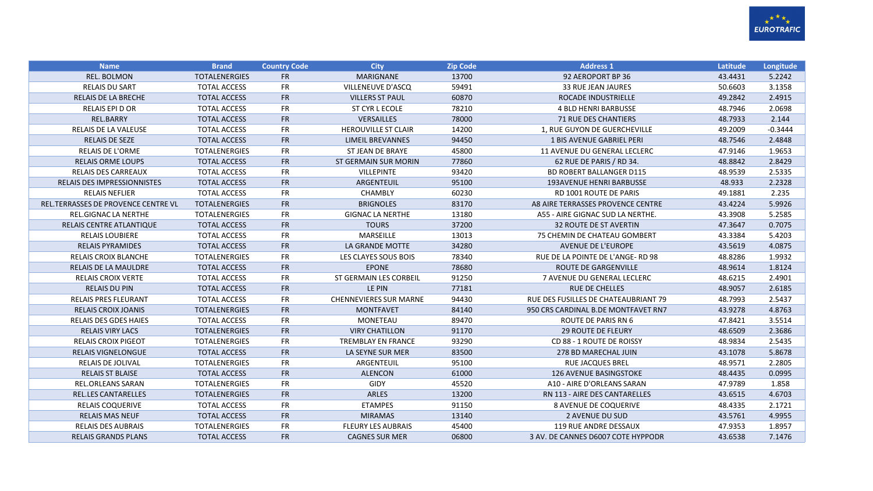

| <b>Name</b>                         | <b>Brand</b>         | <b>Country Code</b> | <b>City</b>                   | <b>Zip Code</b> | <b>Address 1</b>                     | Latitude | Longitude |
|-------------------------------------|----------------------|---------------------|-------------------------------|-----------------|--------------------------------------|----------|-----------|
| <b>REL. BOLMON</b>                  | <b>TOTALENERGIES</b> | <b>FR</b>           | <b>MARIGNANE</b>              | 13700           | 92 AEROPORT BP 36                    | 43.4431  | 5.2242    |
| <b>RELAIS DU SART</b>               | <b>TOTAL ACCESS</b>  | <b>FR</b>           | VILLENEUVE D'ASCQ             | 59491           | <b>33 RUE JEAN JAURES</b>            | 50.6603  | 3.1358    |
| <b>RELAIS DE LA BRECHE</b>          | <b>TOTAL ACCESS</b>  | <b>FR</b>           | <b>VILLERS ST PAUL</b>        | 60870           | ROCADE INDUSTRIELLE                  | 49.2842  | 2.4915    |
| <b>RELAIS EPI D OR</b>              | <b>TOTAL ACCESS</b>  | <b>FR</b>           | ST CYR L ECOLE                | 78210           | <b>4 BLD HENRI BARBUSSE</b>          | 48.7946  | 2.0698    |
| REL.BARRY                           | <b>TOTAL ACCESS</b>  | <b>FR</b>           | <b>VERSAILLES</b>             | 78000           | <b>71 RUE DES CHANTIERS</b>          | 48.7933  | 2.144     |
| RELAIS DE LA VALEUSE                | <b>TOTAL ACCESS</b>  | <b>FR</b>           | <b>HEROUVILLE ST CLAIR</b>    | 14200           | 1, RUE GUYON DE GUERCHEVILLE         | 49.2009  | $-0.3444$ |
| <b>RELAIS DE SEZE</b>               | <b>TOTAL ACCESS</b>  | <b>FR</b>           | <b>LIMEIL BREVANNES</b>       | 94450           | 1 BIS AVENUE GABRIEL PERI            | 48.7546  | 2.4848    |
| RELAIS DE L'ORME                    | <b>TOTALENERGIES</b> | FR                  | ST JEAN DE BRAYE              | 45800           | 11 AVENUE DU GENERAL LECLERC         | 47.9146  | 1.9653    |
| <b>RELAIS ORME LOUPS</b>            | <b>TOTAL ACCESS</b>  | <b>FR</b>           | <b>ST GERMAIN SUR MORIN</b>   | 77860           | 62 RUE DE PARIS / RD 34.             | 48.8842  | 2.8429    |
| <b>RELAIS DES CARREAUX</b>          | <b>TOTAL ACCESS</b>  | <b>FR</b>           | <b>VILLEPINTE</b>             | 93420           | <b>BD ROBERT BALLANGER D115</b>      | 48.9539  | 2.5335    |
| <b>RELAIS DES IMPRESSIONNISTES</b>  | <b>TOTAL ACCESS</b>  | <b>FR</b>           | ARGENTEUIL                    | 95100           | <b>193AVENUE HENRI BARBUSSE</b>      | 48.933   | 2.2328    |
| <b>RELAIS NEFLIER</b>               | <b>TOTAL ACCESS</b>  | <b>FR</b>           | CHAMBLY                       | 60230           | RD 1001 ROUTE DE PARIS               | 49.1881  | 2.235     |
| REL.TERRASSES DE PROVENCE CENTRE VL | <b>TOTALENERGIES</b> | <b>FR</b>           | <b>BRIGNOLES</b>              | 83170           | A8 AIRE TERRASSES PROVENCE CENTRE    | 43.4224  | 5.9926    |
| REL.GIGNAC LA NERTHE                | <b>TOTALENERGIES</b> | <b>FR</b>           | <b>GIGNAC LA NERTHE</b>       | 13180           | A55 - AIRE GIGNAC SUD LA NERTHE.     | 43.3908  | 5.2585    |
| RELAIS CENTRE ATLANTIQUE            | <b>TOTAL ACCESS</b>  | <b>FR</b>           | <b>TOURS</b>                  | 37200           | <b>32 ROUTE DE ST AVERTIN</b>        | 47.3647  | 0.7075    |
| <b>RELAIS LOUBIERE</b>              | <b>TOTAL ACCESS</b>  | <b>FR</b>           | MARSEILLE                     | 13013           | 75 CHEMIN DE CHATEAU GOMBERT         | 43.3384  | 5.4203    |
| <b>RELAIS PYRAMIDES</b>             | <b>TOTAL ACCESS</b>  | <b>FR</b>           | LA GRANDE MOTTE               | 34280           | <b>AVENUE DE L'EUROPE</b>            | 43.5619  | 4.0875    |
| <b>RELAIS CROIX BLANCHE</b>         | <b>TOTALENERGIES</b> | <b>FR</b>           | LES CLAYES SOUS BOIS          | 78340           | RUE DE LA POINTE DE L'ANGE-RD 98     | 48.8286  | 1.9932    |
| <b>RELAIS DE LA MAULDRE</b>         | <b>TOTAL ACCESS</b>  | <b>FR</b>           | <b>EPONE</b>                  | 78680           | <b>ROUTE DE GARGENVILLE</b>          | 48.9614  | 1.8124    |
| <b>RELAIS CROIX VERTE</b>           | <b>TOTAL ACCESS</b>  | FR                  | ST GERMAIN LES CORBEIL        | 91250           | 7 AVENUE DU GENERAL LECLERC          | 48.6215  | 2.4901    |
| <b>RELAIS DU PIN</b>                | <b>TOTAL ACCESS</b>  | <b>FR</b>           | LE PIN                        | 77181           | <b>RUE DE CHELLES</b>                | 48.9057  | 2.6185    |
| <b>RELAIS PRES FLEURANT</b>         | <b>TOTAL ACCESS</b>  | FR                  | <b>CHENNEVIERES SUR MARNE</b> | 94430           | RUE DES FUSILLES DE CHATEAUBRIANT 79 | 48.7993  | 2.5437    |
| <b>RELAIS CROIX JOANIS</b>          | <b>TOTALENERGIES</b> | <b>FR</b>           | <b>MONTFAVET</b>              | 84140           | 950 CRS CARDINAL B.DE MONTFAVET RN7  | 43.9278  | 4.8763    |
| <b>RELAIS DES GDES HAIES</b>        | <b>TOTAL ACCESS</b>  | <b>FR</b>           | MONETEAU                      | 89470           | ROUTE DE PARIS RN 6                  | 47.8421  | 3.5514    |
| <b>RELAIS VIRY LACS</b>             | <b>TOTALENERGIES</b> | <b>FR</b>           | <b>VIRY CHATILLON</b>         | 91170           | <b>29 ROUTE DE FLEURY</b>            | 48.6509  | 2.3686    |
| <b>RELAIS CROIX PIGEOT</b>          | <b>TOTALENERGIES</b> | <b>FR</b>           | <b>TREMBLAY EN FRANCE</b>     | 93290           | CD 88 - 1 ROUTE DE ROISSY            | 48.9834  | 2.5435    |
| <b>RELAIS VIGNELONGUE</b>           | <b>TOTAL ACCESS</b>  | <b>FR</b>           | LA SEYNE SUR MER              | 83500           | 278 BD MARECHAL JUIN                 | 43.1078  | 5.8678    |
| RELAIS DE JOLIVAL                   | <b>TOTALENERGIES</b> | <b>FR</b>           | ARGENTEUIL                    | 95100           | <b>RUE JACQUES BREL</b>              | 48.9571  | 2.2805    |
| <b>RELAIS ST BLAISE</b>             | <b>TOTAL ACCESS</b>  | <b>FR</b>           | <b>ALENCON</b>                | 61000           | <b>126 AVENUE BASINGSTOKE</b>        | 48.4435  | 0.0995    |
| <b>REL.ORLEANS SARAN</b>            | <b>TOTALENERGIES</b> | <b>FR</b>           | <b>GIDY</b>                   | 45520           | A10 - AIRE D'ORLEANS SARAN           | 47.9789  | 1.858     |
| <b>REL.LES CANTARELLES</b>          | <b>TOTALENERGIES</b> | <b>FR</b>           | ARLES                         | 13200           | RN 113 - AIRE DES CANTARELLES        | 43.6515  | 4.6703    |
| <b>RELAIS COQUERIVE</b>             | <b>TOTAL ACCESS</b>  | <b>FR</b>           | <b>ETAMPES</b>                | 91150           | <b>8 AVENUE DE COQUERIVE</b>         | 48.4335  | 2.1721    |
| <b>RELAIS MAS NEUF</b>              | <b>TOTAL ACCESS</b>  | <b>FR</b>           | <b>MIRAMAS</b>                | 13140           | 2 AVENUE DU SUD                      | 43.5761  | 4.9955    |
| <b>RELAIS DES AUBRAIS</b>           | <b>TOTALENERGIES</b> | <b>FR</b>           | <b>FLEURY LES AUBRAIS</b>     | 45400           | 119 RUE ANDRE DESSAUX                | 47.9353  | 1.8957    |
| <b>RELAIS GRANDS PLANS</b>          | <b>TOTAL ACCESS</b>  | <b>FR</b>           | <b>CAGNES SUR MER</b>         | 06800           | 3 AV. DE CANNES D6007 COTE HYPPODR   | 43.6538  | 7.1476    |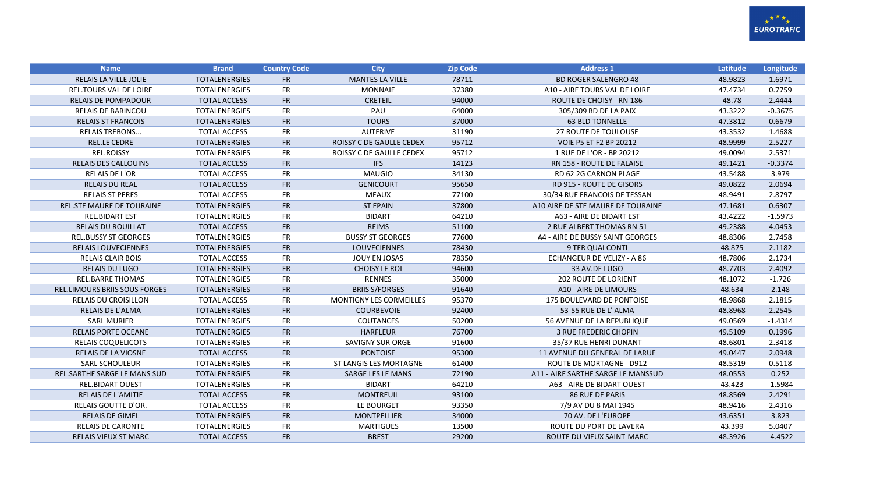

| <b>Name</b>                         | <b>Brand</b>         | <b>Country Code</b> | <b>City</b>                     | <b>Zip Code</b> | <b>Address 1</b>                   | Latitude | Longitude |
|-------------------------------------|----------------------|---------------------|---------------------------------|-----------------|------------------------------------|----------|-----------|
| <b>RELAIS LA VILLE JOLIE</b>        | <b>TOTALENERGIES</b> | <b>FR</b>           | <b>MANTES LA VILLE</b>          | 78711           | <b>BD ROGER SALENGRO 48</b>        | 48.9823  | 1.6971    |
| <b>REL.TOURS VAL DE LOIRE</b>       | <b>TOTALENERGIES</b> | <b>FR</b>           | <b>MONNAIE</b>                  | 37380           | A10 - AIRE TOURS VAL DE LOIRE      | 47.4734  | 0.7759    |
| <b>RELAIS DE POMPADOUR</b>          | <b>TOTAL ACCESS</b>  | <b>FR</b>           | <b>CRETEIL</b>                  | 94000           | ROUTE DE CHOISY - RN 186           | 48.78    | 2.4444    |
| <b>RELAIS DE BARINCOU</b>           | <b>TOTALENERGIES</b> | <b>FR</b>           | PAU                             | 64000           | 305/309 BD DE LA PAIX              | 43.3222  | $-0.3675$ |
| <b>RELAIS ST FRANCOIS</b>           | <b>TOTALENERGIES</b> | <b>FR</b>           | <b>TOURS</b>                    | 37000           | <b>63 BLD TONNELLE</b>             | 47.3812  | 0.6679    |
| <b>RELAIS TREBONS</b>               | <b>TOTAL ACCESS</b>  | <b>FR</b>           | <b>AUTERIVE</b>                 | 31190           | <b>27 ROUTE DE TOULOUSE</b>        | 43.3532  | 1.4688    |
| <b>REL.LE CEDRE</b>                 | <b>TOTALENERGIES</b> | <b>FR</b>           | <b>ROISSY C DE GAULLE CEDEX</b> | 95712           | <b>VOIE P5 ET F2 BP 20212</b>      | 48.9999  | 2.5227    |
| <b>REL.ROISSY</b>                   | <b>TOTALENERGIES</b> | <b>FR</b>           | ROISSY C DE GAULLE CEDEX        | 95712           | 1 RUE DE L'OR - BP 20212           | 49.0094  | 2.5371    |
| <b>RELAIS DES CALLOUINS</b>         | <b>TOTAL ACCESS</b>  | <b>FR</b>           | <b>IFS</b>                      | 14123           | RN 158 - ROUTE DE FALAISE          | 49.1421  | $-0.3374$ |
| RELAIS DE L'OR                      | <b>TOTAL ACCESS</b>  | <b>FR</b>           | <b>MAUGIO</b>                   | 34130           | RD 62 2G CARNON PLAGE              | 43.5488  | 3.979     |
| <b>RELAIS DU REAL</b>               | <b>TOTAL ACCESS</b>  | <b>FR</b>           | <b>GENICOURT</b>                | 95650           | <b>RD 915 - ROUTE DE GISORS</b>    | 49.0822  | 2.0694    |
| <b>RELAIS ST PERES</b>              | <b>TOTAL ACCESS</b>  | <b>FR</b>           | <b>MEAUX</b>                    | 77100           | 30/34 RUE FRANCOIS DE TESSAN       | 48.9491  | 2.8797    |
| <b>REL.STE MAURE DE TOURAINE</b>    | <b>TOTALENERGIES</b> | <b>FR</b>           | <b>ST EPAIN</b>                 | 37800           | A10 AIRE DE STE MAURE DE TOURAINE  | 47.1681  | 0.6307    |
| <b>REL.BIDART EST</b>               | <b>TOTALENERGIES</b> | <b>FR</b>           | <b>BIDART</b>                   | 64210           | A63 - AIRE DE BIDART EST           | 43.4222  | $-1.5973$ |
| <b>RELAIS DU ROUILLAT</b>           | <b>TOTAL ACCESS</b>  | <b>FR</b>           | <b>REIMS</b>                    | 51100           | 2 RUE ALBERT THOMAS RN 51          | 49.2388  | 4.0453    |
| <b>REL.BUSSY ST GEORGES</b>         | <b>TOTALENERGIES</b> | <b>FR</b>           | <b>BUSSY ST GEORGES</b>         | 77600           | A4 - AIRE DE BUSSY SAINT GEORGES   | 48.8306  | 2.7458    |
| <b>RELAIS LOUVECIENNES</b>          | <b>TOTALENERGIES</b> | <b>FR</b>           | <b>LOUVECIENNES</b>             | 78430           | 9 TER QUAI CONTI                   | 48.875   | 2.1182    |
| <b>RELAIS CLAIR BOIS</b>            | <b>TOTAL ACCESS</b>  | <b>FR</b>           | JOUY EN JOSAS                   | 78350           | ECHANGEUR DE VELIZY - A 86         | 48.7806  | 2.1734    |
| <b>RELAIS DU LUGO</b>               | <b>TOTALENERGIES</b> | <b>FR</b>           | <b>CHOISY LE ROI</b>            | 94600           | 33 AV.DE LUGO                      | 48.7703  | 2.4092    |
| <b>REL.BARRE THOMAS</b>             | <b>TOTALENERGIES</b> | <b>FR</b>           | <b>RENNES</b>                   | 35000           | 202 ROUTE DE LORIENT               | 48.1072  | $-1.726$  |
| REL.LIMOURS BRIIS SOUS FORGES       | <b>TOTALENERGIES</b> | <b>FR</b>           | <b>BRIIS S/FORGES</b>           | 91640           | A10 - AIRE DE LIMOURS              | 48.634   | 2.148     |
| <b>RELAIS DU CROISILLON</b>         | <b>TOTAL ACCESS</b>  | <b>FR</b>           | <b>MONTIGNY LES CORMEILLES</b>  | 95370           | 175 BOULEVARD DE PONTOISE          | 48.9868  | 2.1815    |
| <b>RELAIS DE L'ALMA</b>             | <b>TOTALENERGIES</b> | <b>FR</b>           | <b>COURBEVOIE</b>               | 92400           | 53-55 RUE DE L'ALMA                | 48.8968  | 2.2545    |
| <b>SARL MURIER</b>                  | <b>TOTALENERGIES</b> | <b>FR</b>           | COUTANCES                       | 50200           | 56 AVENUE DE LA REPUBLIQUE         | 49.0569  | $-1.4314$ |
| <b>RELAIS PORTE OCEANE</b>          | <b>TOTALENERGIES</b> | <b>FR</b>           | <b>HARFLEUR</b>                 | 76700           | <b>3 RUE FREDERIC CHOPIN</b>       | 49.5109  | 0.1996    |
| <b>RELAIS COQUELICOTS</b>           | <b>TOTALENERGIES</b> | <b>FR</b>           | <b>SAVIGNY SUR ORGE</b>         | 91600           | 35/37 RUE HENRI DUNANT             | 48.6801  | 2.3418    |
| RELAIS DE LA VIOSNE                 | <b>TOTAL ACCESS</b>  | FR                  | <b>PONTOISE</b>                 | 95300           | 11 AVENUE DU GENERAL DE LARUE      | 49.0447  | 2.0948    |
| <b>SARL SCHOULEUR</b>               | <b>TOTALENERGIES</b> | <b>FR</b>           | ST LANGIS LES MORTAGNE          | 61400           | <b>ROUTE DE MORTAGNE - D912</b>    | 48.5319  | 0.5118    |
| <b>REL.SARTHE SARGE LE MANS SUD</b> | <b>TOTALENERGIES</b> | <b>FR</b>           | <b>SARGE LES LE MANS</b>        | 72190           | A11 - AIRE SARTHE SARGE LE MANSSUD | 48.0553  | 0.252     |
| <b>REL.BIDART OUEST</b>             | <b>TOTALENERGIES</b> | <b>FR</b>           | <b>BIDART</b>                   | 64210           | A63 - AIRE DE BIDART OUEST         | 43.423   | $-1.5984$ |
| <b>RELAIS DE L'AMITIE</b>           | <b>TOTAL ACCESS</b>  | <b>FR</b>           | <b>MONTREUIL</b>                | 93100           | <b>86 RUE DE PARIS</b>             | 48.8569  | 2.4291    |
| RELAIS GOUTTE D'OR.                 | <b>TOTAL ACCESS</b>  | <b>FR</b>           | LE BOURGET                      | 93350           | 7/9 AV DU 8 MAI 1945               | 48.9416  | 2.4316    |
| <b>RELAIS DE GIMEL</b>              | <b>TOTALENERGIES</b> | <b>FR</b>           | <b>MONTPELLIER</b>              | 34000           | 70 AV. DE L'EUROPE                 | 43.6351  | 3.823     |
| <b>RELAIS DE CARONTE</b>            | <b>TOTALENERGIES</b> | <b>FR</b>           | <b>MARTIGUES</b>                | 13500           | ROUTE DU PORT DE LAVERA            | 43.399   | 5.0407    |
| <b>RELAIS VIEUX ST MARC</b>         | <b>TOTAL ACCESS</b>  | <b>FR</b>           | <b>BREST</b>                    | 29200           | ROUTE DU VIEUX SAINT-MARC          | 48.3926  | $-4.4522$ |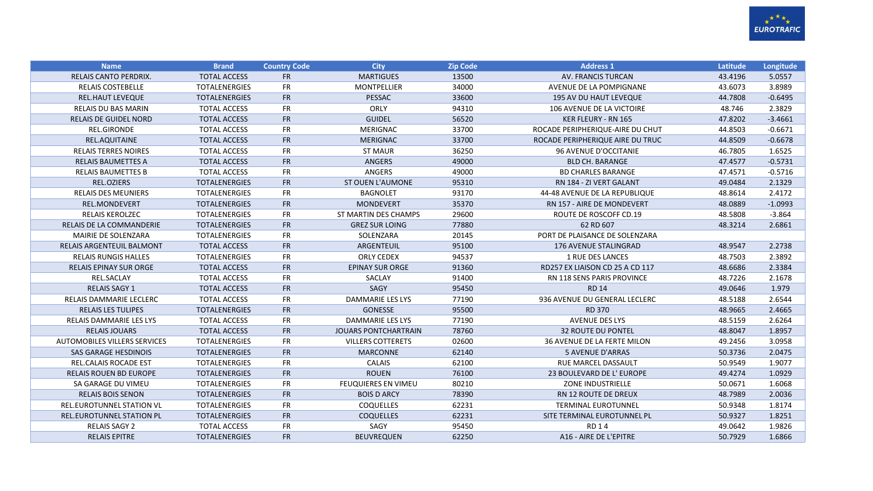

| <b>Name</b>                      | <b>Brand</b>         | <b>Country Code</b> | <b>City</b>                 | <b>Zip Code</b> | <b>Address 1</b>                 | Latitude | Longitude |
|----------------------------------|----------------------|---------------------|-----------------------------|-----------------|----------------------------------|----------|-----------|
| <b>RELAIS CANTO PERDRIX.</b>     | <b>TOTAL ACCESS</b>  | <b>FR</b>           | <b>MARTIGUES</b>            | 13500           | AV. FRANCIS TURCAN               | 43.4196  | 5.0557    |
| <b>RELAIS COSTEBELLE</b>         | <b>TOTALENERGIES</b> | <b>FR</b>           | <b>MONTPELLIER</b>          | 34000           | AVENUE DE LA POMPIGNANE          | 43.6073  | 3.8989    |
| <b>REL.HAUT LEVEQUE</b>          | <b>TOTALENERGIES</b> | <b>FR</b>           | PESSAC                      | 33600           | <b>195 AV DU HAUT LEVEQUE</b>    | 44.7808  | $-0.6495$ |
| <b>RELAIS DU BAS MARIN</b>       | <b>TOTAL ACCESS</b>  | <b>FR</b>           | ORLY                        | 94310           | 106 AVENUE DE LA VICTOIRE        | 48.746   | 2.3829    |
| <b>RELAIS DE GUIDEL NORD</b>     | <b>TOTAL ACCESS</b>  | <b>FR</b>           | <b>GUIDEL</b>               | 56520           | <b>KER FLEURY - RN 165</b>       | 47.8202  | $-3.4661$ |
| <b>REL.GIRONDE</b>               | <b>TOTAL ACCESS</b>  | <b>FR</b>           | <b>MERIGNAC</b>             | 33700           | ROCADE PERIPHERIQUE-AIRE DU CHUT | 44.8503  | $-0.6671$ |
| REL.AQUITAINE                    | <b>TOTAL ACCESS</b>  | <b>FR</b>           | <b>MERIGNAC</b>             | 33700           | ROCADE PERIPHERIQUE AIRE DU TRUC | 44.8509  | $-0.6678$ |
| <b>RELAIS TERRES NOIRES</b>      | <b>TOTAL ACCESS</b>  | <b>FR</b>           | <b>ST MAUR</b>              | 36250           | 96 AVENUE D'OCCITANIE            | 46.7805  | 1.6525    |
| <b>RELAIS BAUMETTES A</b>        | <b>TOTAL ACCESS</b>  | <b>FR</b>           | <b>ANGERS</b>               | 49000           | <b>BLD CH. BARANGE</b>           | 47.4577  | $-0.5731$ |
| <b>RELAIS BAUMETTES B</b>        | <b>TOTAL ACCESS</b>  | <b>FR</b>           | ANGERS                      | 49000           | <b>BD CHARLES BARANGE</b>        | 47.4571  | $-0.5716$ |
| REL.OZIERS                       | <b>TOTALENERGIES</b> | <b>FR</b>           | <b>ST OUEN L'AUMONE</b>     | 95310           | RN 184 - ZI VERT GALANT          | 49.0484  | 2.1329    |
| <b>RELAIS DES MEUNIERS</b>       | <b>TOTALENERGIES</b> | <b>FR</b>           | <b>BAGNOLET</b>             | 93170           | 44-48 AVENUE DE LA REPUBLIQUE    | 48.8614  | 2.4172    |
| <b>REL.MONDEVERT</b>             | <b>TOTALENERGIES</b> | <b>FR</b>           | <b>MONDEVERT</b>            | 35370           | RN 157 - AIRE DE MONDEVERT       | 48.0889  | $-1.0993$ |
| <b>RELAIS KEROLZEC</b>           | <b>TOTALENERGIES</b> | <b>FR</b>           | ST MARTIN DES CHAMPS        | 29600           | ROUTE DE ROSCOFF CD.19           | 48.5808  | $-3.864$  |
| <b>RELAIS DE LA COMMANDERIE</b>  | <b>TOTALENERGIES</b> | <b>FR</b>           | <b>GREZ SUR LOING</b>       | 77880           | 62 RD 607                        | 48.3214  | 2.6861    |
| MAIRIE DE SOLENZARA              | <b>TOTALENERGIES</b> | <b>FR</b>           | SOLENZARA                   | 20145           | PORT DE PLAISANCE DE SOLENZARA   |          |           |
| <b>RELAIS ARGENTEUIL BALMONT</b> | <b>TOTAL ACCESS</b>  | <b>FR</b>           | ARGENTEUIL                  | 95100           | 176 AVENUE STALINGRAD            | 48.9547  | 2.2738    |
| <b>RELAIS RUNGIS HALLES</b>      | <b>TOTALENERGIES</b> | <b>FR</b>           | <b>ORLY CEDEX</b>           | 94537           | <b>1 RUE DES LANCES</b>          | 48.7503  | 2.3892    |
| <b>RELAIS EPINAY SUR ORGE</b>    | <b>TOTAL ACCESS</b>  | <b>FR</b>           | <b>EPINAY SUR ORGE</b>      | 91360           | RD257 EX LIAISON CD 25 A CD 117  | 48.6686  | 2.3384    |
| REL.SACLAY                       | <b>TOTAL ACCESS</b>  | <b>FR</b>           | SACLAY                      | 91400           | RN 118 SENS PARIS PROVINCE       | 48.7226  | 2.1678    |
| <b>RELAIS SAGY 1</b>             | <b>TOTAL ACCESS</b>  | <b>FR</b>           | SAGY                        | 95450           | <b>RD 14</b>                     | 49.0646  | 1.979     |
| RELAIS DAMMARIE LECLERC          | <b>TOTAL ACCESS</b>  | FR                  | DAMMARIE LES LYS            | 77190           | 936 AVENUE DU GENERAL LECLERC    | 48.5188  | 2.6544    |
| <b>RELAIS LES TULIPES</b>        | <b>TOTALENERGIES</b> | <b>FR</b>           | <b>GONESSE</b>              | 95500           | <b>RD 370</b>                    | 48.9665  | 2.4665    |
| RELAIS DAMMARIE LES LYS          | <b>TOTAL ACCESS</b>  | <b>FR</b>           | DAMMARIE LES LYS            | 77190           | <b>AVENUE DES LYS</b>            | 48.5159  | 2.6264    |
| <b>RELAIS JOUARS</b>             | <b>TOTAL ACCESS</b>  | <b>FR</b>           | <b>JOUARS PONTCHARTRAIN</b> | 78760           | <b>32 ROUTE DU PONTEL</b>        | 48.8047  | 1.8957    |
| AUTOMOBILES VILLERS SERVICES     | <b>TOTALENERGIES</b> | <b>FR</b>           | <b>VILLERS COTTERETS</b>    | 02600           | 36 AVENUE DE LA FERTE MILON      | 49.2456  | 3.0958    |
| <b>SAS GARAGE HESDINOIS</b>      | <b>TOTALENERGIES</b> | <b>FR</b>           | <b>MARCONNE</b>             | 62140           | <b>5 AVENUE D'ARRAS</b>          | 50.3736  | 2.0475    |
| <b>REL.CALAIS ROCADE EST</b>     | <b>TOTALENERGIES</b> | <b>FR</b>           | CALAIS                      | 62100           | <b>RUE MARCEL DASSAULT</b>       | 50.9549  | 1.9077    |
| <b>RELAIS ROUEN BD EUROPE</b>    | <b>TOTALENERGIES</b> | <b>FR</b>           | <b>ROUEN</b>                | 76100           | 23 BOULEVARD DE L'EUROPE         | 49.4274  | 1.0929    |
| SA GARAGE DU VIMEU               | <b>TOTALENERGIES</b> | <b>FR</b>           | <b>FEUQUIERES EN VIMEU</b>  | 80210           | <b>ZONE INDUSTRIELLE</b>         | 50.0671  | 1.6068    |
| <b>RELAIS BOIS SENON</b>         | <b>TOTALENERGIES</b> | <b>FR</b>           | <b>BOIS D ARCY</b>          | 78390           | <b>RN 12 ROUTE DE DREUX</b>      | 48.7989  | 2.0036    |
| <b>REL.EUROTUNNEL STATION VL</b> | <b>TOTALENERGIES</b> | <b>FR</b>           | <b>COQUELLES</b>            | 62231           | <b>TERMINAL EUROTUNNEL</b>       | 50.9348  | 1.8174    |
| REL.EUROTUNNEL STATION PL        | <b>TOTALENERGIES</b> | <b>FR</b>           | <b>COQUELLES</b>            | 62231           | SITE TERMINAL EUROTUNNEL PL      | 50.9327  | 1.8251    |
| <b>RELAIS SAGY 2</b>             | <b>TOTAL ACCESS</b>  | <b>FR</b>           | SAGY                        | 95450           | <b>RD14</b>                      | 49.0642  | 1.9826    |
| <b>RELAIS EPITRE</b>             | <b>TOTALENERGIES</b> | <b>FR</b>           | <b>BEUVREQUEN</b>           | 62250           | A16 - AIRE DE L'EPITRE           | 50.7929  | 1.6866    |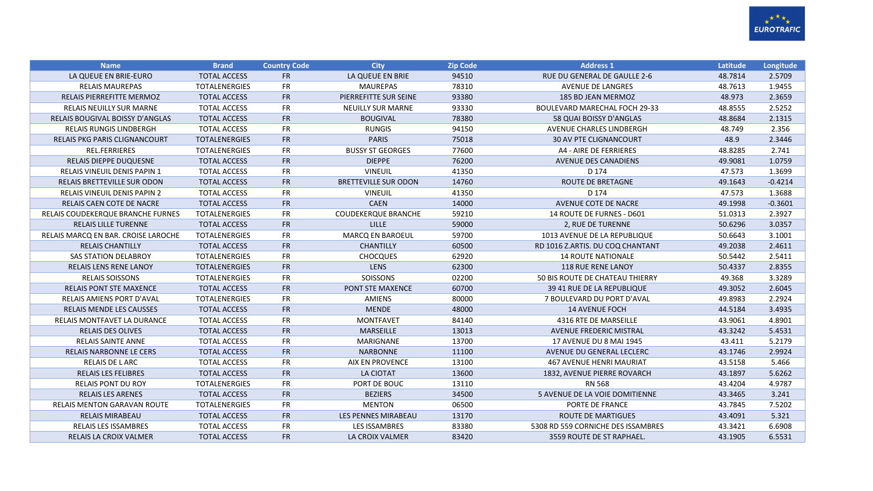

| <b>Name</b>                          | <b>Brand</b>         | <b>Country Code</b> | <b>City</b>                 | <b>Zip Code</b> | <b>Address 1</b>                     | <b>Latitude</b> | Longitude |
|--------------------------------------|----------------------|---------------------|-----------------------------|-----------------|--------------------------------------|-----------------|-----------|
| LA QUEUE EN BRIE-EURO                | <b>TOTAL ACCESS</b>  | <b>FR</b>           | LA QUEUE EN BRIE            | 94510           | RUE DU GENERAL DE GAULLE 2-6         | 48.7814         | 2.5709    |
| <b>RELAIS MAUREPAS</b>               | <b>TOTALENERGIES</b> | <b>FR</b>           | <b>MAUREPAS</b>             | 78310           | <b>AVENUE DE LANGRES</b>             | 48.7613         | 1.9455    |
| RELAIS PIERREFITTE MERMOZ            | <b>TOTAL ACCESS</b>  | <b>FR</b>           | PIERREFITTE SUR SEINE       | 93380           | 185 BD JEAN MERMOZ                   | 48.973          | 2.3659    |
| <b>RELAIS NEUILLY SUR MARNE</b>      | <b>TOTAL ACCESS</b>  | <b>FR</b>           | <b>NEUILLY SUR MARNE</b>    | 93330           | <b>BOULEVARD MARECHAL FOCH 29-33</b> | 48.8555         | 2.5252    |
| RELAIS BOUGIVAL BOISSY D'ANGLAS      | <b>TOTAL ACCESS</b>  | <b>FR</b>           | <b>BOUGIVAL</b>             | 78380           | 58 QUAI BOISSY D'ANGLAS              | 48.8684         | 2.1315    |
| <b>RELAIS RUNGIS LINDBERGH</b>       | <b>TOTAL ACCESS</b>  | <b>FR</b>           | <b>RUNGIS</b>               | 94150           | AVENUE CHARLES LINDBERGH             | 48.749          | 2.356     |
| <b>RELAIS PKG PARIS CLIGNANCOURT</b> | <b>TOTALENERGIES</b> | <b>FR</b>           | <b>PARIS</b>                | 75018           | <b>30 AV PTE CLIGNANCOURT</b>        | 48.9            | 2.3446    |
| <b>REL.FERRIERES</b>                 | <b>TOTALENERGIES</b> | <b>FR</b>           | <b>BUSSY ST GEORGES</b>     | 77600           | A4 - AIRE DE FERRIERES               | 48.8285         | 2.741     |
| RELAIS DIEPPE DUQUESNE               | <b>TOTAL ACCESS</b>  | <b>FR</b>           | <b>DIEPPE</b>               | 76200           | <b>AVENUE DES CANADIENS</b>          | 49.9081         | 1.0759    |
| <b>RELAIS VINEUIL DENIS PAPIN 1</b>  | <b>TOTAL ACCESS</b>  | <b>FR</b>           | <b>VINEUIL</b>              | 41350           | D 174                                | 47.573          | 1.3699    |
| <b>RELAIS BRETTEVILLE SUR ODON</b>   | <b>TOTAL ACCESS</b>  | <b>FR</b>           | <b>BRETTEVILLE SUR ODON</b> | 14760           | <b>ROUTE DE BRETAGNE</b>             | 49.1643         | $-0.4214$ |
| <b>RELAIS VINEUIL DENIS PAPIN 2</b>  | <b>TOTAL ACCESS</b>  | <b>FR</b>           | <b>VINEUIL</b>              | 41350           | D 174                                | 47.573          | 1.3688    |
| RELAIS CAEN COTE DE NACRE            | <b>TOTAL ACCESS</b>  | <b>FR</b>           | <b>CAEN</b>                 | 14000           | AVENUE COTE DE NACRE                 | 49.1998         | $-0.3601$ |
| RELAIS COUDEKERQUE BRANCHE FURNES    | <b>TOTALENERGIES</b> | <b>FR</b>           | <b>COUDEKERQUE BRANCHE</b>  | 59210           | 14 ROUTE DE FURNES - D601            | 51.0313         | 2.3927    |
| <b>RELAIS LILLE TURENNE</b>          | <b>TOTAL ACCESS</b>  | <b>FR</b>           | <b>LILLE</b>                | 59000           | 2, RUE DE TURENNE                    | 50.6296         | 3.0357    |
| RELAIS MARCQ EN BAR. CROISE LAROCHE  | <b>TOTALENERGIES</b> | <b>FR</b>           | <b>MARCQ EN BAROEUL</b>     | 59700           | 1013 AVENUE DE LA REPUBLIQUE         | 50.6643         | 3.1001    |
| <b>RELAIS CHANTILLY</b>              | <b>TOTAL ACCESS</b>  | <b>FR</b>           | <b>CHANTILLY</b>            | 60500           | RD 1016 Z.ARTIS. DU COQ CHANTANT     | 49.2038         | 2.4611    |
| <b>SAS STATION DELABROY</b>          | <b>TOTALENERGIES</b> | <b>FR</b>           | <b>CHOCQUES</b>             | 62920           | <b>14 ROUTE NATIONALE</b>            | 50.5442         | 2.5411    |
| <b>RELAIS LENS RENE LANOY</b>        | <b>TOTALENERGIES</b> | <b>FR</b>           | LENS                        | 62300           | <b>118 RUE RENE LANOY</b>            | 50.4337         | 2.8355    |
| <b>RELAIS SOISSONS</b>               | <b>TOTALENERGIES</b> | <b>FR</b>           | SOISSONS                    | 02200           | 50 BIS ROUTE DE CHATEAU THIERRY      | 49.368          | 3.3289    |
| <b>RELAIS PONT STE MAXENCE</b>       | <b>TOTAL ACCESS</b>  | <b>FR</b>           | PONT STE MAXENCE            | 60700           | 39 41 RUE DE LA REPUBLIQUE           | 49.3052         | 2.6045    |
| <b>RELAIS AMIENS PORT D'AVAL</b>     | <b>TOTALENERGIES</b> | <b>FR</b>           | <b>AMIENS</b>               | 80000           | 7 BOULEVARD DU PORT D'AVAL           | 49.8983         | 2.2924    |
| <b>RELAIS MENDE LES CAUSSES</b>      | <b>TOTAL ACCESS</b>  | <b>FR</b>           | <b>MENDE</b>                | 48000           | <b>14 AVENUE FOCH</b>                | 44.5184         | 3.4935    |
| RELAIS MONTFAVET LA DURANCE          | <b>TOTAL ACCESS</b>  | <b>FR</b>           | <b>MONTFAVET</b>            | 84140           | 4316 RTE DE MARSEILLE                | 43.9061         | 4.8901    |
| <b>RELAIS DES OLIVES</b>             | <b>TOTAL ACCESS</b>  | <b>FR</b>           | <b>MARSEILLE</b>            | 13013           | <b>AVENUE FREDERIC MISTRAL</b>       | 43.3242         | 5.4531    |
| <b>RELAIS SAINTE ANNE</b>            | <b>TOTAL ACCESS</b>  | <b>FR</b>           | <b>MARIGNANE</b>            | 13700           | 17 AVENUE DU 8 MAI 1945              | 43.411          | 5.2179    |
| RELAIS NARBONNE LE CERS              | <b>TOTAL ACCESS</b>  | <b>FR</b>           | <b>NARBONNE</b>             | 11100           | AVENUE DU GENERAL LECLERC            | 43.1746         | 2.9924    |
| RELAIS DE L ARC                      | <b>TOTAL ACCESS</b>  | FR                  | <b>AIX EN PROVENCE</b>      | 13100           | <b>467 AVENUE HENRI MAURIAT</b>      | 43.5158         | 5.466     |
| <b>RELAIS LES FELIBRES</b>           | <b>TOTAL ACCESS</b>  | <b>FR</b>           | <b>LA CIOTAT</b>            | 13600           | 1832, AVENUE PIERRE ROVARCH          | 43.1897         | 5.6262    |
| <b>RELAIS PONT DU ROY</b>            | <b>TOTALENERGIES</b> | <b>FR</b>           | PORT DE BOUC                | 13110           | <b>RN 568</b>                        | 43.4204         | 4.9787    |
| <b>RELAIS LES ARENES</b>             | <b>TOTAL ACCESS</b>  | <b>FR</b>           | <b>BEZIERS</b>              | 34500           | 5 AVENUE DE LA VOIE DOMITIENNE       | 43.3465         | 3.241     |
| <b>RELAIS MENTON GARAVAN ROUTE</b>   | <b>TOTALENERGIES</b> | <b>FR</b>           | <b>MENTON</b>               | 06500           | PORTE DE FRANCE                      | 43.7845         | 7.5202    |
| <b>RELAIS MIRABEAU</b>               | <b>TOTAL ACCESS</b>  | <b>FR</b>           | <b>LES PENNES MIRABEAU</b>  | 13170           | <b>ROUTE DE MARTIGUES</b>            | 43.4091         | 5.321     |
| <b>RELAIS LES ISSAMBRES</b>          | <b>TOTAL ACCESS</b>  | <b>FR</b>           | <b>LES ISSAMBRES</b>        | 83380           | 5308 RD 559 CORNICHE DES ISSAMBRES   | 43.3421         | 6.6908    |
| RELAIS LA CROIX VALMER               | <b>TOTAL ACCESS</b>  | <b>FR</b>           | LA CROIX VALMER             | 83420           | 3559 ROUTE DE ST RAPHAEL.            | 43.1905         | 6.5531    |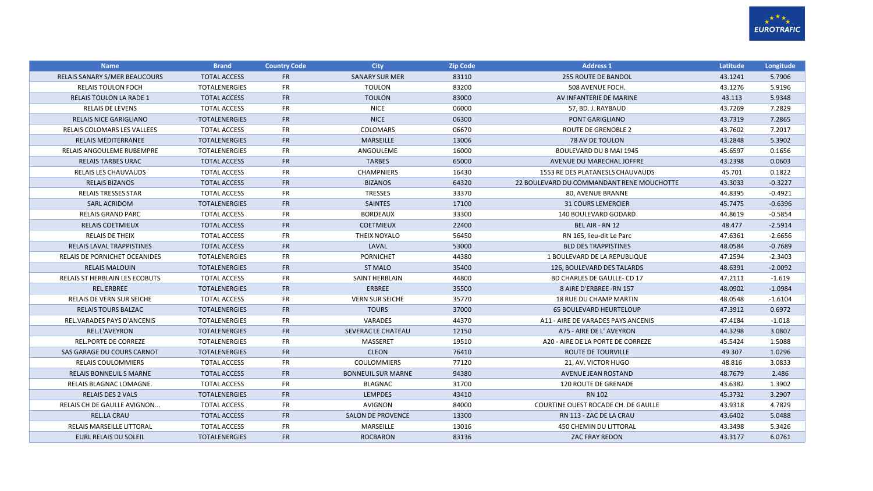

| <b>Name</b>                          | <b>Brand</b>         | <b>Country Code</b> | <b>City</b>               | <b>Zip Code</b> | <b>Address 1</b>                          | Latitude | Longitude |
|--------------------------------------|----------------------|---------------------|---------------------------|-----------------|-------------------------------------------|----------|-----------|
| RELAIS SANARY S/MER BEAUCOURS        | <b>TOTAL ACCESS</b>  | <b>FR</b>           | <b>SANARY SUR MER</b>     | 83110           | <b>255 ROUTE DE BANDOL</b>                | 43.1241  | 5.7906    |
| <b>RELAIS TOULON FOCH</b>            | <b>TOTALENERGIES</b> | <b>FR</b>           | <b>TOULON</b>             | 83200           | 508 AVENUE FOCH.                          | 43.1276  | 5.9196    |
| <b>RELAIS TOULON LA RADE 1</b>       | <b>TOTAL ACCESS</b>  | FR                  | <b>TOULON</b>             | 83000           | AV INFANTERIE DE MARINE                   | 43.113   | 5.9348    |
| <b>RELAIS DE LEVENS</b>              | <b>TOTAL ACCESS</b>  | <b>FR</b>           | <b>NICE</b>               | 06000           | 57, BD. J. RAYBAUD                        | 43.7269  | 7.2829    |
| <b>RELAIS NICE GARIGLIANO</b>        | <b>TOTALENERGIES</b> | <b>FR</b>           | <b>NICE</b>               | 06300           | PONT GARIGLIANO                           | 43.7319  | 7.2865    |
| RELAIS COLOMARS LES VALLEES          | <b>TOTAL ACCESS</b>  | <b>FR</b>           | COLOMARS                  | 06670           | ROUTE DE GRENOBLE 2                       | 43.7602  | 7.2017    |
| <b>RELAIS MEDITERRANEE</b>           | <b>TOTALENERGIES</b> | <b>FR</b>           | <b>MARSEILLE</b>          | 13006           | <b>78 AV DE TOULON</b>                    | 43.2848  | 5.3902    |
| <b>RELAIS ANGOULEME RUBEMPRE</b>     | <b>TOTALENERGIES</b> | <b>FR</b>           | ANGOULEME                 | 16000           | BOULEVARD DU 8 MAI 1945                   | 45.6597  | 0.1656    |
| <b>RELAIS TARBES URAC</b>            | <b>TOTAL ACCESS</b>  | <b>FR</b>           | <b>TARBES</b>             | 65000           | AVENUE DU MARECHAL JOFFRE                 | 43.2398  | 0.0603    |
| RELAIS LES CHAUVAUDS                 | <b>TOTAL ACCESS</b>  | <b>FR</b>           | <b>CHAMPNIERS</b>         | 16430           | 1553 RE DES PLATANESLS CHAUVAUDS          | 45.701   | 0.1822    |
| <b>RELAIS BIZANOS</b>                | <b>TOTAL ACCESS</b>  | <b>FR</b>           | <b>BIZANOS</b>            | 64320           | 22 BOULEVARD DU COMMANDANT RENE MOUCHOTTE | 43.3033  | $-0.3227$ |
| <b>RELAIS TRESSES STAR</b>           | <b>TOTAL ACCESS</b>  | <b>FR</b>           | <b>TRESSES</b>            | 33370           | 80, AVENUE BRANNE                         | 44.8395  | $-0.4921$ |
| <b>SARL ACRIDOM</b>                  | <b>TOTALENERGIES</b> | <b>FR</b>           | <b>SAINTES</b>            | 17100           | <b>31 COURS LEMERCIER</b>                 | 45.7475  | $-0.6396$ |
| <b>RELAIS GRAND PARC</b>             | <b>TOTAL ACCESS</b>  | <b>FR</b>           | <b>BORDEAUX</b>           | 33300           | 140 BOULEVARD GODARD                      | 44.8619  | $-0.5854$ |
| <b>RELAIS COETMIEUX</b>              | <b>TOTAL ACCESS</b>  | <b>FR</b>           | <b>COETMIEUX</b>          | 22400           | BEL AIR - RN 12                           | 48.477   | $-2.5914$ |
| <b>RELAIS DE THEIX</b>               | <b>TOTAL ACCESS</b>  | <b>FR</b>           | THEIX NOYALO              | 56450           | RN 165, lieu-dit Le Parc                  | 47.6361  | $-2.6656$ |
| <b>RELAIS LAVAL TRAPPISTINES</b>     | <b>TOTAL ACCESS</b>  | <b>FR</b>           | LAVAL                     | 53000           | <b>BLD DES TRAPPISTINES</b>               | 48.0584  | $-0.7689$ |
| <b>RELAIS DE PORNICHET OCEANIDES</b> | <b>TOTALENERGIES</b> | <b>FR</b>           | <b>PORNICHET</b>          | 44380           | 1 BOULEVARD DE LA REPUBLIQUE              | 47.2594  | $-2.3403$ |
| <b>RELAIS MALOUIN</b>                | <b>TOTALENERGIES</b> | FR                  | <b>ST MALO</b>            | 35400           | 126, BOULEVARD DES TALARDS                | 48.6391  | $-2.0092$ |
| RELAIS ST HERBLAIN LES ECOBUTS       | <b>TOTAL ACCESS</b>  | <b>FR</b>           | SAINT HERBLAIN            | 44800           | BD CHARLES DE GAULLE- CD 17               | 47.2111  | $-1.619$  |
| REL.ERBREE                           | <b>TOTALENERGIES</b> | FR                  | ERBREE                    | 35500           | 8 AIRE D'ERBREE - RN 157                  | 48.0902  | $-1.0984$ |
| RELAIS DE VERN SUR SEICHE            | <b>TOTAL ACCESS</b>  | <b>FR</b>           | <b>VERN SUR SEICHE</b>    | 35770           | <b>18 RUE DU CHAMP MARTIN</b>             | 48.0548  | $-1.6104$ |
| <b>RELAIS TOURS BALZAC</b>           | <b>TOTALENERGIES</b> | <b>FR</b>           | <b>TOURS</b>              | 37000           | <b>65 BOULEVARD HEURTELOUP</b>            | 47.3912  | 0.6972    |
| REL.VARADES PAYS D'ANCENIS           | <b>TOTALENERGIES</b> | <b>FR</b>           | <b>VARADES</b>            | 44370           | A11 - AIRE DE VARADES PAYS ANCENIS        | 47.4184  | $-1.018$  |
| REL.L'AVEYRON                        | <b>TOTALENERGIES</b> | <b>FR</b>           | SEVERAC LE CHATEAU        | 12150           | A75 - AIRE DE L' AVEYRON                  | 44.3298  | 3.0807    |
| <b>REL.PORTE DE CORREZE</b>          | <b>TOTALENERGIES</b> | <b>FR</b>           | MASSERET                  | 19510           | A20 - AIRE DE LA PORTE DE CORREZE         | 45.5424  | 1.5088    |
| SAS GARAGE DU COURS CARNOT           | <b>TOTALENERGIES</b> | <b>FR</b>           | <b>CLEON</b>              | 76410           | ROUTE DE TOURVILLE                        | 49.307   | 1.0296    |
| RELAIS COULOMMIERS                   | <b>TOTAL ACCESS</b>  | <b>FR</b>           | <b>COULOMMIERS</b>        | 77120           | 21, AV. VICTOR HUGO                       | 48.816   | 3.0833    |
| <b>RELAIS BONNEUIL S MARNE</b>       | <b>TOTAL ACCESS</b>  | <b>FR</b>           | <b>BONNEUIL SUR MARNE</b> | 94380           | AVENUE JEAN ROSTAND                       | 48.7679  | 2.486     |
| RELAIS BLAGNAC LOMAGNE.              | <b>TOTAL ACCESS</b>  | <b>FR</b>           | <b>BLAGNAC</b>            | 31700           | <b>120 ROUTE DE GRENADE</b>               | 43.6382  | 1.3902    |
| <b>RELAIS DES 2 VALS</b>             | <b>TOTALENERGIES</b> | <b>FR</b>           | <b>LEMPDES</b>            | 43410           | <b>RN 102</b>                             | 45.3732  | 3.2907    |
| <b>RELAIS CH DE GAULLE AVIGNON</b>   | <b>TOTAL ACCESS</b>  | <b>FR</b>           | <b>AVIGNON</b>            | 84000           | COURTINE OUEST ROCADE CH. DE GAULLE       | 43.9318  | 4.7829    |
| <b>REL.LA CRAU</b>                   | <b>TOTAL ACCESS</b>  | FR                  | <b>SALON DE PROVENCE</b>  | 13300           | RN 113 - ZAC DE LA CRAU                   | 43.6402  | 5.0488    |
| RELAIS MARSEILLE LITTORAL            | <b>TOTAL ACCESS</b>  | <b>FR</b>           | MARSEILLE                 | 13016           | <b>450 CHEMIN DU LITTORAL</b>             | 43.3498  | 5.3426    |
| <b>EURL RELAIS DU SOLEIL</b>         | <b>TOTALENERGIES</b> | <b>FR</b>           | <b>ROCBARON</b>           | 83136           | <b>ZAC FRAY REDON</b>                     | 43.3177  | 6.0761    |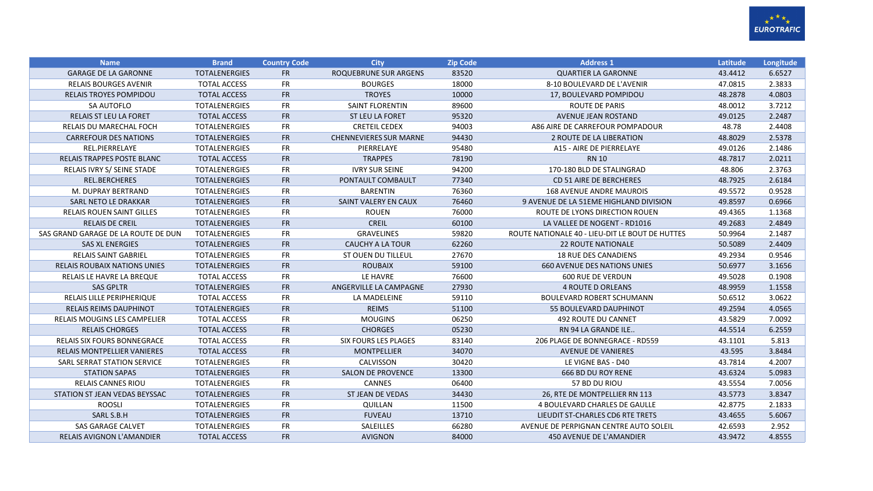

| <b>Name</b>                         | <b>Brand</b>         | <b>Country Code</b> | <b>City</b>                   | <b>Zip Code</b> | <b>Address 1</b>                                | Latitude | Longitude |
|-------------------------------------|----------------------|---------------------|-------------------------------|-----------------|-------------------------------------------------|----------|-----------|
| <b>GARAGE DE LA GARONNE</b>         | <b>TOTALENERGIES</b> | <b>FR</b>           | <b>ROQUEBRUNE SUR ARGENS</b>  | 83520           | <b>QUARTIER LA GARONNE</b>                      | 43.4412  | 6.6527    |
| <b>RELAIS BOURGES AVENIR</b>        | <b>TOTAL ACCESS</b>  | <b>FR</b>           | <b>BOURGES</b>                | 18000           | 8-10 BOULEVARD DE L'AVENIR                      | 47.0815  | 2.3833    |
| <b>RELAIS TROYES POMPIDOU</b>       | <b>TOTAL ACCESS</b>  | <b>FR</b>           | <b>TROYES</b>                 | 10000           | 17, BOULEVARD POMPIDOU                          | 48.2878  | 4.0803    |
| SA AUTOFLO                          | <b>TOTALENERGIES</b> | <b>FR</b>           | <b>SAINT FLORENTIN</b>        | 89600           | <b>ROUTE DE PARIS</b>                           | 48.0012  | 3.7212    |
| <b>RELAIS ST LEU LA FORET</b>       | <b>TOTAL ACCESS</b>  | <b>FR</b>           | <b>ST LEU LA FORET</b>        | 95320           | AVENUE JEAN ROSTAND                             | 49.0125  | 2.2487    |
| RELAIS DU MARECHAL FOCH             | <b>TOTALENERGIES</b> | <b>FR</b>           | <b>CRETEIL CEDEX</b>          | 94003           | A86 AIRE DE CARREFOUR POMPADOUR                 | 48.78    | 2.4408    |
| <b>CARREFOUR DES NATIONS</b>        | <b>TOTALENERGIES</b> | <b>FR</b>           | <b>CHENNEVIERES SUR MARNE</b> | 94430           | 2 ROUTE DE LA LIBERATION                        | 48.8029  | 2.5378    |
| REL.PIERRELAYE                      | <b>TOTALENERGIES</b> | <b>FR</b>           | PIERRELAYE                    | 95480           | A15 - AIRE DE PIERRELAYE                        | 49.0126  | 2.1486    |
| RELAIS TRAPPES POSTE BLANC          | <b>TOTAL ACCESS</b>  | <b>FR</b>           | <b>TRAPPES</b>                | 78190           | <b>RN 10</b>                                    | 48.7817  | 2.0211    |
| RELAIS IVRY S/ SEINE STADE          | <b>TOTALENERGIES</b> | FR                  | <b>IVRY SUR SEINE</b>         | 94200           | 170-180 BLD DE STALINGRAD                       | 48.806   | 2.3763    |
| REL.BERCHERES                       | <b>TOTALENERGIES</b> | <b>FR</b>           | PONTAULT COMBAULT             | 77340           | CD 51 AIRE DE BERCHERES                         | 48.7925  | 2.6184    |
| M. DUPRAY BERTRAND                  | <b>TOTALENERGIES</b> | <b>FR</b>           | <b>BARENTIN</b>               | 76360           | <b>168 AVENUE ANDRE MAUROIS</b>                 | 49.5572  | 0.9528    |
| SARL NETO LE DRAKKAR                | <b>TOTALENERGIES</b> | <b>FR</b>           | SAINT VALERY EN CAUX          | 76460           | 9 AVENUE DE LA 51EME HIGHLAND DIVISION          | 49.8597  | 0.6966    |
| RELAIS ROUEN SAINT GILLES           | <b>TOTALENERGIES</b> | <b>FR</b>           | <b>ROUEN</b>                  | 76000           | ROUTE DE LYONS DIRECTION ROUEN                  | 49.4365  | 1.1368    |
| <b>RELAIS DE CREIL</b>              | <b>TOTALENERGIES</b> | <b>FR</b>           | <b>CREIL</b>                  | 60100           | LA VALLEE DE NOGENT - RD1016                    | 49.2683  | 2.4849    |
| SAS GRAND GARAGE DE LA ROUTE DE DUN | <b>TOTALENERGIES</b> | <b>FR</b>           | <b>GRAVELINES</b>             | 59820           | ROUTE NATIONALE 40 - LIEU-DIT LE BOUT DE HUTTES | 50.9964  | 2.1487    |
| <b>SAS XL ENERGIES</b>              | <b>TOTALENERGIES</b> | <b>FR</b>           | <b>CAUCHY A LA TOUR</b>       | 62260           | <b>22 ROUTE NATIONALE</b>                       | 50.5089  | 2.4409    |
| <b>RELAIS SAINT GABRIEL</b>         | <b>TOTALENERGIES</b> | <b>FR</b>           | <b>ST OUEN DU TILLEUL</b>     | 27670           | <b>18 RUE DES CANADIENS</b>                     | 49.2934  | 0.9546    |
| <b>RELAIS ROUBAIX NATIONS UNIES</b> | <b>TOTALENERGIES</b> | <b>FR</b>           | <b>ROUBAIX</b>                | 59100           | <b>660 AVENUE DES NATIONS UNIES</b>             | 50.6977  | 3.1656    |
| RELAIS LE HAVRE LA BREQUE           | <b>TOTAL ACCESS</b>  | <b>FR</b>           | LE HAVRE                      | 76600           | <b>600 RUE DE VERDUN</b>                        | 49.5028  | 0.1908    |
| <b>SAS GPLTR</b>                    | <b>TOTALENERGIES</b> | <b>FR</b>           | ANGERVILLE LA CAMPAGNE        | 27930           | <b>4 ROUTE D ORLEANS</b>                        | 48.9959  | 1.1558    |
| <b>RELAIS LILLE PERIPHERIQUE</b>    | <b>TOTAL ACCESS</b>  | <b>FR</b>           | LA MADELEINE                  | 59110           | <b>BOULEVARD ROBERT SCHUMANN</b>                | 50.6512  | 3.0622    |
| RELAIS REIMS DAUPHINOT              | <b>TOTALENERGIES</b> | <b>FR</b>           | <b>REIMS</b>                  | 51100           | 55 BOULEVARD DAUPHINOT                          | 49.2594  | 4.0565    |
| <b>RELAIS MOUGINS LES CAMPELIER</b> | <b>TOTAL ACCESS</b>  | <b>FR</b>           | <b>MOUGINS</b>                | 06250           | 492 ROUTE DU CANNET                             | 43.5829  | 7.0092    |
| <b>RELAIS CHORGES</b>               | <b>TOTAL ACCESS</b>  | <b>FR</b>           | <b>CHORGES</b>                | 05230           | RN 94 LA GRANDE ILE                             | 44.5514  | 6.2559    |
| <b>RELAIS SIX FOURS BONNEGRACE</b>  | <b>TOTAL ACCESS</b>  | <b>FR</b>           | <b>SIX FOURS LES PLAGES</b>   | 83140           | 206 PLAGE DE BONNEGRACE - RD559                 | 43.1101  | 5.813     |
| <b>RELAIS MONTPELLIER VANIERES</b>  | <b>TOTAL ACCESS</b>  | <b>FR</b>           | <b>MONTPELLIER</b>            | 34070           | <b>AVENUE DE VANIERES</b>                       | 43.595   | 3.8484    |
| SARL SERRAT STATION SERVICE         | <b>TOTALENERGIES</b> | <b>FR</b>           | CALVISSON                     | 30420           | LE VIGNE BAS - D40                              | 43.7814  | 4.2007    |
| <b>STATION SAPAS</b>                | <b>TOTALENERGIES</b> | <b>FR</b>           | <b>SALON DE PROVENCE</b>      | 13300           | 666 BD DU ROY RENE                              | 43.6324  | 5.0983    |
| <b>RELAIS CANNES RIOU</b>           | <b>TOTALENERGIES</b> | <b>FR</b>           | CANNES                        | 06400           | 57 BD DU RIOU                                   | 43.5554  | 7.0056    |
| STATION ST JEAN VEDAS BEYSSAC       | <b>TOTALENERGIES</b> | <b>FR</b>           | ST JEAN DE VEDAS              | 34430           | 26, RTE DE MONTPELLIER RN 113                   | 43.5773  | 3.8347    |
| <b>ROOSLI</b>                       | <b>TOTALENERGIES</b> | <b>FR</b>           | <b>QUILLAN</b>                | 11500           | <b>4 BOULEVARD CHARLES DE GAULLE</b>            | 42.8775  | 2.1833    |
| SARL S.B.H                          | <b>TOTALENERGIES</b> | <b>FR</b>           | <b>FUVEAU</b>                 | 13710           | LIEUDIT ST-CHARLES CD6 RTE TRETS                | 43.4655  | 5.6067    |
| <b>SAS GARAGE CALVET</b>            | <b>TOTALENERGIES</b> | <b>FR</b>           | SALEILLES                     | 66280           | AVENUE DE PERPIGNAN CENTRE AUTO SOLEIL          | 42.6593  | 2.952     |
| <b>RELAIS AVIGNON L'AMANDIER</b>    | <b>TOTAL ACCESS</b>  | <b>FR</b>           | <b>AVIGNON</b>                | 84000           | 450 AVENUE DE L'AMANDIER                        | 43.9472  | 4.8555    |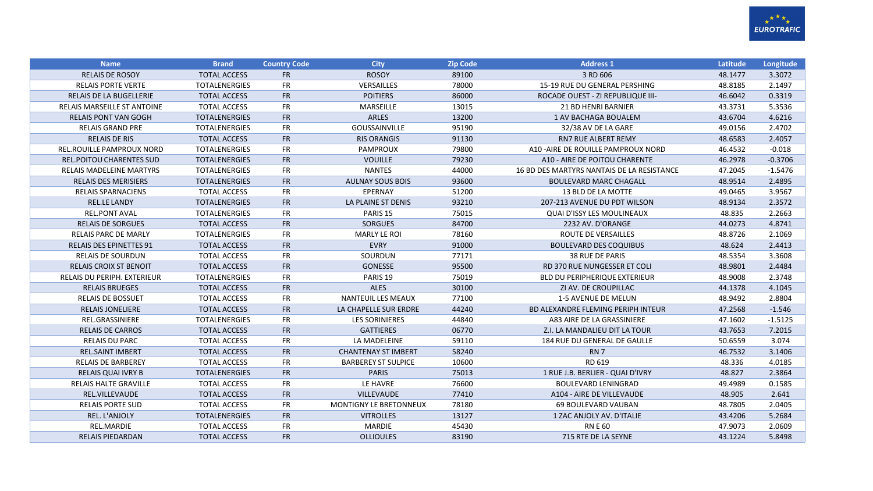

| <b>Name</b>                        | <b>Brand</b>         | <b>Country Code</b> | <b>City</b>                   | <b>Zip Code</b> | <b>Address 1</b>                           | Latitude | Longitude |
|------------------------------------|----------------------|---------------------|-------------------------------|-----------------|--------------------------------------------|----------|-----------|
| <b>RELAIS DE ROSOY</b>             | <b>TOTAL ACCESS</b>  | <b>FR</b>           | <b>ROSOY</b>                  | 89100           | 3 RD 606                                   | 48.1477  | 3.3072    |
| <b>RELAIS PORTE VERTE</b>          | <b>TOTALENERGIES</b> | <b>FR</b>           | VERSAILLES                    | 78000           | 15-19 RUE DU GENERAL PERSHING              | 48.8185  | 2.1497    |
| <b>RELAIS DE LA BUGELLERIE</b>     | <b>TOTAL ACCESS</b>  | <b>FR</b>           | <b>POITIERS</b>               | 86000           | <b>ROCADE OUEST - ZI REPUBLIQUE III-</b>   | 46.6042  | 0.3319    |
| <b>RELAIS MARSEILLE ST ANTOINE</b> | <b>TOTAL ACCESS</b>  | <b>FR</b>           | <b>MARSEILLE</b>              | 13015           | <b>21 BD HENRI BARNIER</b>                 | 43.3731  | 5.3536    |
| <b>RELAIS PONT VAN GOGH</b>        | <b>TOTALENERGIES</b> | <b>FR</b>           | <b>ARLES</b>                  | 13200           | 1 AV BACHAGA BOUALEM                       | 43.6704  | 4.6216    |
| <b>RELAIS GRAND PRE</b>            | <b>TOTALENERGIES</b> | <b>FR</b>           | <b>GOUSSAINVILLE</b>          | 95190           | 32/38 AV DE LA GARE                        | 49.0156  | 2.4702    |
| <b>RELAIS DE RIS</b>               | <b>TOTAL ACCESS</b>  | <b>FR</b>           | <b>RIS ORANGIS</b>            | 91130           | <b>RN7 RUE ALBERT REMY</b>                 | 48.6583  | 2.4057    |
| <b>REL.ROUILLE PAMPROUX NORD</b>   | <b>TOTALENERGIES</b> | <b>FR</b>           | <b>PAMPROUX</b>               | 79800           | A10-AIRE DE ROUILLE PAMPROUX NORD          | 46.4532  | $-0.018$  |
| <b>REL.POITOU CHARENTES SUD</b>    | <b>TOTALENERGIES</b> | <b>FR</b>           | <b>VOUILLE</b>                | 79230           | A10 - AIRE DE POITOU CHARENTE              | 46.2978  | $-0.3706$ |
| <b>RELAIS MADELEINE MARTYRS</b>    | <b>TOTALENERGIES</b> | <b>FR</b>           | <b>NANTES</b>                 | 44000           | 16 BD DES MARTYRS NANTAIS DE LA RESISTANCE | 47.2045  | $-1.5476$ |
| <b>RELAIS DES MERISIERS</b>        | <b>TOTALENERGIES</b> | <b>FR</b>           | <b>AULNAY SOUS BOIS</b>       | 93600           | <b>BOULEVARD MARC CHAGALL</b>              | 48.9514  | 2.4895    |
| <b>RELAIS SPARNACIENS</b>          | <b>TOTAL ACCESS</b>  | <b>FR</b>           | EPERNAY                       | 51200           | 13 BLD DE LA MOTTE                         | 49.0465  | 3.9567    |
| <b>REL.LE LANDY</b>                | <b>TOTALENERGIES</b> | <b>FR</b>           | LA PLAINE ST DENIS            | 93210           | 207-213 AVENUE DU PDT WILSON               | 48.9134  | 2.3572    |
| <b>REL.PONT AVAL</b>               | <b>TOTALENERGIES</b> | <b>FR</b>           | PARIS <sub>15</sub>           | 75015           | QUAI D'ISSY LES MOULINEAUX                 | 48.835   | 2.2663    |
| <b>RELAIS DE SORGUES</b>           | <b>TOTAL ACCESS</b>  | <b>FR</b>           | <b>SORGUES</b>                | 84700           | 2232 AV. D'ORANGE                          | 44.0273  | 4.8741    |
| <b>RELAIS PARC DE MARLY</b>        | <b>TOTALENERGIES</b> | <b>FR</b>           | <b>MARLY LE ROI</b>           | 78160           | ROUTE DE VERSAILLES                        | 48.8726  | 2.1069    |
| <b>RELAIS DES EPINETTES 91</b>     | <b>TOTAL ACCESS</b>  | <b>FR</b>           | <b>EVRY</b>                   | 91000           | <b>BOULEVARD DES COQUIBUS</b>              | 48.624   | 2.4413    |
| <b>RELAIS DE SOURDUN</b>           | <b>TOTAL ACCESS</b>  | <b>FR</b>           | SOURDUN                       | 77171           | <b>38 RUE DE PARIS</b>                     | 48.5354  | 3.3608    |
| <b>RELAIS CROIX ST BENOIT</b>      | <b>TOTAL ACCESS</b>  | <b>FR</b>           | <b>GONESSE</b>                | 95500           | <b>RD 370 RUE NUNGESSER ET COLI</b>        | 48.9801  | 2.4484    |
| <b>RELAIS DU PERIPH. EXTERIEUR</b> | <b>TOTALENERGIES</b> | <b>FR</b>           | PARIS <sub>19</sub>           | 75019           | BLD DU PERIPHERIQUE EXTERIEUR              | 48.9008  | 2.3748    |
| <b>RELAIS BRUEGES</b>              | <b>TOTAL ACCESS</b>  | <b>FR</b>           | <b>ALES</b>                   | 30100           | ZI AV. DE CROUPILLAC                       | 44.1378  | 4.1045    |
| <b>RELAIS DE BOSSUET</b>           | <b>TOTAL ACCESS</b>  | <b>FR</b>           | <b>NANTEUIL LES MEAUX</b>     | 77100           | 1-5 AVENUE DE MELUN                        | 48.9492  | 2.8804    |
| <b>RELAIS JONELIERE</b>            | <b>TOTAL ACCESS</b>  | <b>FR</b>           | LA CHAPELLE SUR ERDRE         | 44240           | BD ALEXANDRE FLEMING PERIPH INTEUR         | 47.2568  | $-1.546$  |
| REL.GRASSINIERE                    | <b>TOTALENERGIES</b> | <b>FR</b>           | <b>LES SORINIERES</b>         | 44840           | A83 AIRE DE LA GRASSINIERE                 | 47.1602  | $-1.5125$ |
| <b>RELAIS DE CARROS</b>            | <b>TOTAL ACCESS</b>  | <b>FR</b>           | <b>GATTIERES</b>              | 06770           | Z.I. LA MANDALIEU DIT LA TOUR              | 43.7653  | 7.2015    |
| <b>RELAIS DU PARC</b>              | <b>TOTAL ACCESS</b>  | <b>FR</b>           | LA MADELEINE                  | 59110           | 184 RUE DU GENERAL DE GAULLE               | 50.6559  | 3.074     |
| <b>REL.SAINT IMBERT</b>            | <b>TOTAL ACCESS</b>  | ${\sf FR}$          | <b>CHANTENAY ST IMBERT</b>    | 58240           | RN <sub>7</sub>                            | 46.7532  | 3.1406    |
| <b>RELAIS DE BARBEREY</b>          | <b>TOTAL ACCESS</b>  | <b>FR</b>           | <b>BARBEREY ST SULPICE</b>    | 10600           | RD 619                                     | 48.336   | 4.0185    |
| <b>RELAIS QUAI IVRY B</b>          | <b>TOTALENERGIES</b> | <b>FR</b>           | <b>PARIS</b>                  | 75013           | 1 RUE J.B. BERLIER - QUAI D'IVRY           | 48.827   | 2.3864    |
| <b>RELAIS HALTE GRAVILLE</b>       | <b>TOTAL ACCESS</b>  | <b>FR</b>           | LE HAVRE                      | 76600           | <b>BOULEVARD LENINGRAD</b>                 | 49.4989  | 0.1585    |
| REL.VILLEVAUDE                     | <b>TOTAL ACCESS</b>  | <b>FR</b>           | <b>VILLEVAUDE</b>             | 77410           | A104 - AIRE DE VILLEVAUDE                  | 48.905   | 2.641     |
| <b>RELAIS PORTE SUD</b>            | <b>TOTAL ACCESS</b>  | <b>FR</b>           | <b>MONTIGNY LE BRETONNEUX</b> | 78180           | 69 BOULEVARD VAUBAN                        | 48.7805  | 2.0405    |
| REL. L'ANJOLY                      | <b>TOTALENERGIES</b> | <b>FR</b>           | <b>VITROLLES</b>              | 13127           | 1 ZAC ANJOLY AV. D'ITALIE                  | 43.4206  | 5.2684    |
| REL.MARDIE                         | <b>TOTAL ACCESS</b>  | <b>FR</b>           | MARDIE                        | 45430           | <b>RNE 60</b>                              | 47.9073  | 2.0609    |
| <b>RELAIS PIEDARDAN</b>            | <b>TOTAL ACCESS</b>  | <b>FR</b>           | <b>OLLIOULES</b>              | 83190           | 715 RTE DE LA SEYNE                        | 43.1224  | 5.8498    |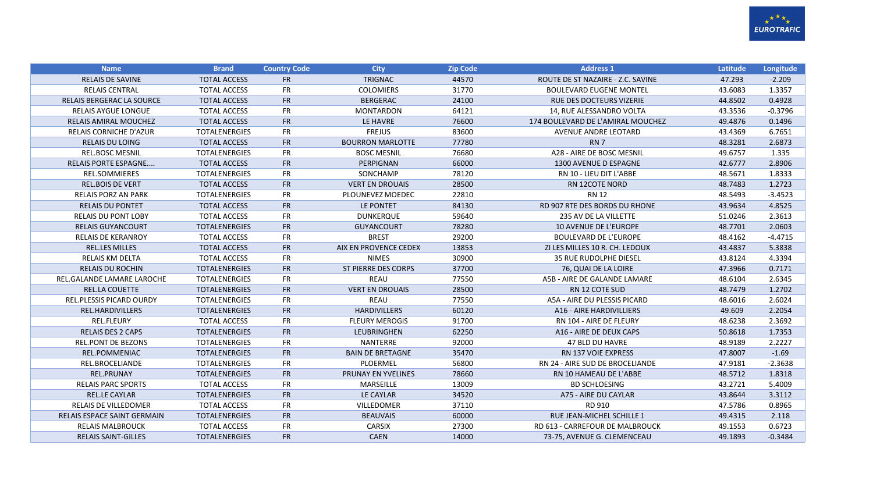

| <b>Name</b>                     | <b>Brand</b>         | <b>Country Code</b> | <b>City</b>                | <b>Zip Code</b> | <b>Address 1</b>                  | Latitude | Longitude |
|---------------------------------|----------------------|---------------------|----------------------------|-----------------|-----------------------------------|----------|-----------|
| <b>RELAIS DE SAVINE</b>         | <b>TOTAL ACCESS</b>  | <b>FR</b>           | <b>TRIGNAC</b>             | 44570           | ROUTE DE ST NAZAIRE - Z.C. SAVINE | 47.293   | $-2.209$  |
| <b>RELAIS CENTRAL</b>           | <b>TOTAL ACCESS</b>  | <b>FR</b>           | <b>COLOMIERS</b>           | 31770           | <b>BOULEVARD EUGENE MONTEL</b>    | 43.6083  | 1.3357    |
| RELAIS BERGERAC LA SOURCE       | <b>TOTAL ACCESS</b>  | <b>FR</b>           | <b>BERGERAC</b>            | 24100           | RUE DES DOCTEURS VIZERIE          | 44.8502  | 0.4928    |
| <b>RELAIS AYGUE LONGUE</b>      | <b>TOTAL ACCESS</b>  | <b>FR</b>           | <b>MONTARDON</b>           | 64121           | 14, RUE ALESSANDRO VOLTA          | 43.3536  | $-0.3796$ |
| RELAIS AMIRAL MOUCHEZ           | <b>TOTAL ACCESS</b>  | <b>FR</b>           | LE HAVRE                   | 76600           | 174 BOULEVARD DE L'AMIRAL MOUCHEZ | 49.4876  | 0.1496    |
| RELAIS CORNICHE D'AZUR          | <b>TOTALENERGIES</b> | <b>FR</b>           | <b>FREJUS</b>              | 83600           | <b>AVENUE ANDRE LEOTARD</b>       | 43.4369  | 6.7651    |
| <b>RELAIS DU LOING</b>          | <b>TOTAL ACCESS</b>  | <b>FR</b>           | <b>BOURRON MARLOTTE</b>    | 77780           | RN <sub>7</sub>                   | 48.3281  | 2.6873    |
| <b>REL.BOSC MESNIL</b>          | <b>TOTALENERGIES</b> | <b>FR</b>           | <b>BOSC MESNIL</b>         | 76680           | A28 - AIRE DE BOSC MESNIL         | 49.6757  | 1.335     |
| <b>RELAIS PORTE ESPAGNE</b>     | <b>TOTAL ACCESS</b>  | <b>FR</b>           | PERPIGNAN                  | 66000           | 1300 AVENUE D ESPAGNE             | 42.6777  | 2.8906    |
| <b>REL.SOMMIERES</b>            | <b>TOTALENERGIES</b> | <b>FR</b>           | SONCHAMP                   | 78120           | RN 10 - LIEU DIT L'ABBE           | 48.5671  | 1.8333    |
| <b>REL.BOIS DE VERT</b>         | <b>TOTAL ACCESS</b>  | FR                  | <b>VERT EN DROUAIS</b>     | 28500           | <b>RN 12COTE NORD</b>             | 48.7483  | 1.2723    |
| <b>RELAIS PORZ AN PARK</b>      | <b>TOTALENERGIES</b> | <b>FR</b>           | PLOUNEVEZ MOEDEC           | 22810           | RN 12                             | 48.5493  | $-3.4523$ |
| <b>RELAIS DU PONTET</b>         | <b>TOTAL ACCESS</b>  | <b>FR</b>           | LE PONTET                  | 84130           | RD 907 RTE DES BORDS DU RHONE     | 43.9634  | 4.8525    |
| <b>RELAIS DU PONT LOBY</b>      | <b>TOTAL ACCESS</b>  | <b>FR</b>           | <b>DUNKERQUE</b>           | 59640           | 235 AV DE LA VILLETTE             | 51.0246  | 2.3613    |
| <b>RELAIS GUYANCOURT</b>        | <b>TOTALENERGIES</b> | FR                  | <b>GUYANCOURT</b>          | 78280           | <b>10 AVENUE DE L'EUROPE</b>      | 48.7701  | 2.0603    |
| <b>RELAIS DE KERANROY</b>       | <b>TOTAL ACCESS</b>  | <b>FR</b>           | <b>BREST</b>               | 29200           | <b>BOULEVARD DE L'EUROPE</b>      | 48.4162  | $-4.4715$ |
| <b>REL.LES MILLES</b>           | <b>TOTAL ACCESS</b>  | FR                  | AIX EN PROVENCE CEDEX      | 13853           | ZI LES MILLES 10 R. CH. LEDOUX    | 43.4837  | 5.3838    |
| <b>RELAIS KM DELTA</b>          | <b>TOTAL ACCESS</b>  | <b>FR</b>           | <b>NIMES</b>               | 30900           | <b>35 RUE RUDOLPHE DIESEL</b>     | 43.8124  | 4.3394    |
| <b>RELAIS DU ROCHIN</b>         | <b>TOTALENERGIES</b> | FR                  | <b>ST PIERRE DES CORPS</b> | 37700           | 76, QUAI DE LA LOIRE              | 47.3966  | 0.7171    |
| REL.GALANDE LAMARE LAROCHE      | <b>TOTALENERGIES</b> | <b>FR</b>           | <b>REAU</b>                | 77550           | A5B - AIRE DE GALANDE LAMARE      | 48.6104  | 2.6345    |
| <b>REL.LA COUETTE</b>           | <b>TOTALENERGIES</b> | <b>FR</b>           | <b>VERT EN DROUAIS</b>     | 28500           | <b>RN 12 COTE SUD</b>             | 48.7479  | 1.2702    |
| <b>REL.PLESSIS PICARD OURDY</b> | <b>TOTALENERGIES</b> | <b>FR</b>           | <b>REAU</b>                | 77550           | A5A - AIRE DU PLESSIS PICARD      | 48.6016  | 2.6024    |
| REL.HARDIVILLERS                | <b>TOTALENERGIES</b> | FR                  | <b>HARDIVILLERS</b>        | 60120           | A16 - AIRE HARDIVILLIERS          | 49.609   | 2.2054    |
| <b>REL.FLEURY</b>               | <b>TOTAL ACCESS</b>  | <b>FR</b>           | <b>FLEURY MEROGIS</b>      | 91700           | RN 104 - AIRE DE FLEURY           | 48.6238  | 2.3692    |
| <b>RELAIS DES 2 CAPS</b>        | <b>TOTALENERGIES</b> | <b>FR</b>           | <b>LEUBRINGHEN</b>         | 62250           | A16 - AIRE DE DEUX CAPS           | 50.8618  | 1.7353    |
| <b>REL.PONT DE BEZONS</b>       | <b>TOTALENERGIES</b> | <b>FR</b>           | NANTERRE                   | 92000           | 47 BLD DU HAVRE                   | 48.9189  | 2.2227    |
| <b>REL.POMMENIAC</b>            | <b>TOTALENERGIES</b> | <b>FR</b>           | <b>BAIN DE BRETAGNE</b>    | 35470           | <b>RN 137 VOIE EXPRESS</b>        | 47.8007  | $-1.69$   |
| REL.BROCELIANDE                 | <b>TOTALENERGIES</b> | <b>FR</b>           | PLOERMEL                   | 56800           | RN 24 - AIRE SUD DE BROCELIANDE   | 47.9181  | $-2.3638$ |
| <b>REL.PRUNAY</b>               | <b>TOTALENERGIES</b> | <b>FR</b>           | <b>PRUNAY EN YVELINES</b>  | 78660           | RN 10 HAMEAU DE L'ABBE            | 48.5712  | 1.8318    |
| <b>RELAIS PARC SPORTS</b>       | <b>TOTAL ACCESS</b>  | <b>FR</b>           | MARSEILLE                  | 13009           | <b>BD SCHLOESING</b>              | 43.2721  | 5.4009    |
| <b>REL.LE CAYLAR</b>            | <b>TOTALENERGIES</b> | FR                  | LE CAYLAR                  | 34520           | A75 - AIRE DU CAYLAR              | 43.8644  | 3.3112    |
| <b>RELAIS DE VILLEDOMER</b>     | <b>TOTAL ACCESS</b>  | <b>FR</b>           | VILLEDOMER                 | 37110           | RD 910                            | 47.5786  | 0.8965    |
| RELAIS ESPACE SAINT GERMAIN     | <b>TOTALENERGIES</b> | FR                  | <b>BEAUVAIS</b>            | 60000           | RUE JEAN-MICHEL SCHILLE 1         | 49.4315  | 2.118     |
| <b>RELAIS MALBROUCK</b>         | <b>TOTAL ACCESS</b>  | <b>FR</b>           | <b>CARSIX</b>              | 27300           | RD 613 - CARREFOUR DE MALBROUCK   | 49.1553  | 0.6723    |
| <b>RELAIS SAINT-GILLES</b>      | <b>TOTALENERGIES</b> | <b>FR</b>           | CAEN                       | 14000           | 73-75, AVENUE G. CLEMENCEAU       | 49.1893  | $-0.3484$ |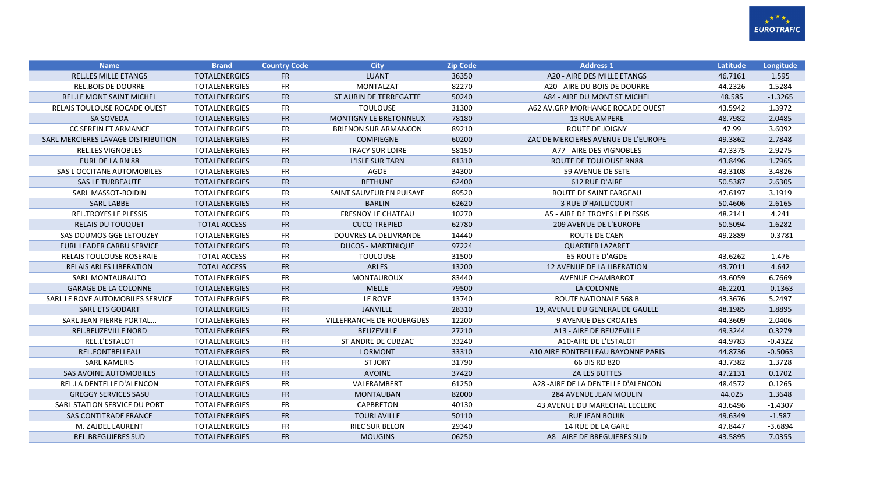

| <b>Name</b>                        | <b>Brand</b>         | <b>Country Code</b> | <b>City</b>                      | <b>Zip Code</b> | <b>Address 1</b>                    | Latitude | Longitude |
|------------------------------------|----------------------|---------------------|----------------------------------|-----------------|-------------------------------------|----------|-----------|
| <b>REL.LES MILLE ETANGS</b>        | <b>TOTALENERGIES</b> | <b>FR</b>           | <b>LUANT</b>                     | 36350           | A20 - AIRE DES MILLE ETANGS         | 46.7161  | 1.595     |
| <b>REL.BOIS DE DOURRE</b>          | <b>TOTALENERGIES</b> | <b>FR</b>           | MONTALZAT                        | 82270           | A20 - AIRE DU BOIS DE DOURRE        | 44.2326  | 1.5284    |
| <b>REL.LE MONT SAINT MICHEL</b>    | <b>TOTALENERGIES</b> | <b>FR</b>           | ST AUBIN DE TERREGATTE           | 50240           | A84 - AIRE DU MONT ST MICHEL        | 48.585   | $-1.3265$ |
| RELAIS TOULOUSE ROCADE OUEST       | <b>TOTALENERGIES</b> | <b>FR</b>           | <b>TOULOUSE</b>                  | 31300           | A62 AV.GRP MORHANGE ROCADE OUEST    | 43.5942  | 1.3972    |
| <b>SA SOVEDA</b>                   | <b>TOTALENERGIES</b> | <b>FR</b>           | MONTIGNY LE BRETONNEUX           | 78180           | <b>13 RUE AMPERE</b>                | 48.7982  | 2.0485    |
| CC SEREIN ET ARMANCE               | <b>TOTALENERGIES</b> | <b>FR</b>           | <b>BRIENON SUR ARMANCON</b>      | 89210           | ROUTE DE JOIGNY                     | 47.99    | 3.6092    |
| SARL MERCIERES LAVAGE DISTRIBUTION | <b>TOTALENERGIES</b> | <b>FR</b>           | <b>COMPIEGNE</b>                 | 60200           | ZAC DE MERCIERES AVENUE DE L'EUROPE | 49.3862  | 2.7848    |
| <b>REL.LES VIGNOBLES</b>           | <b>TOTALENERGIES</b> | <b>FR</b>           | <b>TRACY SUR LOIRE</b>           | 58150           | A77 - AIRE DES VIGNOBLES            | 47.3375  | 2.9275    |
| <b>EURL DE LA RN 88</b>            | <b>TOTALENERGIES</b> | <b>FR</b>           | L'ISLE SUR TARN                  | 81310           | ROUTE DE TOULOUSE RN88              | 43.8496  | 1.7965    |
| SAS L OCCITANE AUTOMOBILES         | <b>TOTALENERGIES</b> | <b>FR</b>           | AGDE                             | 34300           | 59 AVENUE DE SETE                   | 43.3108  | 3.4826    |
| <b>SAS LE TURBEAUTE</b>            | <b>TOTALENERGIES</b> | <b>FR</b>           | <b>BETHUNE</b>                   | 62400           | 612 RUE D'AIRE                      | 50.5387  | 2.6305    |
| SARL MASSOT-BOIDIN                 | <b>TOTALENERGIES</b> | <b>FR</b>           | SAINT SAUVEUR EN PUISAYE         | 89520           | ROUTE DE SAINT FARGEAU              | 47.6197  | 3.1919    |
| <b>SARL LABBE</b>                  | <b>TOTALENERGIES</b> | <b>FR</b>           | <b>BARLIN</b>                    | 62620           | <b>3 RUE D'HAILLICOURT</b>          | 50.4606  | 2.6165    |
| <b>REL.TROYES LE PLESSIS</b>       | <b>TOTALENERGIES</b> | <b>FR</b>           | <b>FRESNOY LE CHATEAU</b>        | 10270           | A5 - AIRE DE TROYES LE PLESSIS      | 48.2141  | 4.241     |
| <b>RELAIS DU TOUQUET</b>           | <b>TOTAL ACCESS</b>  | <b>FR</b>           | <b>CUCQ-TREPIED</b>              | 62780           | <b>209 AVENUE DE L'EUROPE</b>       | 50.5094  | 1.6282    |
| SAS DOUMOS GGE LETOUZEY            | <b>TOTALENERGIES</b> | <b>FR</b>           | <b>DOUVRES LA DELIVRANDE</b>     | 14440           | <b>ROUTE DE CAEN</b>                | 49.2889  | $-0.3781$ |
| <b>EURL LEADER CARBU SERVICE</b>   | <b>TOTALENERGIES</b> | <b>FR</b>           | <b>DUCOS - MARTINIQUE</b>        | 97224           | <b>QUARTIER LAZARET</b>             |          |           |
| <b>RELAIS TOULOUSE ROSERAIE</b>    | <b>TOTAL ACCESS</b>  | <b>FR</b>           | <b>TOULOUSE</b>                  | 31500           | <b>65 ROUTE D'AGDE</b>              | 43.6262  | 1.476     |
| <b>RELAIS ARLES LIBERATION</b>     | <b>TOTAL ACCESS</b>  | <b>FR</b>           | <b>ARLES</b>                     | 13200           | <b>12 AVENUE DE LA LIBERATION</b>   | 43.7011  | 4.642     |
| <b>SARL MONTAURAUTO</b>            | <b>TOTALENERGIES</b> | <b>FR</b>           | <b>MONTAUROUX</b>                | 83440           | <b>AVENUE CHAMBAROT</b>             | 43.6059  | 6.7669    |
| <b>GARAGE DE LA COLONNE</b>        | <b>TOTALENERGIES</b> | <b>FR</b>           | <b>MELLE</b>                     | 79500           | LA COLONNE                          | 46.2201  | $-0.1363$ |
| SARL LE ROVE AUTOMOBILES SERVICE   | <b>TOTALENERGIES</b> | <b>FR</b>           | LE ROVE                          | 13740           | ROUTE NATIONALE 568 B               | 43.3676  | 5.2497    |
| <b>SARL ETS GODART</b>             | <b>TOTALENERGIES</b> | <b>FR</b>           | <b>JANVILLE</b>                  | 28310           | 19, AVENUE DU GENERAL DE GAULLE     | 48.1985  | 1.8895    |
| SARL JEAN PIERRE PORTAL            | <b>TOTALENERGIES</b> | FR                  | <b>VILLEFRANCHE DE ROUERGUES</b> | 12200           | 9 AVENUE DES CROATES                | 44.3609  | 2.0406    |
| <b>REL.BEUZEVILLE NORD</b>         | <b>TOTALENERGIES</b> | <b>FR</b>           | <b>BEUZEVILLE</b>                | 27210           | A13 - AIRE DE BEUZEVILLE            | 49.3244  | 0.3279    |
| REL.L'ESTALOT                      | <b>TOTALENERGIES</b> | <b>FR</b>           | ST ANDRE DE CUBZAC               | 33240           | A10-AIRE DE L'ESTALOT               | 44.9783  | $-0.4322$ |
| REL.FONTBELLEAU                    | <b>TOTALENERGIES</b> | <b>FR</b>           | <b>LORMONT</b>                   | 33310           | A10 AIRE FONTBELLEAU BAYONNE PARIS  | 44.8736  | $-0.5063$ |
| <b>SARL KAMERIS</b>                | <b>TOTALENERGIES</b> | <b>FR</b>           | <b>ST JORY</b>                   | 31790           | 66 BIS RD 820                       | 43.7382  | 1.3728    |
| SAS AVOINE AUTOMOBILES             | <b>TOTALENERGIES</b> | <b>FR</b>           | <b>AVOINE</b>                    | 37420           | <b>ZA LES BUTTES</b>                | 47.2131  | 0.1702    |
| <b>REL.LA DENTELLE D'ALENCON</b>   | <b>TOTALENERGIES</b> | <b>FR</b>           | VALFRAMBERT                      | 61250           | A28 - AIRE DE LA DENTELLE D'ALENCON | 48.4572  | 0.1265    |
| <b>GREGGY SERVICES SASU</b>        | <b>TOTALENERGIES</b> | <b>FR</b>           | <b>MONTAUBAN</b>                 | 82000           | <b>284 AVENUE JEAN MOULIN</b>       | 44.025   | 1.3648    |
| SARL STATION SERVICE DU PORT       | <b>TOTALENERGIES</b> | <b>FR</b>           | CAPBRETON                        | 40130           | 43 AVENUE DU MARECHAL LECLERC       | 43.6496  | $-1.4307$ |
| <b>SAS CONTITRADE FRANCE</b>       | <b>TOTALENERGIES</b> | <b>FR</b>           | <b>TOURLAVILLE</b>               | 50110           | <b>RUE JEAN BOUIN</b>               | 49.6349  | $-1.587$  |
| M. ZAJDEL LAURENT                  | <b>TOTALENERGIES</b> | <b>FR</b>           | <b>RIEC SUR BELON</b>            | 29340           | 14 RUE DE LA GARE                   | 47.8447  | $-3.6894$ |
| <b>REL.BREGUIERES SUD</b>          | <b>TOTALENERGIES</b> | <b>FR</b>           | <b>MOUGINS</b>                   | 06250           | A8 - AIRE DE BREGUIERES SUD         | 43.5895  | 7.0355    |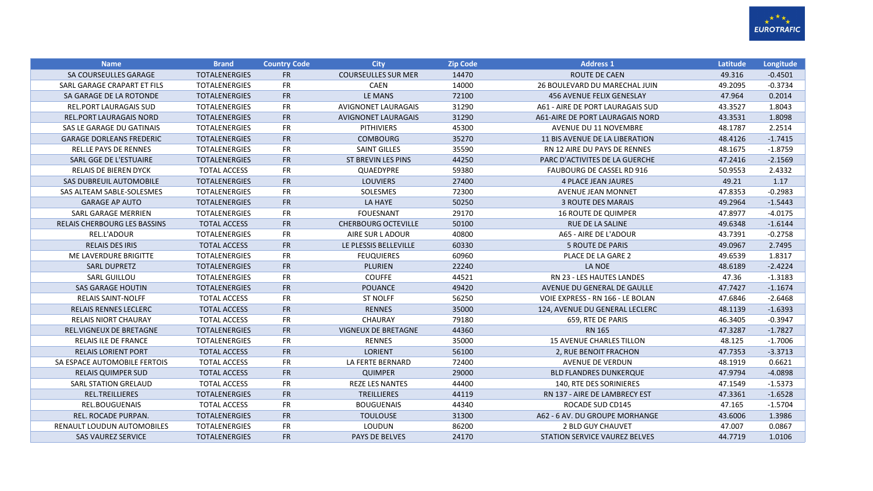

| <b>Name</b>                         | <b>Brand</b>         | <b>Country Code</b> | <b>City</b>                | <b>Zip Code</b> | <b>Address 1</b>                 | Latitude | Longitude |
|-------------------------------------|----------------------|---------------------|----------------------------|-----------------|----------------------------------|----------|-----------|
| SA COURSEULLES GARAGE               | <b>TOTALENERGIES</b> | <b>FR</b>           | <b>COURSEULLES SUR MER</b> | 14470           | <b>ROUTE DE CAEN</b>             | 49.316   | $-0.4501$ |
| SARL GARAGE CRAPART ET FILS         | <b>TOTALENERGIES</b> | FR                  | <b>CAEN</b>                | 14000           | 26 BOULEVARD DU MARECHAL JUIN    | 49.2095  | $-0.3734$ |
| SA GARAGE DE LA ROTONDE             | <b>TOTALENERGIES</b> | <b>FR</b>           | LE MANS                    | 72100           | <b>456 AVENUE FELIX GENESLAY</b> | 47.964   | 0.2014    |
| <b>REL.PORT LAURAGAIS SUD</b>       | <b>TOTALENERGIES</b> | <b>FR</b>           | <b>AVIGNONET LAURAGAIS</b> | 31290           | A61 - AIRE DE PORT LAURAGAIS SUD | 43.3527  | 1.8043    |
| <b>REL.PORT LAURAGAIS NORD</b>      | <b>TOTALENERGIES</b> | <b>FR</b>           | <b>AVIGNONET LAURAGAIS</b> | 31290           | A61-AIRE DE PORT LAURAGAIS NORD  | 43.3531  | 1.8098    |
| SAS LE GARAGE DU GATINAIS           | <b>TOTALENERGIES</b> | <b>FR</b>           | <b>PITHIVIERS</b>          | 45300           | <b>AVENUE DU 11 NOVEMBRE</b>     | 48.1787  | 2.2514    |
| <b>GARAGE DORLEANS FREDERIC</b>     | <b>TOTALENERGIES</b> | <b>FR</b>           | <b>COMBOURG</b>            | 35270           | 11 BIS AVENUE DE LA LIBERATION   | 48.4126  | $-1.7415$ |
| <b>REL.LE PAYS DE RENNES</b>        | <b>TOTALENERGIES</b> | FR                  | <b>SAINT GILLES</b>        | 35590           | RN 12 AIRE DU PAYS DE RENNES     | 48.1675  | $-1.8759$ |
| SARL GGE DE L'ESTUAIRE              | <b>TOTALENERGIES</b> | <b>FR</b>           | ST BREVIN LES PINS         | 44250           | PARC D'ACTIVITES DE LA GUERCHE   | 47.2416  | $-2.1569$ |
| RELAIS DE BIEREN DYCK               | <b>TOTAL ACCESS</b>  | FR                  | QUAEDYPRE                  | 59380           | <b>FAUBOURG DE CASSEL RD 916</b> | 50.9553  | 2.4332    |
| SAS DUBREUIL AUTOMOBILE             | <b>TOTALENERGIES</b> | <b>FR</b>           | <b>LOUVIERS</b>            | 27400           | <b>4 PLACE JEAN JAURES</b>       | 49.21    | 1.17      |
| SAS ALTEAM SABLE-SOLESMES           | <b>TOTALENERGIES</b> | <b>FR</b>           | SOLESMES                   | 72300           | <b>AVENUE JEAN MONNET</b>        | 47.8353  | $-0.2983$ |
| <b>GARAGE AP AUTO</b>               | <b>TOTALENERGIES</b> | <b>FR</b>           | LA HAYE                    | 50250           | <b>3 ROUTE DES MARAIS</b>        | 49.2964  | $-1.5443$ |
| SARL GARAGE MERRIEN                 | <b>TOTALENERGIES</b> | <b>FR</b>           | <b>FOUESNANT</b>           | 29170           | <b>16 ROUTE DE QUIMPER</b>       | 47.8977  | $-4.0175$ |
| <b>RELAIS CHERBOURG LES BASSINS</b> | <b>TOTAL ACCESS</b>  | <b>FR</b>           | <b>CHERBOURG OCTEVILLE</b> | 50100           | <b>RUE DE LA SALINE</b>          | 49.6348  | $-1.6144$ |
| REL.L'ADOUR                         | <b>TOTALENERGIES</b> | <b>FR</b>           | AIRE SUR L ADOUR           | 40800           | A65 - AIRE DE L'ADOUR            | 43.7391  | $-0.2758$ |
| <b>RELAIS DES IRIS</b>              | <b>TOTAL ACCESS</b>  | <b>FR</b>           | LE PLESSIS BELLEVILLE      | 60330           | <b>5 ROUTE DE PARIS</b>          | 49.0967  | 2.7495    |
| ME LAVERDURE BRIGITTE               | <b>TOTALENERGIES</b> | FR                  | <b>FEUQUIERES</b>          | 60960           | PLACE DE LA GARE 2               | 49.6539  | 1.8317    |
| <b>SARL DUPRETZ</b>                 | <b>TOTALENERGIES</b> | <b>FR</b>           | <b>PLURIEN</b>             | 22240           | LA NOE                           | 48.6189  | $-2.4224$ |
| <b>SARL GUILLOU</b>                 | <b>TOTALENERGIES</b> | <b>FR</b>           | <b>COUFFE</b>              | 44521           | <b>RN 23 - LES HAUTES LANDES</b> | 47.36    | $-1.3183$ |
| <b>SAS GARAGE HOUTIN</b>            | <b>TOTALENERGIES</b> | <b>FR</b>           | <b>POUANCE</b>             | 49420           | AVENUE DU GENERAL DE GAULLE      | 47.7427  | $-1.1674$ |
| <b>RELAIS SAINT-NOLFF</b>           | <b>TOTAL ACCESS</b>  | <b>FR</b>           | <b>ST NOLFF</b>            | 56250           | VOIE EXPRESS - RN 166 - LE BOLAN | 47.6846  | $-2.6468$ |
| <b>RELAIS RENNES LECLERC</b>        | <b>TOTAL ACCESS</b>  | <b>FR</b>           | <b>RENNES</b>              | 35000           | 124, AVENUE DU GENERAL LECLERC   | 48.1139  | $-1.6393$ |
| RELAIS NIORT CHAURAY                | <b>TOTAL ACCESS</b>  | FR                  | <b>CHAURAY</b>             | 79180           | 659, RTE DE PARIS                | 46.3405  | $-0.3947$ |
| REL.VIGNEUX DE BRETAGNE             | <b>TOTALENERGIES</b> | <b>FR</b>           | <b>VIGNEUX DE BRETAGNE</b> | 44360           | <b>RN 165</b>                    | 47.3287  | $-1.7827$ |
| <b>RELAIS ILE DE FRANCE</b>         | <b>TOTALENERGIES</b> | <b>FR</b>           | <b>RENNES</b>              | 35000           | <b>15 AVENUE CHARLES TILLON</b>  | 48.125   | $-1.7006$ |
| <b>RELAIS LORIENT PORT</b>          | <b>TOTAL ACCESS</b>  | <b>FR</b>           | <b>LORIENT</b>             | 56100           | 2, RUE BENOIT FRACHON            | 47.7353  | $-3.3713$ |
| SA ESPACE AUTOMOBILE FERTOIS        | <b>TOTAL ACCESS</b>  | <b>FR</b>           | LA FERTE BERNARD           | 72400           | AVENUE DE VERDUN                 | 48.1919  | 0.6621    |
| <b>RELAIS QUIMPER SUD</b>           | <b>TOTAL ACCESS</b>  | <b>FR</b>           | <b>QUIMPER</b>             | 29000           | <b>BLD FLANDRES DUNKERQUE</b>    | 47.9794  | $-4.0898$ |
| <b>SARL STATION GRELAUD</b>         | <b>TOTAL ACCESS</b>  | FR                  | <b>REZE LES NANTES</b>     | 44400           | 140. RTE DES SORINIERES          | 47.1549  | $-1.5373$ |
| <b>REL.TREILLIERES</b>              | <b>TOTALENERGIES</b> | <b>FR</b>           | <b>TREILLIERES</b>         | 44119           | RN 137 - AIRE DE LAMBRECY EST    | 47.3361  | $-1.6528$ |
| REL.BOUGUENAIS                      | <b>TOTAL ACCESS</b>  | <b>FR</b>           | <b>BOUGUENAIS</b>          | 44340           | ROCADE SUD CD145                 | 47.165   | $-1.5704$ |
| REL. ROCADE PURPAN.                 | <b>TOTALENERGIES</b> | <b>FR</b>           | <b>TOULOUSE</b>            | 31300           | A62 - 6 AV. DU GROUPE MORHANGE   | 43.6006  | 1.3986    |
| RENAULT LOUDUN AUTOMOBILES          | <b>TOTALENERGIES</b> | FR                  | LOUDUN                     | 86200           | 2 BLD GUY CHAUVET                | 47.007   | 0.0867    |
| <b>SAS VAUREZ SERVICE</b>           | <b>TOTALENERGIES</b> | <b>FR</b>           | <b>PAYS DE BELVES</b>      | 24170           | STATION SERVICE VAUREZ BELVES    | 44.7719  | 1.0106    |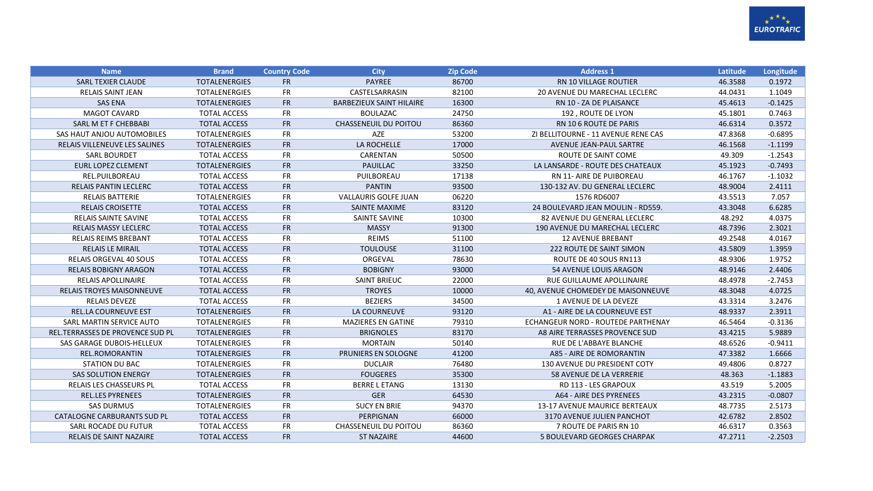

| <b>Name</b>                        | <b>Brand</b>         | <b>Country Code</b> | <b>City</b>                     | <b>Zip Code</b> | <b>Address 1</b>                    | Latitude | Longitude |
|------------------------------------|----------------------|---------------------|---------------------------------|-----------------|-------------------------------------|----------|-----------|
| <b>SARL TEXIER CLAUDE</b>          | <b>TOTALENERGIES</b> | <b>FR</b>           | <b>PAYREE</b>                   | 86700           | <b>RN 10 VILLAGE ROUTIER</b>        | 46.3588  | 0.1972    |
| <b>RELAIS SAINT JEAN</b>           | <b>TOTALENERGIES</b> | <b>FR</b>           | CASTELSARRASIN                  | 82100           | 20 AVENUE DU MARECHAL LECLERC       | 44.0431  | 1.1049    |
| <b>SAS ENA</b>                     | <b>TOTALENERGIES</b> | <b>FR</b>           | <b>BARBEZIEUX SAINT HILAIRE</b> | 16300           | RN 10 - ZA DE PLAISANCE             | 45.4613  | $-0.1425$ |
| <b>MAGOT CAVARD</b>                | <b>TOTAL ACCESS</b>  | <b>FR</b>           | <b>BOULAZAC</b>                 | 24750           | 192, ROUTE DE LYON                  | 45.1801  | 0.7463    |
| SARL M ET F CHEBBABI               | <b>TOTAL ACCESS</b>  | <b>FR</b>           | <b>CHASSENEUIL DU POITOU</b>    | 86360           | RN 10 6 ROUTE DE PARIS              | 46.6314  | 0.3572    |
| SAS HAUT ANJOU AUTOMOBILES         | <b>TOTALENERGIES</b> | <b>FR</b>           | AZE                             | 53200           | ZI BELLITOURNE - 11 AVENUE RENE CAS | 47.8368  | $-0.6895$ |
| RELAIS VILLENEUVE LES SALINES      | <b>TOTALENERGIES</b> | <b>FR</b>           | LA ROCHELLE                     | 17000           | AVENUE JEAN-PAUL SARTRE             | 46.1568  | $-1.1199$ |
| <b>SARL BOURDET</b>                | <b>TOTAL ACCESS</b>  | <b>FR</b>           | CARENTAN                        | 50500           | ROUTE DE SAINT COME                 | 49.309   | $-1.2543$ |
| <b>EURL LOPEZ CLEMENT</b>          | <b>TOTALENERGIES</b> | <b>FR</b>           | <b>PAUILLAC</b>                 | 33250           | LA LANSARDE - ROUTE DES CHATEAUX    | 45.1923  | $-0.7493$ |
| REL.PUILBOREAU                     | <b>TOTAL ACCESS</b>  | <b>FR</b>           | PUILBOREAU                      | 17138           | <b>RN 11- AIRE DE PUIBOREAU</b>     | 46.1767  | $-1.1032$ |
| <b>RELAIS PANTIN LECLERC</b>       | <b>TOTAL ACCESS</b>  | <b>FR</b>           | <b>PANTIN</b>                   | 93500           | 130-132 AV. DU GENERAL LECLERC      | 48.9004  | 2.4111    |
| <b>RELAIS BATTERIE</b>             | <b>TOTALENERGIES</b> | <b>FR</b>           | <b>VALLAURIS GOLFE JUAN</b>     | 06220           | 1576 RD6007                         | 43.5513  | 7.057     |
| <b>RELAIS CROISETTE</b>            | <b>TOTAL ACCESS</b>  | <b>FR</b>           | <b>SAINTE MAXIME</b>            | 83120           | 24 BOULEVARD JEAN MOULIN - RD559.   | 43.3048  | 6.6285    |
| <b>RELAIS SAINTE SAVINE</b>        | <b>TOTAL ACCESS</b>  | <b>FR</b>           | SAINTE SAVINE                   | 10300           | 82 AVENUE DU GENERAL LECLERC        | 48.292   | 4.0375    |
| <b>RELAIS MASSY LECLERC</b>        | <b>TOTAL ACCESS</b>  | <b>FR</b>           | <b>MASSY</b>                    | 91300           | 190 AVENUE DU MARECHAL LECLERC      | 48.7396  | 2.3021    |
| <b>RELAIS REIMS BREBANT</b>        | <b>TOTAL ACCESS</b>  | <b>FR</b>           | <b>REIMS</b>                    | 51100           | <b>12 AVENUE BREBANT</b>            | 49.2548  | 4.0167    |
| <b>RELAIS LE MIRAIL</b>            | <b>TOTAL ACCESS</b>  | <b>FR</b>           | <b>TOULOUSE</b>                 | 31100           | 222 ROUTE DE SAINT SIMON            | 43.5809  | 1.3959    |
| <b>RELAIS ORGEVAL 40 SOUS</b>      | <b>TOTAL ACCESS</b>  | <b>FR</b>           | ORGEVAL                         | 78630           | ROUTE DE 40 SOUS RN113              | 48.9306  | 1.9752    |
| <b>RELAIS BOBIGNY ARAGON</b>       | <b>TOTAL ACCESS</b>  | <b>FR</b>           | <b>BOBIGNY</b>                  | 93000           | 54 AVENUE LOUIS ARAGON              | 48.9146  | 2.4406    |
| <b>RELAIS APOLLINAIRE</b>          | <b>TOTAL ACCESS</b>  | <b>FR</b>           | <b>SAINT BRIEUC</b>             | 22000           | RUE GUILLAUME APOLLINAIRE           | 48.4978  | $-2.7453$ |
| <b>RELAIS TROYES MAISONNEUVE</b>   | <b>TOTAL ACCESS</b>  | <b>FR</b>           | <b>TROYES</b>                   | 10000           | 40, AVENUE CHOMEDEY DE MAISONNEUVE  | 48.3048  | 4.0725    |
| <b>RELAIS DEVEZE</b>               | <b>TOTAL ACCESS</b>  | <b>FR</b>           | <b>BEZIERS</b>                  | 34500           | <b>1 AVENUE DE LA DEVEZE</b>        | 43.3314  | 3.2476    |
| <b>REL.LA COURNEUVE EST</b>        | <b>TOTALENERGIES</b> | <b>FR</b>           | LA COURNEUVE                    | 93120           | A1 - AIRE DE LA COURNEUVE EST       | 48.9337  | 2.3911    |
| SARL MARTIN SERVICE AUTO           | <b>TOTALENERGIES</b> | <b>FR</b>           | <b>MAZIERES EN GATINE</b>       | 79310           | ECHANGEUR NORD - ROUTEDE PARTHENAY  | 46.5464  | $-0.3136$ |
| REL.TERRASSES DE PROVENCE SUD PL   | <b>TOTALENERGIES</b> | <b>FR</b>           | <b>BRIGNOLES</b>                | 83170           | A8 AIRE TERRASSES PROVENCE SUD      | 43.4215  | 5.9889    |
| SAS GARAGE DUBOIS-HELLEUX          | <b>TOTALENERGIES</b> | <b>FR</b>           | <b>MORTAIN</b>                  | 50140           | RUE DE L'ABBAYE BLANCHE             | 48.6526  | $-0.9411$ |
| <b>REL.ROMORANTIN</b>              | <b>TOTALENERGIES</b> | <b>FR</b>           | PRUNIERS EN SOLOGNE             | 41200           | A85 - AIRE DE ROMORANTIN            | 47.3382  | 1.6666    |
| <b>STATION DU BAC</b>              | <b>TOTALENERGIES</b> | <b>FR</b>           | <b>DUCLAIR</b>                  | 76480           | 130 AVENUE DU PRESIDENT COTY        | 49.4806  | 0.8727    |
| <b>SAS SOLUTION ENERGY</b>         | <b>TOTALENERGIES</b> | <b>FR</b>           | <b>FOUGERES</b>                 | 35300           | 58 AVENUE DE LA VERRERIE            | 48.363   | $-1.1883$ |
| <b>RELAIS LES CHASSEURS PL</b>     | <b>TOTAL ACCESS</b>  | <b>FR</b>           | <b>BERRE L ETANG</b>            | 13130           | RD 113 - LES GRAPOUX                | 43.519   | 5.2005    |
| <b>REL.LES PYRENEES</b>            | <b>TOTALENERGIES</b> | <b>FR</b>           | <b>GER</b>                      | 64530           | A64 - AIRE DES PYRENEES             | 43.2315  | $-0.0807$ |
| <b>SAS DURMUS</b>                  | <b>TOTALENERGIES</b> | <b>FR</b>           | <b>SUCY EN BRIE</b>             | 94370           | 13-17 AVENUE MAURICE BERTEAUX       | 48.7735  | 2.5173    |
| <b>CATALOGNE CARBURANTS SUD PL</b> | <b>TOTAL ACCESS</b>  | <b>FR</b>           | PERPIGNAN                       | 66000           | 3170 AVENUE JULIEN PANCHOT          | 42.6782  | 2.8502    |
| SARL ROCADE DU FUTUR               | <b>TOTAL ACCESS</b>  | <b>FR</b>           | CHASSENEUIL DU POITOU           | 86360           | 7 ROUTE DE PARIS RN 10              | 46.6317  | 0.3563    |
| <b>RELAIS DE SAINT NAZAIRE</b>     | <b>TOTAL ACCESS</b>  | <b>FR</b>           | <b>ST NAZAIRE</b>               | 44600           | 5 BOULEVARD GEORGES CHARPAK         | 47.2711  | $-2.2503$ |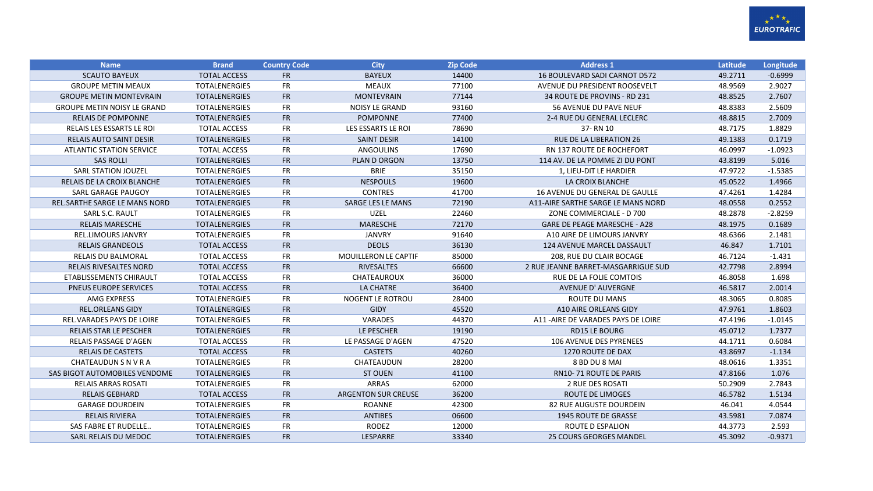

| <b>Name</b>                        | <b>Brand</b>         | <b>Country Code</b> | <b>City</b>                 | <b>Zip Code</b> | <b>Address 1</b>                    | Latitude | Longitude |
|------------------------------------|----------------------|---------------------|-----------------------------|-----------------|-------------------------------------|----------|-----------|
| <b>SCAUTO BAYEUX</b>               | <b>TOTAL ACCESS</b>  | <b>FR</b>           | <b>BAYEUX</b>               | 14400           | 16 BOULEVARD SADI CARNOT D572       | 49.2711  | $-0.6999$ |
| <b>GROUPE METIN MEAUX</b>          | <b>TOTALENERGIES</b> | <b>FR</b>           | <b>MEAUX</b>                | 77100           | AVENUE DU PRESIDENT ROOSEVELT       | 48.9569  | 2.9027    |
| <b>GROUPE METIN MONTEVRAIN</b>     | <b>TOTALENERGIES</b> | FR                  | <b>MONTEVRAIN</b>           | 77144           | 34 ROUTE DE PROVINS - RD 231        | 48.8525  | 2.7607    |
| <b>GROUPE METIN NOISY LE GRAND</b> | <b>TOTALENERGIES</b> | <b>FR</b>           | <b>NOISY LE GRAND</b>       | 93160           | <b>56 AVENUE DU PAVE NEUF</b>       | 48.8383  | 2.5609    |
| <b>RELAIS DE POMPONNE</b>          | <b>TOTALENERGIES</b> | <b>FR</b>           | <b>POMPONNE</b>             | 77400           | 2-4 RUE DU GENERAL LECLERC          | 48.8815  | 2.7009    |
| <b>RELAIS LES ESSARTS LE ROI</b>   | <b>TOTAL ACCESS</b>  | <b>FR</b>           | LES ESSARTS LE ROI          | 78690           | 37-RN 10                            | 48.7175  | 1.8829    |
| RELAIS AUTO SAINT DESIR            | <b>TOTALENERGIES</b> | <b>FR</b>           | <b>SAINT DESIR</b>          | 14100           | <b>RUE DE LA LIBERATION 26</b>      | 49.1383  | 0.1719    |
| <b>ATLANTIC STATION SERVICE</b>    | <b>TOTAL ACCESS</b>  | <b>FR</b>           | <b>ANGOULINS</b>            | 17690           | RN 137 ROUTE DE ROCHEFORT           | 46.0997  | $-1.0923$ |
| <b>SAS ROLLI</b>                   | <b>TOTALENERGIES</b> | <b>FR</b>           | PLAN D ORGON                | 13750           | 114 AV. DE LA POMME ZI DU PONT      | 43.8199  | 5.016     |
| <b>SARL STATION JOUZEL</b>         | <b>TOTALENERGIES</b> | <b>FR</b>           | <b>BRIE</b>                 | 35150           | 1, LIEU-DIT LE HARDIER              | 47.9722  | $-1.5385$ |
| RELAIS DE LA CROIX BLANCHE         | <b>TOTALENERGIES</b> | FR                  | <b>NESPOULS</b>             | 19600           | LA CROIX BLANCHE                    | 45.0522  | 1.4966    |
| SARL GARAGE PAUGOY                 | <b>TOTALENERGIES</b> | <b>FR</b>           | <b>CONTRES</b>              | 41700           | 16 AVENUE DU GENERAL DE GAULLE      | 47.4261  | 1.4284    |
| REL.SARTHE SARGE LE MANS NORD      | <b>TOTALENERGIES</b> | <b>FR</b>           | <b>SARGE LES LE MANS</b>    | 72190           | A11-AIRE SARTHE SARGE LE MANS NORD  | 48.0558  | 0.2552    |
| SARL S.C. RAULT                    | <b>TOTALENERGIES</b> | <b>FR</b>           | <b>UZEL</b>                 | 22460           | ZONE COMMERCIALE - D 700            | 48.2878  | $-2.8259$ |
| <b>RELAIS MARESCHE</b>             | <b>TOTALENERGIES</b> | <b>FR</b>           | <b>MARESCHE</b>             | 72170           | GARE DE PEAGE MARESCHE - A28        | 48.1975  | 0.1689    |
| <b>REL.LIMOURS JANVRY</b>          | <b>TOTALENERGIES</b> | <b>FR</b>           | <b>JANVRY</b>               | 91640           | A10 AIRE DE LIMOURS JANVRY          | 48.6366  | 2.1481    |
| <b>RELAIS GRANDEOLS</b>            | <b>TOTAL ACCESS</b>  | <b>FR</b>           | <b>DEOLS</b>                | 36130           | 124 AVENUE MARCEL DASSAULT          | 46.847   | 1.7101    |
| <b>RELAIS DU BALMORAL</b>          | <b>TOTAL ACCESS</b>  | <b>FR</b>           | <b>MOUILLERON LE CAPTIF</b> | 85000           | 208, RUE DU CLAIR BOCAGE            | 46.7124  | $-1.431$  |
| <b>RELAIS RIVESALTES NORD</b>      | <b>TOTAL ACCESS</b>  | <b>FR</b>           | <b>RIVESALTES</b>           | 66600           | 2 RUE JEANNE BARRET-MASGARRIGUE SUD | 42.7798  | 2.8994    |
| ETABLISSEMENTS CHIRAULT            | <b>TOTAL ACCESS</b>  | <b>FR</b>           | CHATEAUROUX                 | 36000           | RUE DE LA FOLIE COMTOIS             | 46.8058  | 1.698     |
| PNEUS EUROPE SERVICES              | <b>TOTAL ACCESS</b>  | <b>FR</b>           | LA CHATRE                   | 36400           | <b>AVENUE D' AUVERGNE</b>           | 46.5817  | 2.0014    |
| <b>AMG EXPRESS</b>                 | <b>TOTALENERGIES</b> | <b>FR</b>           | <b>NOGENT LE ROTROU</b>     | 28400           | ROUTE DU MANS                       | 48.3065  | 0.8085    |
| <b>REL.ORLEANS GIDY</b>            | <b>TOTALENERGIES</b> | <b>FR</b>           | <b>GIDY</b>                 | 45520           | A10 AIRE ORLEANS GIDY               | 47.9761  | 1.8603    |
| REL.VARADES PAYS DE LOIRE          | <b>TOTALENERGIES</b> | <b>FR</b>           | VARADES                     | 44370           | A11-AIRE DE VARADES PAYS DE LOIRE   | 47.4196  | $-1.0145$ |
| <b>RELAIS STAR LE PESCHER</b>      | <b>TOTALENERGIES</b> | <b>FR</b>           | LE PESCHER                  | 19190           | <b>RD15 LE BOURG</b>                | 45.0712  | 1.7377    |
| <b>RELAIS PASSAGE D'AGEN</b>       | <b>TOTAL ACCESS</b>  | <b>FR</b>           | LE PASSAGE D'AGEN           | 47520           | <b>106 AVENUE DES PYRENEES</b>      | 44.1711  | 0.6084    |
| <b>RELAIS DE CASTETS</b>           | <b>TOTAL ACCESS</b>  | <b>FR</b>           | <b>CASTETS</b>              | 40260           | 1270 ROUTE DE DAX                   | 43.8697  | $-1.134$  |
| CHATEAUDUN S N V R A               | <b>TOTALENERGIES</b> | <b>FR</b>           | CHATEAUDUN                  | 28200           | 8 BD DU 8 MAI                       | 48.0616  | 1.3351    |
| SAS BIGOT AUTOMOBILES VENDOME      | <b>TOTALENERGIES</b> | <b>FR</b>           | <b>ST OUEN</b>              | 41100           | <b>RN10-71 ROUTE DE PARIS</b>       | 47.8166  | 1.076     |
| <b>RELAIS ARRAS ROSATI</b>         | <b>TOTALENERGIES</b> | <b>FR</b>           | <b>ARRAS</b>                | 62000           | <b>2 RUE DES ROSATI</b>             | 50.2909  | 2.7843    |
| <b>RELAIS GEBHARD</b>              | <b>TOTAL ACCESS</b>  | <b>FR</b>           | <b>ARGENTON SUR CREUSE</b>  | 36200           | <b>ROUTE DE LIMOGES</b>             | 46.5782  | 1.5134    |
| <b>GARAGE DOURDEIN</b>             | <b>TOTALENERGIES</b> | <b>FR</b>           | ROANNE                      | 42300           | 82 RUE AUGUSTE DOURDEIN             | 46.041   | 4.0544    |
| <b>RELAIS RIVIERA</b>              | <b>TOTALENERGIES</b> | <b>FR</b>           | <b>ANTIBES</b>              | 06600           | <b>1945 ROUTE DE GRASSE</b>         | 43.5981  | 7.0874    |
| SAS FABRE ET RUDELLE               | <b>TOTALENERGIES</b> | <b>FR</b>           | <b>RODEZ</b>                | 12000           | ROUTE D ESPALION                    | 44.3773  | 2.593     |
| SARL RELAIS DU MEDOC               | <b>TOTALENERGIES</b> | <b>FR</b>           | LESPARRE                    | 33340           | <b>25 COURS GEORGES MANDEL</b>      | 45.3092  | $-0.9371$ |